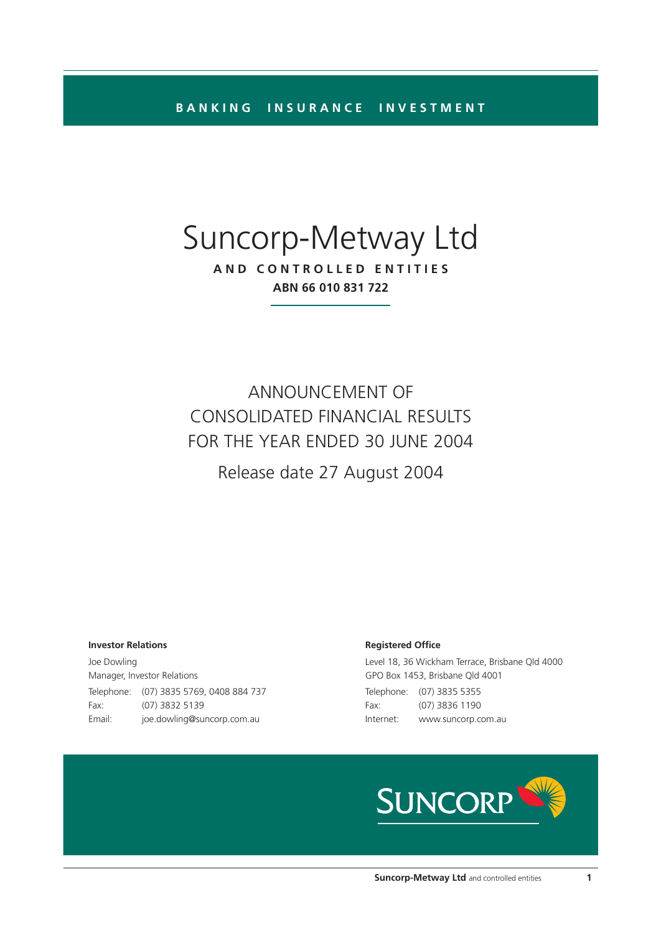**BANKING INSURANCE INVESTMENT**

# Suncorp-Metway Ltd

**AND CONTROLLED ENTITIES ABN 66 010 831 722**

ANNOUNCEMENT OF CONSOLIDATED FINANCIAL RESULTS FOR THE YEAR ENDED 30 JUNE 2004

Release date 27 August 2004

#### **Investor Relations**

Joe Dowling Manager, Investor Relations Telephone: (07) 3835 5769, 0408 884 737 Fax: (07) 3832 5139 Email: joe.dowling@suncorp.com.au

#### **Registered Office**

Level 18, 36 Wickham Terrace, Brisbane Qld 4000 GPO Box 1453, Brisbane Qld 4001 Telephone: (07) 3835 5355 Fax: (07) 3836 1190 Internet: www.suncorp.com.au

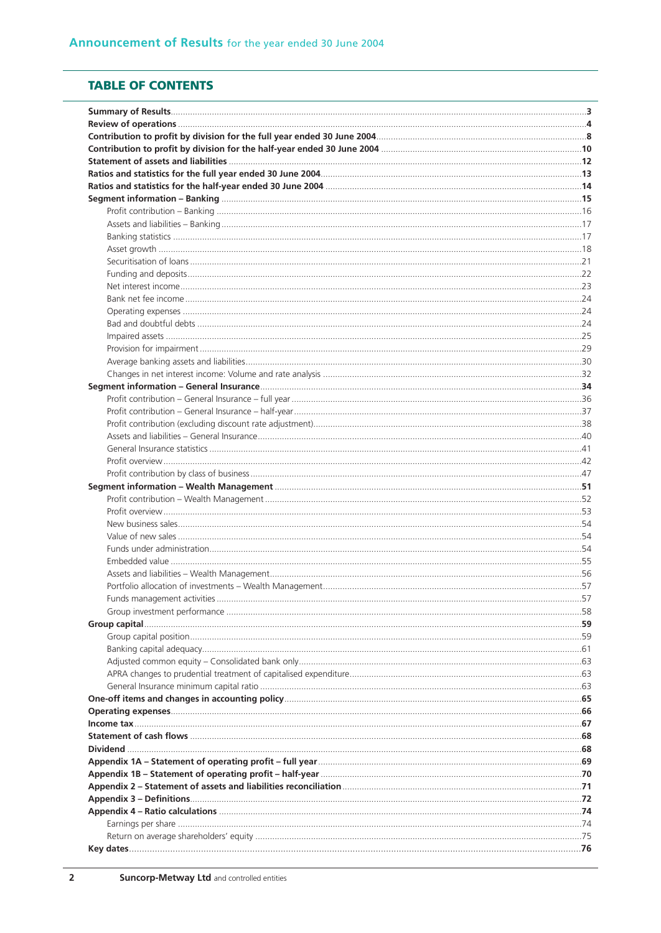## **TABLE OF CONTENTS**

| Funds management activities | 57 |
|-----------------------------|----|
|                             |    |
|                             |    |
|                             |    |
|                             |    |
|                             |    |
|                             |    |
|                             |    |
|                             |    |
|                             |    |
|                             |    |
|                             |    |
|                             |    |
|                             |    |
|                             |    |
|                             |    |
|                             |    |
|                             |    |
|                             |    |
|                             |    |
|                             |    |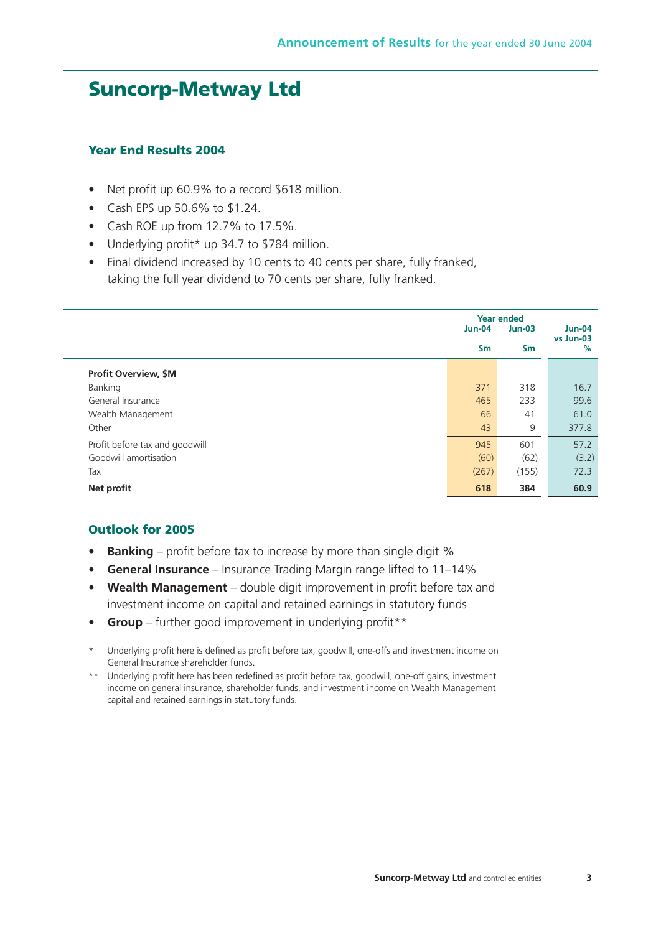## **Suncorp-Metway Ltd**

## **Year End Results 2004**

- Net profit up 60.9% to a record \$618 million.
- Cash EPS up 50.6% to \$1.24.
- Cash ROE up from 12.7% to 17.5%.
- Underlying profit\* up 34.7 to \$784 million.
- Final dividend increased by 10 cents to 40 cents per share, fully franked, taking the full year dividend to 70 cents per share, fully franked.

|                                | <b>Year ended</b><br><b>Jun-04</b> | $Jun-04$      |                |
|--------------------------------|------------------------------------|---------------|----------------|
|                                | $\mathsf{sm}$                      | $\mathsf{Sm}$ | vs Jun-03<br>% |
| <b>Profit Overview, \$M</b>    |                                    |               |                |
| Banking                        | 371                                | 318           | 16.7           |
| General Insurance              | 465                                | 233           | 99.6           |
| Wealth Management              | 66                                 | 41            | 61.0           |
| Other                          | 43                                 | 9             | 377.8          |
| Profit before tax and goodwill | 945                                | 601           | 57.2           |
| Goodwill amortisation          | (60)                               | (62)          | (3.2)          |
| Tax                            | (267)                              | (155)         | 72.3           |
| Net profit                     | 618                                | 384           | 60.9           |

## **Outlook for 2005**

- **Banking** profit before tax to increase by more than single digit %
- **General Insurance** Insurance Trading Margin range lifted to 11–14%
- **Wealth Management** double digit improvement in profit before tax and investment income on capital and retained earnings in statutory funds
- **Group** further good improvement in underlying profit\*\*
- Underlying profit here is defined as profit before tax, goodwill, one-offs and investment income on General Insurance shareholder funds.
- \*\* Underlying profit here has been redefined as profit before tax, goodwill, one-off gains, investment income on general insurance, shareholder funds, and investment income on Wealth Management capital and retained earnings in statutory funds.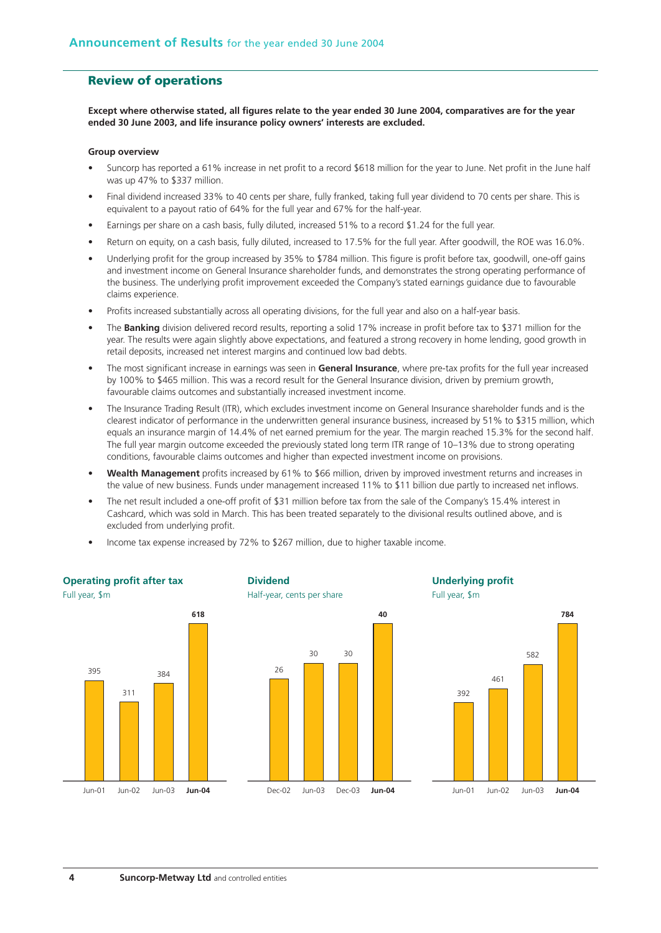## **Review of operations**

**Except where otherwise stated, all figures relate to the year ended 30 June 2004, comparatives are for the year ended 30 June 2003, and life insurance policy owners' interests are excluded.**

#### **Group overview**

- Suncorp has reported a 61% increase in net profit to a record \$618 million for the year to June. Net profit in the June half was up 47% to \$337 million.
- Final dividend increased 33% to 40 cents per share, fully franked, taking full year dividend to 70 cents per share. This is equivalent to a payout ratio of 64% for the full year and 67% for the half-year.
- Earnings per share on a cash basis, fully diluted, increased 51% to a record \$1.24 for the full year.
- Return on equity, on a cash basis, fully diluted, increased to 17.5% for the full year. After goodwill, the ROE was 16.0%.
- Underlying profit for the group increased by 35% to \$784 million. This figure is profit before tax, goodwill, one-off gains and investment income on General Insurance shareholder funds, and demonstrates the strong operating performance of the business. The underlying profit improvement exceeded the Company's stated earnings guidance due to favourable claims experience.
- Profits increased substantially across all operating divisions, for the full year and also on a half-year basis.
- The **Banking** division delivered record results, reporting a solid 17% increase in profit before tax to \$371 million for the year. The results were again slightly above expectations, and featured a strong recovery in home lending, good growth in retail deposits, increased net interest margins and continued low bad debts.
- The most significant increase in earnings was seen in **General Insurance**, where pre-tax profits for the full year increased by 100% to \$465 million. This was a record result for the General Insurance division, driven by premium growth, favourable claims outcomes and substantially increased investment income.
- The Insurance Trading Result (ITR), which excludes investment income on General Insurance shareholder funds and is the clearest indicator of performance in the underwritten general insurance business, increased by 51% to \$315 million, which equals an insurance margin of 14.4% of net earned premium for the year. The margin reached 15.3% for the second half. The full year margin outcome exceeded the previously stated long term ITR range of 10–13% due to strong operating conditions, favourable claims outcomes and higher than expected investment income on provisions.
- **Wealth Management** profits increased by 61% to \$66 million, driven by improved investment returns and increases in the value of new business. Funds under management increased 11% to \$11 billion due partly to increased net inflows.
- The net result included a one-off profit of \$31 million before tax from the sale of the Company's 15.4% interest in Cashcard, which was sold in March. This has been treated separately to the divisional results outlined above, and is excluded from underlying profit.
- Income tax expense increased by 72% to \$267 million, due to higher taxable income.

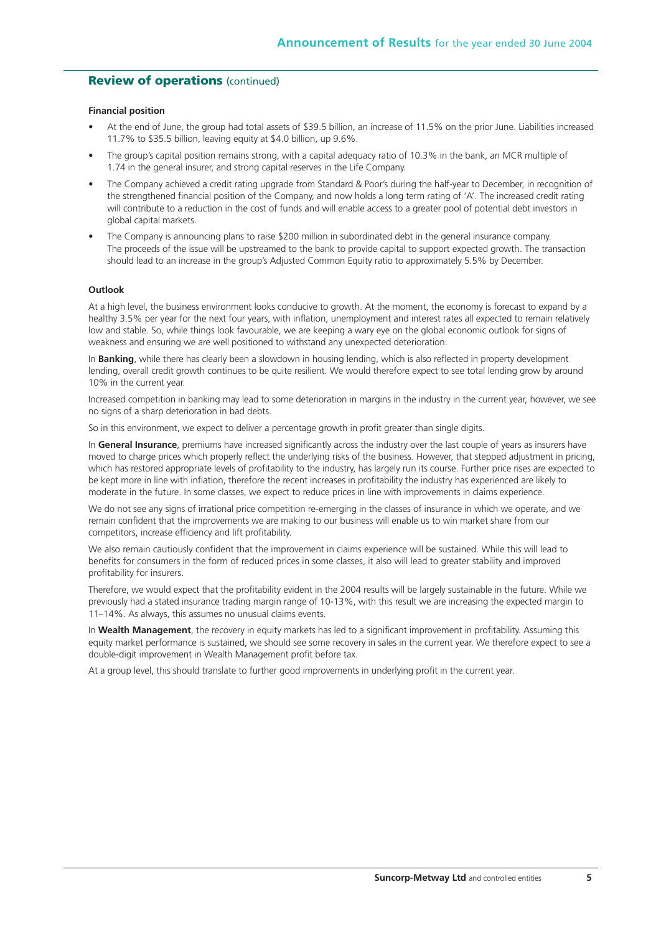#### **Review of operations** (continued)

#### **Financial position**

- At the end of June, the group had total assets of \$39.5 billion, an increase of 11.5% on the prior June. Liabilities increased 11.7% to \$35.5 billion, leaving equity at \$4.0 billion, up 9.6%.
- The group's capital position remains strong, with a capital adequacy ratio of 10.3% in the bank, an MCR multiple of 1.74 in the general insurer, and strong capital reserves in the Life Company.
- The Company achieved a credit rating upgrade from Standard & Poor's during the half-year to December, in recognition of the strengthened financial position of the Company, and now holds a long term rating of 'A'. The increased credit rating will contribute to a reduction in the cost of funds and will enable access to a greater pool of potential debt investors in global capital markets.
- The Company is announcing plans to raise \$200 million in subordinated debt in the general insurance company. The proceeds of the issue will be upstreamed to the bank to provide capital to support expected growth. The transaction should lead to an increase in the group's Adjusted Common Equity ratio to approximately 5.5% by December.

#### **Outlook**

At a high level, the business environment looks conducive to growth. At the moment, the economy is forecast to expand by a healthy 3.5% per year for the next four years, with inflation, unemployment and interest rates all expected to remain relatively low and stable. So, while things look favourable, we are keeping a wary eye on the global economic outlook for signs of weakness and ensuring we are well positioned to withstand any unexpected deterioration.

In **Banking**, while there has clearly been a slowdown in housing lending, which is also reflected in property development lending, overall credit growth continues to be quite resilient. We would therefore expect to see total lending grow by around 10% in the current year.

Increased competition in banking may lead to some deterioration in margins in the industry in the current year, however, we see no signs of a sharp deterioration in bad debts.

So in this environment, we expect to deliver a percentage growth in profit greater than single digits.

In **General Insurance**, premiums have increased significantly across the industry over the last couple of years as insurers have moved to charge prices which properly reflect the underlying risks of the business. However, that stepped adjustment in pricing, which has restored appropriate levels of profitability to the industry, has largely run its course. Further price rises are expected to be kept more in line with inflation, therefore the recent increases in profitability the industry has experienced are likely to moderate in the future. In some classes, we expect to reduce prices in line with improvements in claims experience.

We do not see any signs of irrational price competition re-emerging in the classes of insurance in which we operate, and we remain confident that the improvements we are making to our business will enable us to win market share from our competitors, increase efficiency and lift profitability.

We also remain cautiously confident that the improvement in claims experience will be sustained. While this will lead to benefits for consumers in the form of reduced prices in some classes, it also will lead to greater stability and improved profitability for insurers.

Therefore, we would expect that the profitability evident in the 2004 results will be largely sustainable in the future. While we previously had a stated insurance trading margin range of 10-13%, with this result we are increasing the expected margin to 11–14%. As always, this assumes no unusual claims events.

In **Wealth Management**, the recovery in equity markets has led to a significant improvement in profitability. Assuming this equity market performance is sustained, we should see some recovery in sales in the current year. We therefore expect to see a double-digit improvement in Wealth Management profit before tax.

At a group level, this should translate to further good improvements in underlying profit in the current year.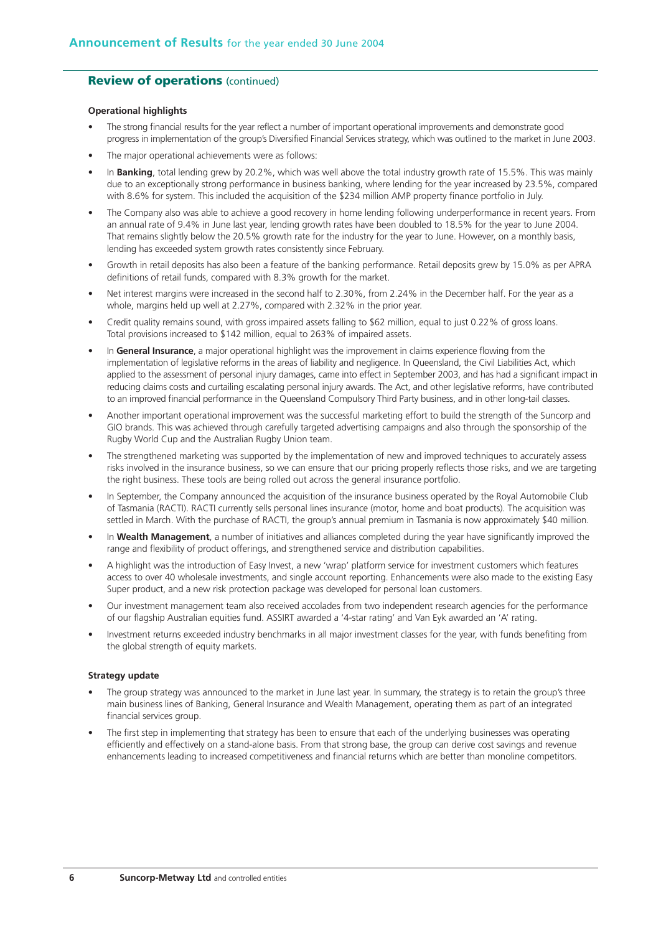## **Review of operations** (continued)

#### **Operational highlights**

- The strong financial results for the year reflect a number of important operational improvements and demonstrate good progress in implementation of the group's Diversified Financial Services strategy, which was outlined to the market in June 2003.
- The major operational achievements were as follows:
- In **Banking**, total lending grew by 20.2%, which was well above the total industry growth rate of 15.5%. This was mainly due to an exceptionally strong performance in business banking, where lending for the year increased by 23.5%, compared with 8.6% for system. This included the acquisition of the \$234 million AMP property finance portfolio in July.
- The Company also was able to achieve a good recovery in home lending following underperformance in recent years. From an annual rate of 9.4% in June last year, lending growth rates have been doubled to 18.5% for the year to June 2004. That remains slightly below the 20.5% growth rate for the industry for the year to June. However, on a monthly basis, lending has exceeded system growth rates consistently since February.
- Growth in retail deposits has also been a feature of the banking performance. Retail deposits grew by 15.0% as per APRA definitions of retail funds, compared with 8.3% growth for the market.
- Net interest margins were increased in the second half to 2.30%, from 2.24% in the December half. For the year as a whole, margins held up well at 2.27%, compared with 2.32% in the prior year.
- Credit quality remains sound, with gross impaired assets falling to \$62 million, equal to just 0.22% of gross loans. Total provisions increased to \$142 million, equal to 263% of impaired assets.
- In **General Insurance**, a major operational highlight was the improvement in claims experience flowing from the implementation of legislative reforms in the areas of liability and negligence. In Queensland, the Civil Liabilities Act, which applied to the assessment of personal injury damages, came into effect in September 2003, and has had a significant impact in reducing claims costs and curtailing escalating personal injury awards. The Act, and other legislative reforms, have contributed to an improved financial performance in the Queensland Compulsory Third Party business, and in other long-tail classes.
- Another important operational improvement was the successful marketing effort to build the strength of the Suncorp and GIO brands. This was achieved through carefully targeted advertising campaigns and also through the sponsorship of the Rugby World Cup and the Australian Rugby Union team.
- The strengthened marketing was supported by the implementation of new and improved techniques to accurately assess risks involved in the insurance business, so we can ensure that our pricing properly reflects those risks, and we are targeting the right business. These tools are being rolled out across the general insurance portfolio.
- In September, the Company announced the acquisition of the insurance business operated by the Royal Automobile Club of Tasmania (RACTI). RACTI currently sells personal lines insurance (motor, home and boat products). The acquisition was settled in March. With the purchase of RACTI, the group's annual premium in Tasmania is now approximately \$40 million.
- In **Wealth Management**, a number of initiatives and alliances completed during the year have significantly improved the range and flexibility of product offerings, and strengthened service and distribution capabilities.
- A highlight was the introduction of Easy Invest, a new 'wrap' platform service for investment customers which features access to over 40 wholesale investments, and single account reporting. Enhancements were also made to the existing Easy Super product, and a new risk protection package was developed for personal loan customers.
- Our investment management team also received accolades from two independent research agencies for the performance of our flagship Australian equities fund. ASSIRT awarded a '4-star rating' and Van Eyk awarded an 'A' rating.
- Investment returns exceeded industry benchmarks in all major investment classes for the year, with funds benefiting from the global strength of equity markets.

#### **Strategy update**

- The group strategy was announced to the market in June last year. In summary, the strategy is to retain the group's three main business lines of Banking, General Insurance and Wealth Management, operating them as part of an integrated financial services group.
- The first step in implementing that strategy has been to ensure that each of the underlying businesses was operating efficiently and effectively on a stand-alone basis. From that strong base, the group can derive cost savings and revenue enhancements leading to increased competitiveness and financial returns which are better than monoline competitors.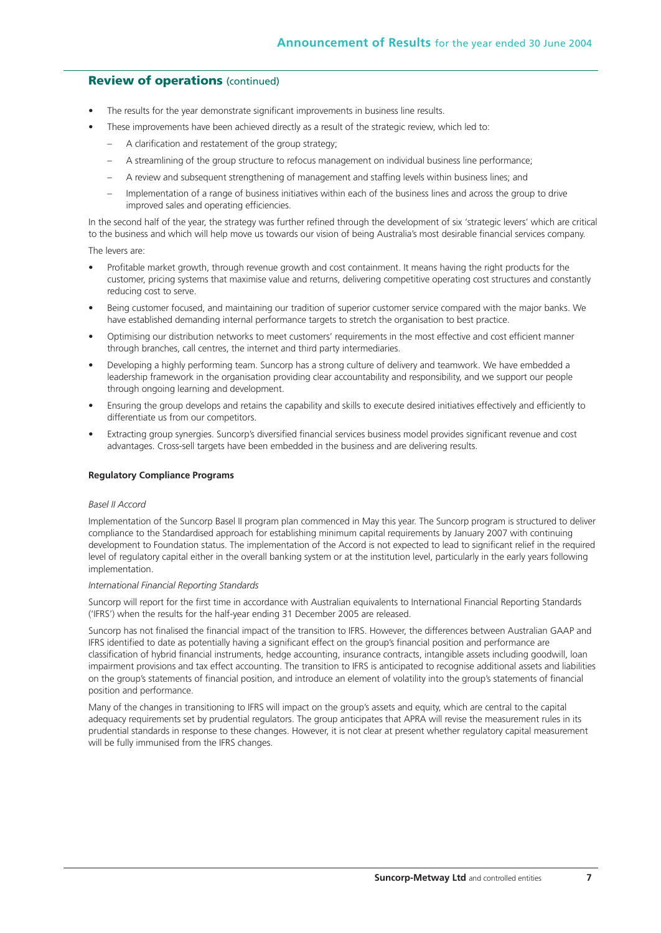#### **Review of operations** (continued)

- The results for the year demonstrate significant improvements in business line results.
- These improvements have been achieved directly as a result of the strategic review, which led to:
	- A clarification and restatement of the group strategy;
	- A streamlining of the group structure to refocus management on individual business line performance;
	- A review and subsequent strengthening of management and staffing levels within business lines; and
	- Implementation of a range of business initiatives within each of the business lines and across the group to drive improved sales and operating efficiencies.

In the second half of the year, the strategy was further refined through the development of six 'strategic levers' which are critical to the business and which will help move us towards our vision of being Australia's most desirable financial services company.

The levers are:

- Profitable market growth, through revenue growth and cost containment. It means having the right products for the customer, pricing systems that maximise value and returns, delivering competitive operating cost structures and constantly reducing cost to serve.
- Being customer focused, and maintaining our tradition of superior customer service compared with the major banks. We have established demanding internal performance targets to stretch the organisation to best practice.
- Optimising our distribution networks to meet customers' requirements in the most effective and cost efficient manner through branches, call centres, the internet and third party intermediaries.
- Developing a highly performing team. Suncorp has a strong culture of delivery and teamwork. We have embedded a leadership framework in the organisation providing clear accountability and responsibility, and we support our people through ongoing learning and development.
- Ensuring the group develops and retains the capability and skills to execute desired initiatives effectively and efficiently to differentiate us from our competitors.
- Extracting group synergies. Suncorp's diversified financial services business model provides significant revenue and cost advantages. Cross-sell targets have been embedded in the business and are delivering results.

#### **Regulatory Compliance Programs**

#### *Basel II Accord*

Implementation of the Suncorp Basel II program plan commenced in May this year. The Suncorp program is structured to deliver compliance to the Standardised approach for establishing minimum capital requirements by January 2007 with continuing development to Foundation status. The implementation of the Accord is not expected to lead to significant relief in the required level of regulatory capital either in the overall banking system or at the institution level, particularly in the early years following implementation.

#### *International Financial Reporting Standards*

Suncorp will report for the first time in accordance with Australian equivalents to International Financial Reporting Standards ('IFRS') when the results for the half-year ending 31 December 2005 are released.

Suncorp has not finalised the financial impact of the transition to IFRS. However, the differences between Australian GAAP and IFRS identified to date as potentially having a significant effect on the group's financial position and performance are classification of hybrid financial instruments, hedge accounting, insurance contracts, intangible assets including goodwill, loan impairment provisions and tax effect accounting. The transition to IFRS is anticipated to recognise additional assets and liabilities on the group's statements of financial position, and introduce an element of volatility into the group's statements of financial position and performance.

Many of the changes in transitioning to IFRS will impact on the group's assets and equity, which are central to the capital adequacy requirements set by prudential regulators. The group anticipates that APRA will revise the measurement rules in its prudential standards in response to these changes. However, it is not clear at present whether regulatory capital measurement will be fully immunised from the IFRS changes.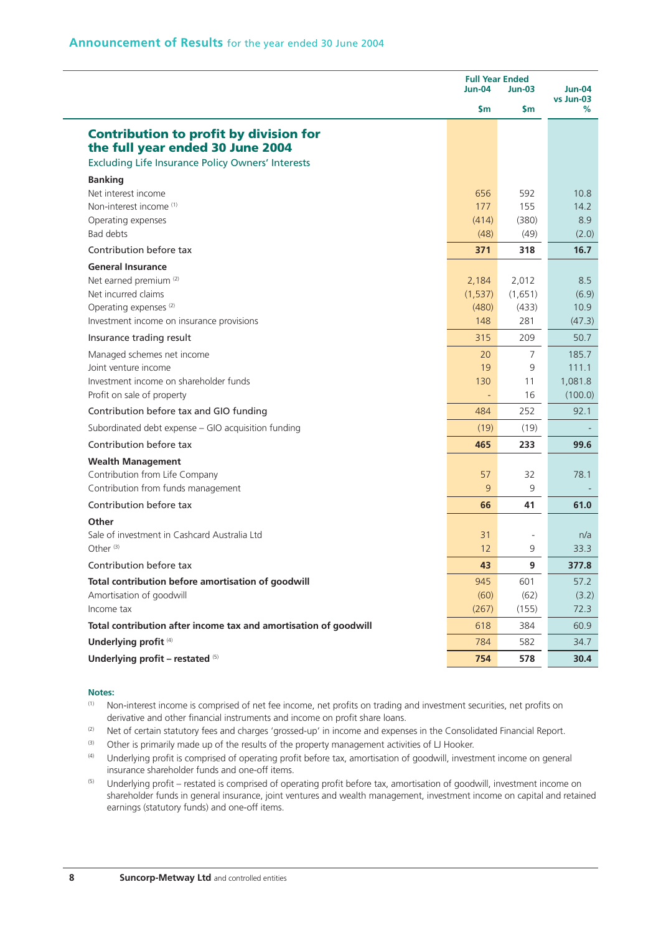|                                                                                                                                               | <b>Full Year Ended</b><br>Jun-04 | Jun-04           |                |
|-----------------------------------------------------------------------------------------------------------------------------------------------|----------------------------------|------------------|----------------|
|                                                                                                                                               | Sm                               | \$m              | vs Jun-03<br>% |
| <b>Contribution to profit by division for</b><br>the full year ended 30 June 2004<br><b>Excluding Life Insurance Policy Owners' Interests</b> |                                  |                  |                |
| <b>Banking</b>                                                                                                                                |                                  |                  |                |
| Net interest income                                                                                                                           | 656                              | 592              | 10.8           |
| Non-interest income <sup>(1)</sup>                                                                                                            | 177                              | 155              | 14.2           |
| Operating expenses                                                                                                                            | (414)                            | (380)            | 8.9            |
| Bad debts                                                                                                                                     | (48)                             | (49)             | (2.0)          |
| Contribution before tax                                                                                                                       | 371                              | 318              | 16.7           |
| <b>General Insurance</b>                                                                                                                      |                                  |                  |                |
| Net earned premium <sup>(2)</sup>                                                                                                             | 2,184                            | 2,012            | 8.5            |
| Net incurred claims<br>Operating expenses <sup>(2)</sup>                                                                                      | (1, 537)<br>(480)                | (1,651)<br>(433) | (6.9)<br>10.9  |
| Investment income on insurance provisions                                                                                                     | 148                              | 281              | (47.3)         |
| Insurance trading result                                                                                                                      | 315                              | 209              | 50.7           |
| Managed schemes net income                                                                                                                    | 20                               | $\overline{7}$   | 185.7          |
| Joint venture income                                                                                                                          | 19                               | 9                | 111.1          |
| Investment income on shareholder funds                                                                                                        | 130                              | 11               | 1,081.8        |
| Profit on sale of property                                                                                                                    | $\blacksquare$                   | 16               | (100.0)        |
| Contribution before tax and GIO funding                                                                                                       | 484                              | 252              | 92.1           |
| Subordinated debt expense - GIO acquisition funding                                                                                           | (19)                             | (19)             |                |
| Contribution before tax                                                                                                                       | 465                              | 233              | 99.6           |
| <b>Wealth Management</b>                                                                                                                      |                                  |                  |                |
| Contribution from Life Company                                                                                                                | 57                               | 32               | 78.1           |
| Contribution from funds management                                                                                                            | 9                                | 9                |                |
| Contribution before tax                                                                                                                       | 66                               | 41               | 61.0           |
| Other                                                                                                                                         |                                  |                  |                |
| Sale of investment in Cashcard Australia Ltd                                                                                                  | 31                               |                  | n/a            |
| Other <sup>(3)</sup>                                                                                                                          | 12                               | 9                | 33.3           |
| Contribution before tax                                                                                                                       | 43                               | 9                | 377.8          |
| Total contribution before amortisation of goodwill                                                                                            | 945                              | 601              | 57.2           |
| Amortisation of goodwill                                                                                                                      | (60)                             | (62)             | (3.2)          |
| Income tax                                                                                                                                    | (267)                            | (155)            | 72.3           |
| Total contribution after income tax and amortisation of goodwill                                                                              | 618                              | 384              | 60.9           |
| Underlying profit <sup>(4)</sup>                                                                                                              | 784                              | 582              | 34.7           |
| Underlying profit - restated (5)                                                                                                              | 754                              | 578              | 30.4           |

#### **Notes:**

- (1) Non-interest income is comprised of net fee income, net profits on trading and investment securities, net profits on derivative and other financial instruments and income on profit share loans.
- (2) Net of certain statutory fees and charges 'grossed-up' in income and expenses in the Consolidated Financial Report.
- (3) Other is primarily made up of the results of the property management activities of LJ Hooker.
- (4) Underlying profit is comprised of operating profit before tax, amortisation of goodwill, investment income on general insurance shareholder funds and one-off items.
- (5) Underlying profit restated is comprised of operating profit before tax, amortisation of goodwill, investment income on shareholder funds in general insurance, joint ventures and wealth management, investment income on capital and retained earnings (statutory funds) and one-off items.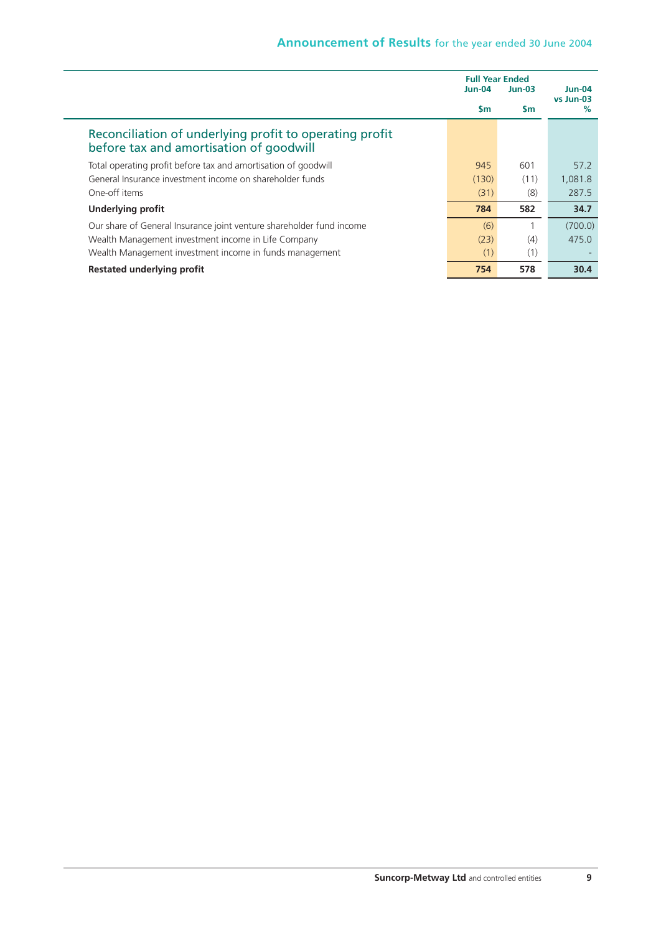|                                                                                                    | <b>Full Year Ended</b><br><b>Jun-04</b> | $Jun-03$  | $Jun-04$          |
|----------------------------------------------------------------------------------------------------|-----------------------------------------|-----------|-------------------|
|                                                                                                    | $\mathsf{sm}$                           | <b>Sm</b> | vs Jun-03<br>$\%$ |
| Reconciliation of underlying profit to operating profit<br>before tax and amortisation of goodwill |                                         |           |                   |
| Total operating profit before tax and amortisation of goodwill                                     | 945                                     | 601       | 57.2              |
| General Insurance investment income on shareholder funds                                           | (130)                                   | (11)      | 1,081.8           |
| One-off items                                                                                      | (31)                                    | (8)       | 287.5             |
| <b>Underlying profit</b>                                                                           | 784                                     | 582       | 34.7              |
| Our share of General Insurance joint venture shareholder fund income                               | (6)                                     |           | (700.0)           |
| Wealth Management investment income in Life Company                                                | (23)                                    | (4)       | 475.0             |
| Wealth Management investment income in funds management                                            | (1)                                     | (1)       |                   |
| Restated underlying profit                                                                         | 754                                     | 578       | 30.4              |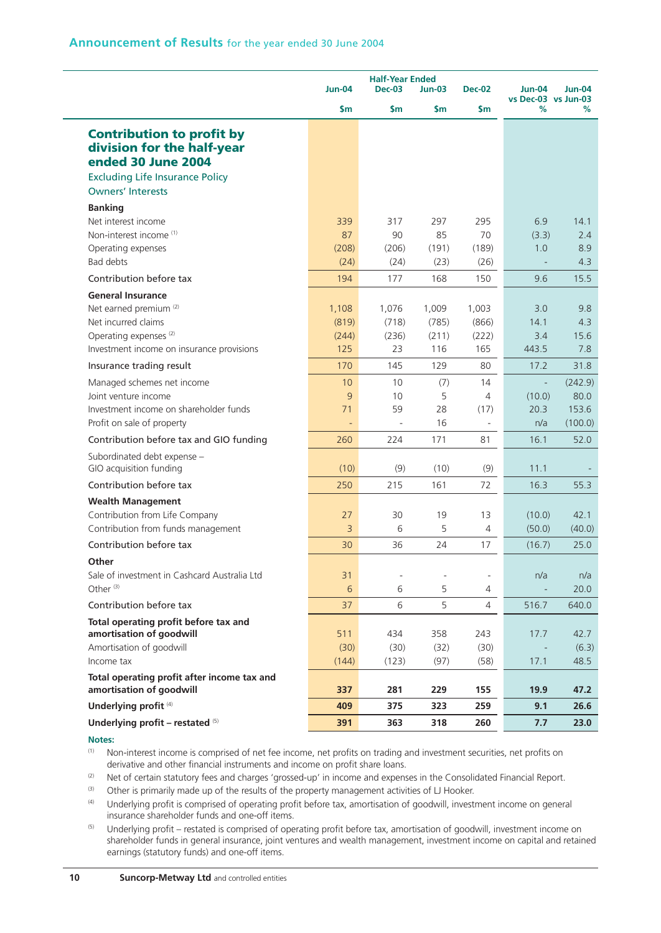|                                                                                                                                                                        | <b>Half-Year Ended</b><br><b>Jun-04</b><br><b>Dec-02</b><br><b>Dec-03</b><br>$Jun-03$ |                               |                                | <b>Jun-04</b>                               | $Jun-04$                                        |                                     |
|------------------------------------------------------------------------------------------------------------------------------------------------------------------------|---------------------------------------------------------------------------------------|-------------------------------|--------------------------------|---------------------------------------------|-------------------------------------------------|-------------------------------------|
|                                                                                                                                                                        | \$m                                                                                   | \$m                           | \$m                            | \$m                                         | vs Dec-03 vs Jun-03<br>%                        | %                                   |
| <b>Contribution to profit by</b><br>division for the half-year<br>ended 30 June 2004<br><b>Excluding Life Insurance Policy</b><br><b>Owners' Interests</b>             |                                                                                       |                               |                                |                                             |                                                 |                                     |
| <b>Banking</b><br>Net interest income<br>Non-interest income <sup>(1)</sup><br>Operating expenses<br>Bad debts                                                         | 339<br>87<br>(208)<br>(24)                                                            | 317<br>90<br>(206)<br>(24)    | 297<br>85<br>(191)<br>(23)     | 295<br>70<br>(189)<br>(26)                  | 6.9<br>(3.3)<br>1.0<br>$\overline{\phantom{a}}$ | 14.1<br>2.4<br>8.9<br>4.3           |
| Contribution before tax                                                                                                                                                | 194                                                                                   | 177                           | 168                            | 150                                         | 9.6                                             | 15.5                                |
| <b>General Insurance</b><br>Net earned premium <sup>(2)</sup><br>Net incurred claims<br>Operating expenses <sup>(2)</sup><br>Investment income on insurance provisions | 1,108<br>(819)<br>(244)<br>125                                                        | 1,076<br>(718)<br>(236)<br>23 | 1,009<br>(785)<br>(211)<br>116 | 1,003<br>(866)<br>(222)<br>165              | 3.0<br>14.1<br>3.4<br>443.5                     | 9.8<br>4.3<br>15.6<br>7.8           |
| Insurance trading result                                                                                                                                               | 170                                                                                   | 145                           | 129                            | 80                                          | 17.2                                            | 31.8                                |
| Managed schemes net income<br>Joint venture income<br>Investment income on shareholder funds<br>Profit on sale of property                                             | 10<br>9<br>71                                                                         | 10<br>10<br>59<br>$\sim$      | (7)<br>5<br>28<br>16           | 14<br>4<br>(17)<br>$\overline{\phantom{a}}$ | ÷,<br>(10.0)<br>20.3<br>n/a                     | (242.9)<br>80.0<br>153.6<br>(100.0) |
| Contribution before tax and GIO funding                                                                                                                                | 260                                                                                   | 224                           | 171                            | 81                                          | 16.1                                            | 52.0                                |
| Subordinated debt expense -<br>GIO acquisition funding                                                                                                                 | (10)                                                                                  | (9)                           | (10)                           | (9)                                         | 11.1                                            |                                     |
| Contribution before tax<br><b>Wealth Management</b>                                                                                                                    | 250                                                                                   | 215                           | 161                            | 72                                          | 16.3                                            | 55.3                                |
| Contribution from Life Company<br>Contribution from funds management                                                                                                   | 27<br>3                                                                               | 30<br>6                       | 19<br>5                        | 13<br>$\overline{4}$                        | (10.0)<br>(50.0)                                | 42.1<br>(40.0)                      |
| Contribution before tax                                                                                                                                                | 30                                                                                    | 36                            | 24                             | 17                                          | (16.7)                                          | 25.0                                |
| Other<br>Sale of investment in Cashcard Australia Ltd<br>Other <sup>(3)</sup>                                                                                          | 31<br>6                                                                               | $\overline{\phantom{a}}$<br>6 | $\overline{\phantom{a}}$<br>5  | ÷,<br>$\overline{4}$                        | n/a                                             | n/a<br>20.0                         |
| Contribution before tax                                                                                                                                                | 37                                                                                    | 6                             | 5                              | $\overline{4}$                              | 516.7                                           | 640.0                               |
| Total operating profit before tax and<br>amortisation of goodwill<br>Amortisation of goodwill<br>Income tax                                                            | 511<br>(30)<br>(144)                                                                  | 434<br>(30)<br>(123)          | 358<br>(32)<br>(97)            | 243<br>(30)<br>(58)                         | 17.7<br>17.1                                    | 42.7<br>(6.3)<br>48.5               |
| Total operating profit after income tax and<br>amortisation of goodwill                                                                                                | 337                                                                                   | 281                           | 229                            | 155                                         | 19.9                                            | 47.2                                |
| Underlying profit <sup>(4)</sup>                                                                                                                                       | 409                                                                                   | 375                           | 323                            | 259                                         | 9.1                                             | 26.6                                |
| Underlying profit - restated (5)                                                                                                                                       | 391                                                                                   | 363                           | 318                            | 260                                         | 7.7                                             | 23.0                                |

**Notes:**

(1) Non-interest income is comprised of net fee income, net profits on trading and investment securities, net profits on derivative and other financial instruments and income on profit share loans.

(2) Net of certain statutory fees and charges 'grossed-up' in income and expenses in the Consolidated Financial Report.

(3) Other is primarily made up of the results of the property management activities of LJ Hooker.

(4) Underlying profit is comprised of operating profit before tax, amortisation of goodwill, investment income on general insurance shareholder funds and one-off items.

<sup>(5)</sup> Underlying profit – restated is comprised of operating profit before tax, amortisation of goodwill, investment income on shareholder funds in general insurance, joint ventures and wealth management, investment income on capital and retained earnings (statutory funds) and one-off items.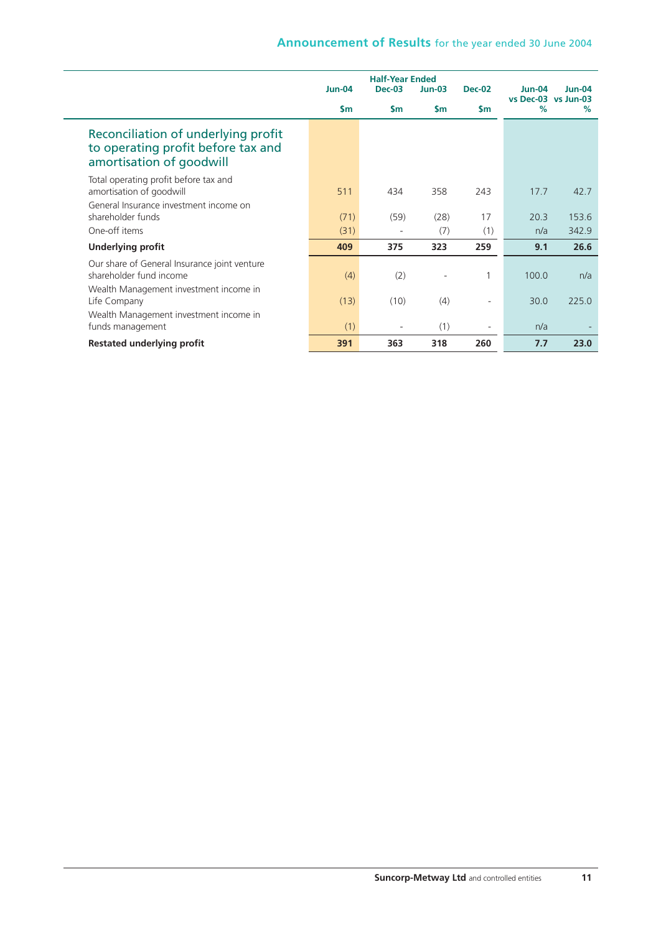|                                                                                                             |               | <b>Half-Year Ended</b> |               |               |                                      |          |
|-------------------------------------------------------------------------------------------------------------|---------------|------------------------|---------------|---------------|--------------------------------------|----------|
|                                                                                                             | <b>Jun-04</b> | <b>Dec-03</b>          | $Jun-03$      | <b>Dec-02</b> | <b>Jun-04</b><br>vs Dec-03 vs Jun-03 | $Jun-04$ |
|                                                                                                             | $\mathsf{sm}$ | $\mathsf{sm}$          | $\mathsf{sm}$ | $\mathsf{Sm}$ | $\%$                                 | $\%$     |
| Reconciliation of underlying profit<br>to operating profit before tax and<br>amortisation of goodwill       |               |                        |               |               |                                      |          |
| Total operating profit before tax and<br>amortisation of goodwill<br>General Insurance investment income on | 511           | 434                    | 358           | 243           | 17.7                                 | 42.7     |
| shareholder funds                                                                                           | (71)          | (59)                   | (28)          | 17            | 20.3                                 | 153.6    |
| One-off items                                                                                               | (31)          |                        | (7)           | (1)           | n/a                                  | 342.9    |
| <b>Underlying profit</b>                                                                                    | 409           | 375                    | 323           | 259           | 9.1                                  | 26.6     |
| Our share of General Insurance joint venture<br>shareholder fund income                                     | (4)           | (2)                    |               |               | 100.0                                | n/a      |
| Wealth Management investment income in<br>Life Company                                                      | (13)          | (10)                   | (4)           |               | 30.0                                 | 225.0    |
| Wealth Management investment income in<br>funds management                                                  | (1)           |                        | (1)           | ٠             | n/a                                  |          |
| <b>Restated underlying profit</b>                                                                           | 391           | 363                    | 318           | 260           | 7.7                                  | 23.0     |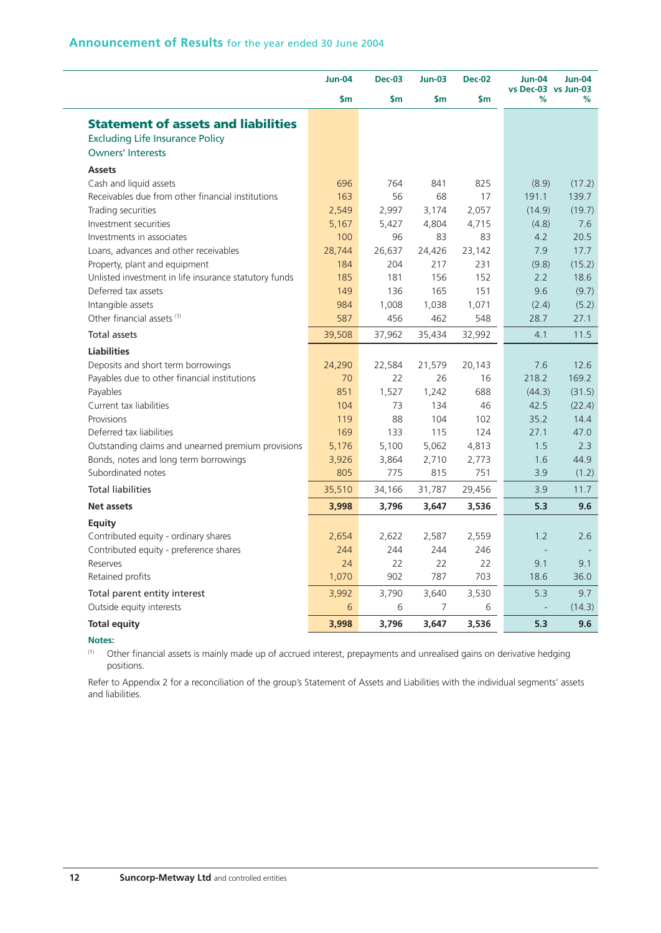|                                                       | <b>Jun-04</b> | <b>Dec-03</b> | <b>Jun-03</b> | <b>Dec-02</b> | <b>Jun-04</b><br>vs Dec-03 vs Jun-03 | <b>Jun-04</b> |
|-------------------------------------------------------|---------------|---------------|---------------|---------------|--------------------------------------|---------------|
|                                                       | $\mathsf{sm}$ | \$m           | <b>Sm</b>     | \$m           | %                                    | %             |
| <b>Statement of assets and liabilities</b>            |               |               |               |               |                                      |               |
| <b>Excluding Life Insurance Policy</b>                |               |               |               |               |                                      |               |
| <b>Owners' Interests</b>                              |               |               |               |               |                                      |               |
| <b>Assets</b>                                         |               |               |               |               |                                      |               |
| Cash and liquid assets                                | 696           | 764           | 841           | 825           | (8.9)                                | (17.2)        |
| Receivables due from other financial institutions     | 163           | 56            | 68            | 17            | 191.1                                | 139.7         |
| Trading securities                                    | 2,549         | 2,997         | 3,174         | 2,057         | (14.9)                               | (19.7)        |
| Investment securities                                 | 5,167         | 5,427         | 4,804         | 4,715         | (4.8)                                | 7.6           |
| Investments in associates                             | 100           | 96            | 83            | 83            | 4.2                                  | 20.5          |
| Loans, advances and other receivables                 | 28,744        | 26,637        | 24,426        | 23,142        | 7.9                                  | 17.7          |
| Property, plant and equipment                         | 184           | 204           | 217           | 231           | (9.8)                                | (15.2)        |
| Unlisted investment in life insurance statutory funds | 185           | 181           | 156           | 152           | 2.2                                  | 18.6          |
| Deferred tax assets                                   | 149           | 136           | 165           | 151           | 9.6                                  | (9.7)         |
| Intangible assets                                     | 984           | 1,008         | 1,038         | 1,071         | (2.4)                                | (5.2)         |
| Other financial assets (1)                            | 587           | 456           | 462           | 548           | 28.7                                 | 27.1          |
| <b>Total assets</b>                                   | 39,508        | 37,962        | 35,434        | 32,992        | 4.1                                  | 11.5          |
| <b>Liabilities</b>                                    |               |               |               |               |                                      |               |
| Deposits and short term borrowings                    | 24,290        | 22,584        | 21,579        | 20,143        | 7.6                                  | 12.6          |
| Payables due to other financial institutions          | 70            | 22            | 26            | 16            | 218.2                                | 169.2         |
| Payables                                              | 851           | 1,527         | 1,242         | 688           | (44.3)                               | (31.5)        |
| Current tax liabilities                               | 104           | 73            | 134           | 46            | 42.5                                 | (22.4)        |
| Provisions                                            | 119           | 88            | 104           | 102           | 35.2                                 | 14.4          |
| Deferred tax liabilities                              | 169           | 133           | 115           | 124           | 27.1                                 | 47.0          |
| Outstanding claims and unearned premium provisions    | 5,176         | 5,100         | 5,062         | 4,813         | 1.5                                  | 2.3           |
| Bonds, notes and long term borrowings                 | 3,926         | 3,864         | 2,710         | 2,773         | 1.6                                  | 44.9          |
| Subordinated notes                                    | 805           | 775           | 815           | 751           | 3.9                                  | (1.2)         |
| <b>Total liabilities</b>                              | 35,510        | 34,166        | 31,787        | 29,456        | 3.9                                  | 11.7          |
| <b>Net assets</b>                                     | 3,998         | 3,796         | 3,647         | 3,536         | 5.3                                  | 9.6           |
| Equity                                                |               |               |               |               |                                      |               |
| Contributed equity - ordinary shares                  | 2,654         | 2,622         | 2,587         | 2,559         | 1.2                                  | 2.6           |
| Contributed equity - preference shares                | 244           | 244           | 244           | 246           |                                      |               |
| Reserves                                              | 24            | 22            | 22            | 22            | 9.1                                  | 9.1           |
| Retained profits                                      | 1,070         | 902           | 787           | 703           | 18.6                                 | 36.0          |
| Total parent entity interest                          | 3,992         | 3,790         | 3,640         | 3,530         | 5.3                                  | 9.7           |
| Outside equity interests                              | 6             | 6             | 7             | 6             |                                      | (14.3)        |
| <b>Total equity</b>                                   | 3,998         | 3,796         | 3,647         | 3,536         | 5.3                                  | 9.6           |

#### **Notes:**

(1) Other financial assets is mainly made up of accrued interest, prepayments and unrealised gains on derivative hedging positions.

Refer to Appendix 2 for a reconciliation of the group's Statement of Assets and Liabilities with the individual segments' assets and liabilities.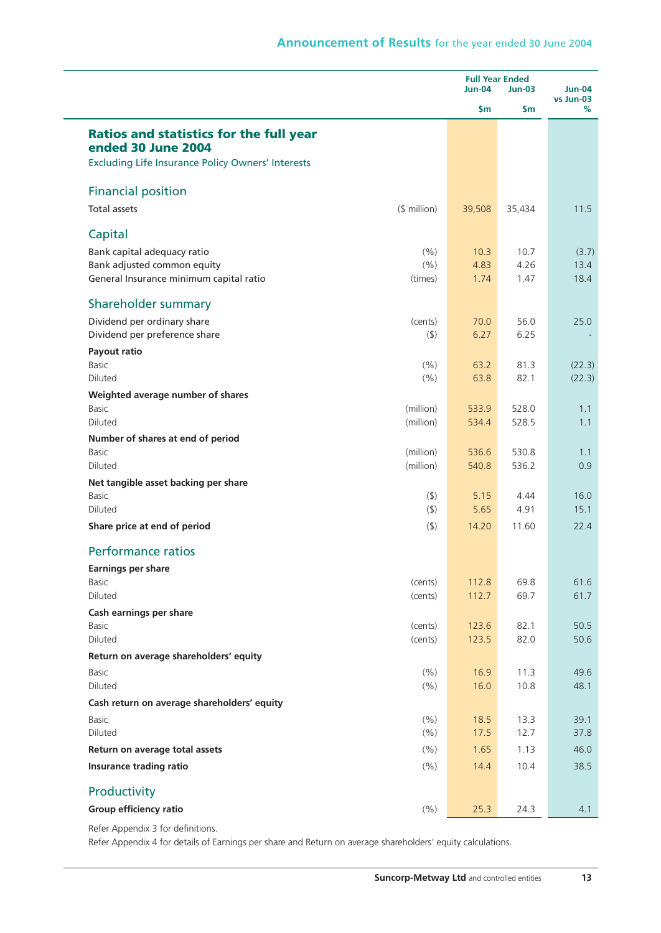|                                                                      |                    | <b>Full Year Ended</b><br><b>Jun-04</b> | <b>Jun-04</b><br>vs Jun-03 |              |
|----------------------------------------------------------------------|--------------------|-----------------------------------------|----------------------------|--------------|
|                                                                      |                    | \$m                                     | $\mathsf{S}$ m             | %            |
| <b>Ratios and statistics for the full year</b><br>ended 30 June 2004 |                    |                                         |                            |              |
| <b>Excluding Life Insurance Policy Owners' Interests</b>             |                    |                                         |                            |              |
| <b>Financial position</b>                                            |                    |                                         |                            |              |
| <b>Total assets</b>                                                  | $$$ million)       | 39,508                                  | 35,434                     | 11.5         |
| Capital                                                              |                    |                                         |                            |              |
| Bank capital adequacy ratio                                          | (% )               | 10.3                                    | 10.7                       | (3.7)        |
| Bank adjusted common equity                                          | (%)                | 4.83                                    | 4.26                       | 13.4         |
| General Insurance minimum capital ratio                              | (times)            | 1.74                                    | 1.47                       | 18.4         |
| Shareholder summary                                                  |                    |                                         |                            |              |
| Dividend per ordinary share                                          | (cents)            | 70.0                                    | 56.0                       | 25.0         |
| Dividend per preference share                                        | (5)                | 6.27                                    | 6.25                       |              |
| Payout ratio                                                         |                    |                                         |                            |              |
| Basic                                                                | (% )               | 63.2                                    | 81.3                       | (22.3)       |
| <b>Diluted</b>                                                       | (% )               | 63.8                                    | 82.1                       | (22.3)       |
| Weighted average number of shares<br><b>Basic</b>                    | (million)          | 533.9                                   | 528.0                      | 1.1          |
| <b>Diluted</b>                                                       | (million)          | 534.4                                   | 528.5                      | 1.1          |
| Number of shares at end of period                                    |                    |                                         |                            |              |
| <b>Basic</b>                                                         | (million)          | 536.6                                   | 530.8                      | 1.1          |
| <b>Diluted</b>                                                       | (million)          | 540.8                                   | 536.2                      | 0.9          |
| Net tangible asset backing per share                                 |                    |                                         |                            |              |
| <b>Basic</b>                                                         | $($ \$)            | 5.15                                    | 4.44                       | 16.0         |
| Diluted                                                              | $($ \$)            | 5.65                                    | 4.91                       | 15.1         |
| Share price at end of period                                         | (5)                | 14.20                                   | 11.60                      | 22.4         |
| <b>Performance ratios</b>                                            |                    |                                         |                            |              |
| <b>Earnings per share</b>                                            |                    |                                         |                            |              |
| <b>Basic</b>                                                         | (cents)            | 112.8                                   | 69.8                       | 61.6         |
| Diluted                                                              | (cents)            | 112.7                                   | 69.7                       | 61.7         |
| Cash earnings per share                                              |                    |                                         |                            |              |
| Basic<br>Diluted                                                     | (cents)<br>(cents) | 123.6<br>123.5                          | 82.1<br>82.0               | 50.5<br>50.6 |
| Return on average shareholders' equity                               |                    |                                         |                            |              |
| <b>Basic</b>                                                         | (9/6)              | 16.9                                    | 11.3                       | 49.6         |
| Diluted                                                              | (% )               | 16.0                                    | 10.8                       | 48.1         |
| Cash return on average shareholders' equity                          |                    |                                         |                            |              |
| <b>Basic</b>                                                         | (% )               | 18.5                                    | 13.3                       | 39.1         |
| Diluted                                                              | (% )               | 17.5                                    | 12.7                       | 37.8         |
| Return on average total assets                                       | (% )               | 1.65                                    | 1.13                       | 46.0         |
| Insurance trading ratio                                              | (% )               | 14.4                                    | 10.4                       | 38.5         |
| Productivity                                                         |                    |                                         |                            |              |
| Group efficiency ratio                                               | (%)                | 25.3                                    | 24.3                       | 4.1          |

Refer Appendix 3 for definitions.

Refer Appendix 4 for details of Earnings per share and Return on average shareholders' equity calculations.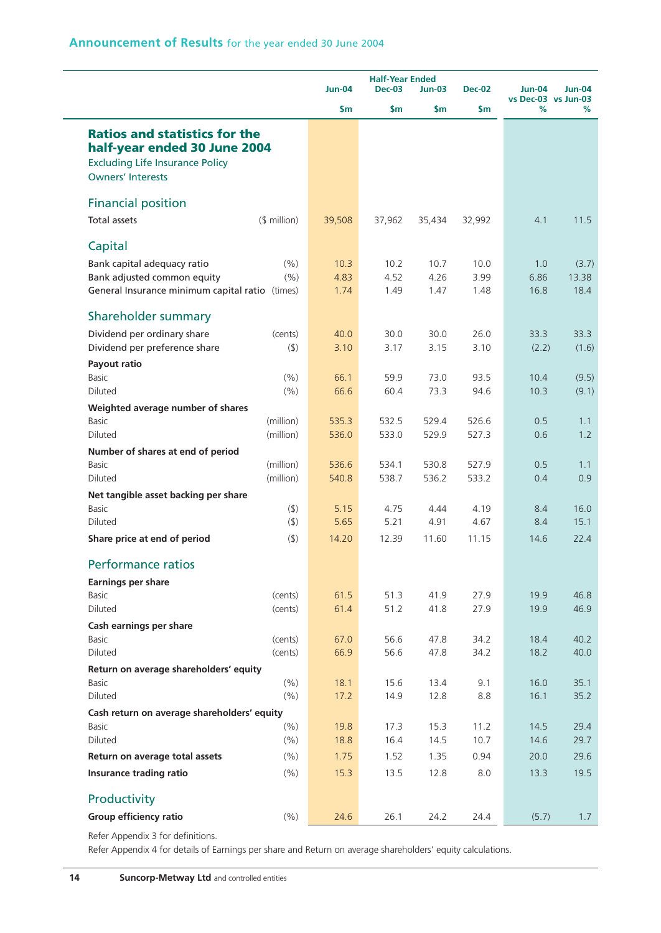|                                                                                                                                            |                    |               |               | <b>Half-Year Ended</b> |               |                                      |              |
|--------------------------------------------------------------------------------------------------------------------------------------------|--------------------|---------------|---------------|------------------------|---------------|--------------------------------------|--------------|
|                                                                                                                                            |                    | <b>Jun-04</b> | <b>Dec-03</b> | $Jun-03$               | <b>Dec-02</b> | <b>Jun-04</b><br>vs Dec-03 vs Jun-03 | Jun-04       |
|                                                                                                                                            |                    | \$m           | \$m           | \$m                    | \$m           | %                                    | %            |
| <b>Ratios and statistics for the</b><br>half-year ended 30 June 2004<br><b>Excluding Life Insurance Policy</b><br><b>Owners' Interests</b> |                    |               |               |                        |               |                                      |              |
| <b>Financial position</b>                                                                                                                  |                    |               |               |                        |               |                                      |              |
| <b>Total assets</b>                                                                                                                        | $$$ million)       | 39,508        | 37,962        | 35,434                 | 32,992        | 4.1                                  | 11.5         |
| Capital                                                                                                                                    |                    |               |               |                        |               |                                      |              |
| Bank capital adequacy ratio                                                                                                                | (% )               | 10.3          | 10.2          | 10.7                   | 10.0          | 1.0                                  | (3.7)        |
| Bank adjusted common equity                                                                                                                | (% )               | 4.83          | 4.52          | 4.26                   | 3.99          | 6.86                                 | 13.38        |
| General Insurance minimum capital ratio (times)                                                                                            |                    | 1.74          | 1.49          | 1.47                   | 1.48          | 16.8                                 | 18.4         |
| Shareholder summary                                                                                                                        |                    |               |               |                        |               |                                      |              |
| Dividend per ordinary share                                                                                                                | (cents)            | 40.0          | 30.0          | 30.0                   | 26.0          | 33.3                                 | 33.3         |
| Dividend per preference share                                                                                                              | $($ \$)            | 3.10          | 3.17          | 3.15                   | 3.10          | (2.2)                                | (1.6)        |
| Payout ratio                                                                                                                               |                    |               |               |                        |               |                                      |              |
| Basic                                                                                                                                      | (% )               | 66.1          | 59.9          | 73.0                   | 93.5          | 10.4                                 | (9.5)        |
| Diluted                                                                                                                                    | (% )               | 66.6          | 60.4          | 73.3                   | 94.6          | 10.3                                 | (9.1)        |
| Weighted average number of shares                                                                                                          |                    |               |               |                        |               |                                      |              |
| <b>Basic</b>                                                                                                                               | (million)          | 535.3         | 532.5         | 529.4                  | 526.6         | 0.5                                  | 1.1          |
| Diluted                                                                                                                                    | (million)          | 536.0         | 533.0         | 529.9                  | 527.3         | 0.6                                  | 1.2          |
| Number of shares at end of period                                                                                                          |                    |               |               |                        |               |                                      |              |
| Basic                                                                                                                                      | (million)          | 536.6         | 534.1         | 530.8                  | 527.9         | 0.5                                  | 1.1          |
| Diluted                                                                                                                                    | (million)          | 540.8         | 538.7         | 536.2                  | 533.2         | 0.4                                  | 0.9          |
| Net tangible asset backing per share                                                                                                       |                    |               |               |                        |               |                                      |              |
| Basic                                                                                                                                      | $($ \$)            | 5.15          | 4.75          | 4.44                   | 4.19          | 8.4                                  | 16.0         |
| Diluted                                                                                                                                    | $($ \$)            | 5.65          | 5.21          | 4.91                   | 4.67          | 8.4                                  | 15.1         |
| Share price at end of period                                                                                                               | (5)                | 14.20         | 12.39         | 11.60                  | 11.15         | 14.6                                 | 22.4         |
| <b>Performance ratios</b>                                                                                                                  |                    |               |               |                        |               |                                      |              |
| <b>Earnings per share</b>                                                                                                                  |                    |               |               |                        |               |                                      |              |
| <b>Basic</b>                                                                                                                               | (cents)            | 61.5          | 51.3          | 41.9                   | 27.9          | 19.9                                 | 46.8         |
| Diluted                                                                                                                                    | (cents)            | 61.4          | 51.2          | 41.8                   | 27.9          | 19.9                                 | 46.9         |
| Cash earnings per share                                                                                                                    |                    |               |               |                        |               |                                      |              |
| Basic<br>Diluted                                                                                                                           | (cents)<br>(cents) | 67.0<br>66.9  | 56.6<br>56.6  | 47.8<br>47.8           | 34.2<br>34.2  | 18.4<br>18.2                         | 40.2<br>40.0 |
|                                                                                                                                            |                    |               |               |                        |               |                                      |              |
| Return on average shareholders' equity<br><b>Basic</b>                                                                                     | (% )               | 18.1          | 15.6          | 13.4                   | 9.1           | 16.0                                 | 35.1         |
| Diluted                                                                                                                                    | (% )               | 17.2          | 14.9          | 12.8                   | 8.8           | 16.1                                 | 35.2         |
| Cash return on average shareholders' equity                                                                                                |                    |               |               |                        |               |                                      |              |
| <b>Basic</b>                                                                                                                               | (% )               | 19.8          | 17.3          | 15.3                   | 11.2          | 14.5                                 | 29.4         |
| Diluted                                                                                                                                    | (%)                | 18.8          | 16.4          | 14.5                   | 10.7          | 14.6                                 | 29.7         |
| Return on average total assets                                                                                                             | (% )               | 1.75          | 1.52          | 1.35                   | 0.94          | 20.0                                 | 29.6         |
| Insurance trading ratio                                                                                                                    | (% )               | 15.3          | 13.5          | 12.8                   | 8.0           | 13.3                                 | 19.5         |
| Productivity                                                                                                                               |                    |               |               |                        |               |                                      |              |
|                                                                                                                                            |                    |               |               |                        |               |                                      |              |
| Group efficiency ratio                                                                                                                     | (% )               | 24.6          | 26.1          | 24.2                   | 24.4          | (5.7)                                | 1.7          |

Refer Appendix 3 for definitions.

Refer Appendix 4 for details of Earnings per share and Return on average shareholders' equity calculations.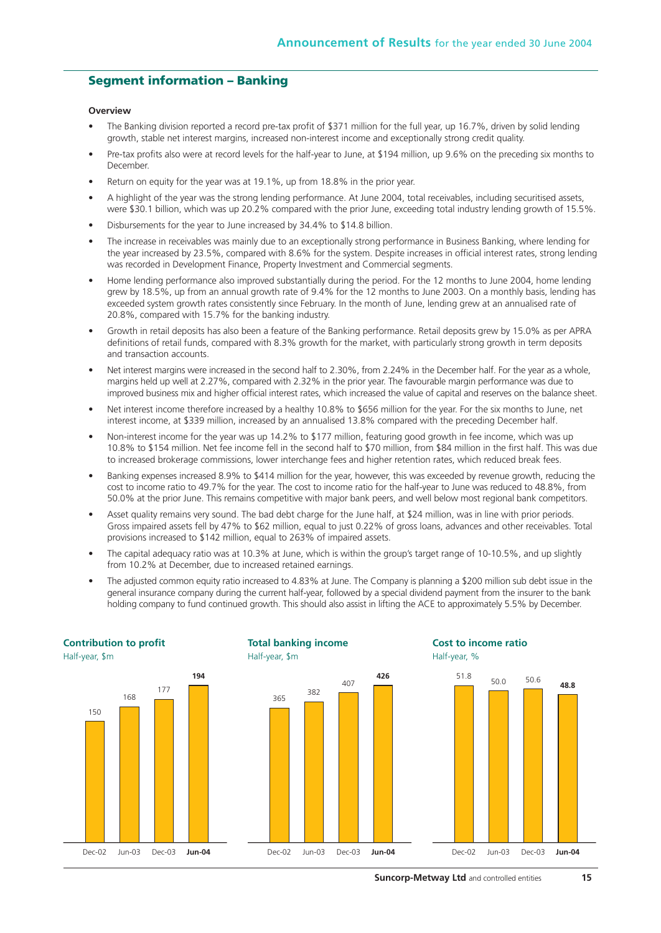#### **Segment information – Banking**

#### **Overview**

- The Banking division reported a record pre-tax profit of \$371 million for the full year, up 16.7%, driven by solid lending growth, stable net interest margins, increased non-interest income and exceptionally strong credit quality.
- Pre-tax profits also were at record levels for the half-year to June, at \$194 million, up 9.6% on the preceding six months to December.
- Return on equity for the year was at 19.1%, up from 18.8% in the prior year.
- A highlight of the year was the strong lending performance. At June 2004, total receivables, including securitised assets, were \$30.1 billion, which was up 20.2% compared with the prior June, exceeding total industry lending growth of 15.5%.
- Disbursements for the year to June increased by 34.4% to \$14.8 billion.
- The increase in receivables was mainly due to an exceptionally strong performance in Business Banking, where lending for the year increased by 23.5%, compared with 8.6% for the system. Despite increases in official interest rates, strong lending was recorded in Development Finance, Property Investment and Commercial segments.
- Home lending performance also improved substantially during the period. For the 12 months to June 2004, home lending grew by 18.5%, up from an annual growth rate of 9.4% for the 12 months to June 2003. On a monthly basis, lending has exceeded system growth rates consistently since February. In the month of June, lending grew at an annualised rate of 20.8%, compared with 15.7% for the banking industry.
- Growth in retail deposits has also been a feature of the Banking performance. Retail deposits grew by 15.0% as per APRA definitions of retail funds, compared with 8.3% growth for the market, with particularly strong growth in term deposits and transaction accounts.
- Net interest margins were increased in the second half to 2.30%, from 2.24% in the December half. For the year as a whole, margins held up well at 2.27%, compared with 2.32% in the prior year. The favourable margin performance was due to improved business mix and higher official interest rates, which increased the value of capital and reserves on the balance sheet.
- Net interest income therefore increased by a healthy 10.8% to \$656 million for the year. For the six months to June, net interest income, at \$339 million, increased by an annualised 13.8% compared with the preceding December half.
- Non-interest income for the year was up 14.2% to \$177 million, featuring good growth in fee income, which was up 10.8% to \$154 million. Net fee income fell in the second half to \$70 million, from \$84 million in the first half. This was due to increased brokerage commissions, lower interchange fees and higher retention rates, which reduced break fees.
- Banking expenses increased 8.9% to \$414 million for the year, however, this was exceeded by revenue growth, reducing the cost to income ratio to 49.7% for the year. The cost to income ratio for the half-year to June was reduced to 48.8%, from 50.0% at the prior June. This remains competitive with major bank peers, and well below most regional bank competitors.
- Asset quality remains very sound. The bad debt charge for the June half, at \$24 million, was in line with prior periods. Gross impaired assets fell by 47% to \$62 million, equal to just 0.22% of gross loans, advances and other receivables. Total provisions increased to \$142 million, equal to 263% of impaired assets.
- The capital adequacy ratio was at 10.3% at June, which is within the group's target range of 10-10.5%, and up slightly from 10.2% at December, due to increased retained earnings.
- The adjusted common equity ratio increased to 4.83% at June. The Company is planning a \$200 million sub debt issue in the general insurance company during the current half-year, followed by a special dividend payment from the insurer to the bank holding company to fund continued growth. This should also assist in lifting the ACE to approximately 5.5% by December.

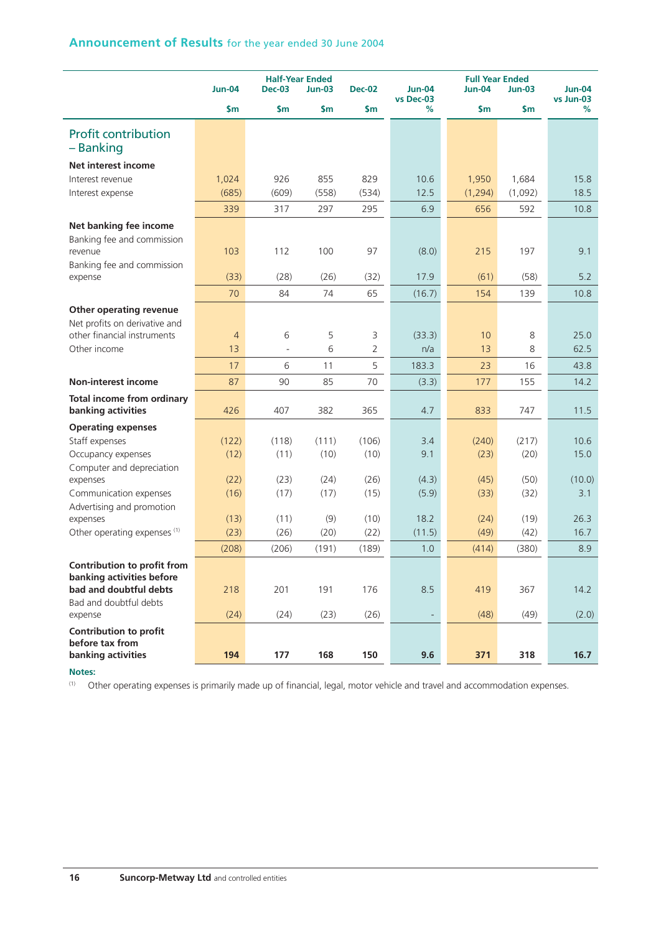|                                                         | <b>Jun-04</b>  | <b>Half-Year Ended</b><br><b>Dec-03</b> | $Jun-03$ | <b>Dec-02</b>  | <b>Jun-04</b><br>vs Dec-03 | <b>Full Year Ended</b><br><b>Jun-04</b> | <b>Jun-03</b> | $Jun-04$<br>vs Jun-03 |
|---------------------------------------------------------|----------------|-----------------------------------------|----------|----------------|----------------------------|-----------------------------------------|---------------|-----------------------|
|                                                         | $\mathsf{sm}$  | \$m                                     | \$m      | \$m            | %                          | \$m                                     | \$m           | %                     |
| <b>Profit contribution</b><br>- Banking                 |                |                                         |          |                |                            |                                         |               |                       |
| <b>Net interest income</b>                              |                |                                         |          |                |                            |                                         |               |                       |
| Interest revenue                                        | 1,024          | 926                                     | 855      | 829            | 10.6                       | 1,950                                   | 1,684         | 15.8                  |
| Interest expense                                        | (685)          | (609)                                   | (558)    | (534)          | 12.5                       | (1, 294)                                | (1,092)       | 18.5                  |
|                                                         | 339            | 317                                     | 297      | 295            | 6.9                        | 656                                     | 592           | 10.8                  |
| Net banking fee income                                  |                |                                         |          |                |                            |                                         |               |                       |
| Banking fee and commission                              |                |                                         |          |                |                            |                                         |               |                       |
| revenue                                                 | 103            | 112                                     | 100      | 97             | (8.0)                      | 215                                     | 197           | 9.1                   |
| Banking fee and commission                              |                |                                         |          |                |                            |                                         |               |                       |
| expense                                                 | (33)           | (28)                                    | (26)     | (32)           | 17.9                       | (61)                                    | (58)          | 5.2                   |
|                                                         | 70             | 84                                      | 74       | 65             | (16.7)                     | 154                                     | 139           | 10.8                  |
| Other operating revenue                                 |                |                                         |          |                |                            |                                         |               |                       |
| Net profits on derivative and                           |                |                                         |          |                |                            |                                         |               |                       |
| other financial instruments                             | $\overline{4}$ | 6                                       | 5        | 3              | (33.3)                     | 10                                      | 8             | 25.0                  |
| Other income                                            | 13             | J.                                      | 6        | $\overline{2}$ | n/a                        | 13                                      | 8             | 62.5                  |
|                                                         | 17             | 6                                       | 11       | 5              | 183.3                      | 23                                      | 16            | 43.8                  |
| <b>Non-interest income</b>                              | 87             | 90                                      | 85       | 70             | (3.3)                      | 177                                     | 155           | 14.2                  |
| <b>Total income from ordinary</b><br>banking activities | 426            | 407                                     | 382      | 365            | 4.7                        | 833                                     | 747           | 11.5                  |
| <b>Operating expenses</b>                               |                |                                         |          |                |                            |                                         |               |                       |
| Staff expenses                                          | (122)          | (118)                                   | (111)    | (106)          | 3.4                        | (240)                                   | (217)         | 10.6                  |
| Occupancy expenses                                      | (12)           | (11)                                    | (10)     | (10)           | 9.1                        | (23)                                    | (20)          | 15.0                  |
| Computer and depreciation                               |                |                                         |          |                |                            |                                         |               |                       |
| expenses                                                | (22)           | (23)                                    | (24)     | (26)           | (4.3)                      | (45)                                    | (50)          | (10.0)                |
| Communication expenses                                  | (16)           | (17)                                    | (17)     | (15)           | (5.9)                      | (33)                                    | (32)          | 3.1                   |
| Advertising and promotion<br>expenses                   | (13)           | (11)                                    | (9)      | (10)           | 18.2                       | (24)                                    | (19)          | 26.3                  |
| Other operating expenses (1)                            | (23)           | (26)                                    | (20)     | (22)           | (11.5)                     | (49)                                    | (42)          | 16.7                  |
|                                                         | (208)          | (206)                                   | (191)    | (189)          | 1.0                        | (414)                                   | (380)         | 8.9                   |
| Contribution to profit from                             |                |                                         |          |                |                            |                                         |               |                       |
| banking activities before                               |                |                                         |          |                |                            |                                         |               |                       |
| bad and doubtful debts                                  | 218            | 201                                     | 191      | 176            | 8.5                        | 419                                     | 367           | 14.2                  |
| Bad and doubtful debts                                  |                |                                         |          |                |                            |                                         |               |                       |
| expense                                                 | (24)           | (24)                                    | (23)     | (26)           |                            | (48)                                    | (49)          | (2.0)                 |
| <b>Contribution to profit</b>                           |                |                                         |          |                |                            |                                         |               |                       |
| before tax from                                         |                |                                         |          |                |                            |                                         |               |                       |
| banking activities                                      | 194            | 177                                     | 168      | 150            | 9.6                        | 371                                     | 318           | 16.7                  |

**Notes:**

(1) Other operating expenses is primarily made up of financial, legal, motor vehicle and travel and accommodation expenses.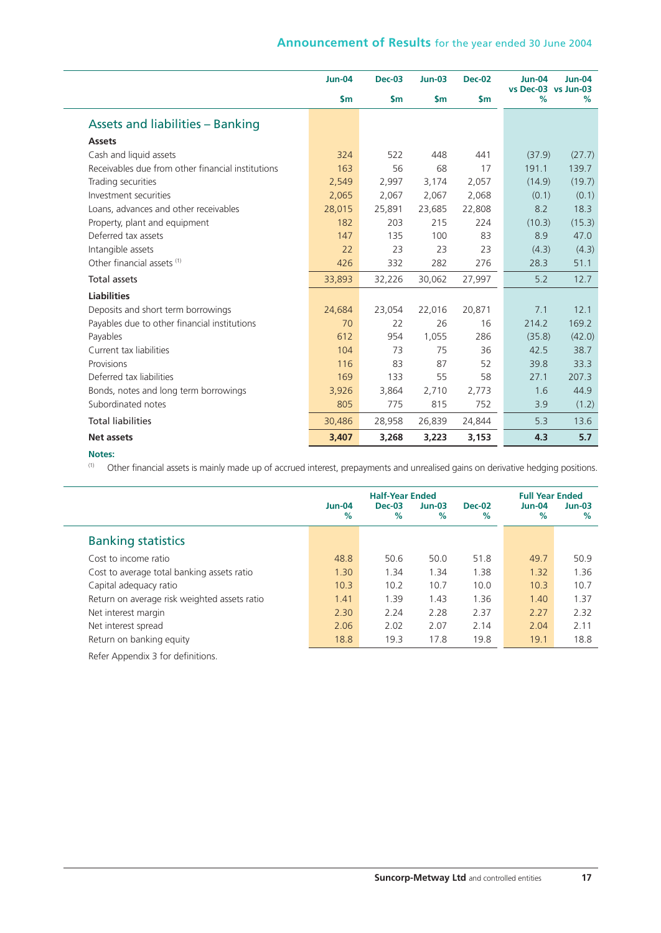|                                                   | $Jun-04$      | <b>Dec-03</b> | $Jun-03$      | <b>Dec-02</b> | <b>Jun-04</b><br>vs Dec-03 vs Jun-03 | $Jun-04$ |
|---------------------------------------------------|---------------|---------------|---------------|---------------|--------------------------------------|----------|
|                                                   | $\mathsf{Sm}$ | $\mathsf{sm}$ | $\mathsf{sm}$ | $\mathsf{Sm}$ | %                                    | %        |
| <b>Assets and liabilities - Banking</b>           |               |               |               |               |                                      |          |
| <b>Assets</b>                                     |               |               |               |               |                                      |          |
| Cash and liquid assets                            | 324           | 522           | 448           | 441           | (37.9)                               | (27.7)   |
| Receivables due from other financial institutions | 163           | 56            | 68            | 17            | 191.1                                | 139.7    |
| Trading securities                                | 2,549         | 2,997         | 3,174         | 2,057         | (14.9)                               | (19.7)   |
| Investment securities                             | 2,065         | 2,067         | 2,067         | 2,068         | (0.1)                                | (0.1)    |
| Loans, advances and other receivables             | 28,015        | 25,891        | 23,685        | 22,808        | 8.2                                  | 18.3     |
| Property, plant and equipment                     | 182           | 203           | 215           | 224           | (10.3)                               | (15.3)   |
| Deferred tax assets                               | 147           | 135           | 100           | 83            | 8.9                                  | 47.0     |
| Intangible assets                                 | 22            | 23            | 23            | 23            | (4.3)                                | (4.3)    |
| Other financial assets (1)                        | 426           | 332           | 282           | 276           | 28.3                                 | 51.1     |
| <b>Total assets</b>                               | 33,893        | 32,226        | 30,062        | 27,997        | 5.2                                  | 12.7     |
| <b>Liabilities</b>                                |               |               |               |               |                                      |          |
| Deposits and short term borrowings                | 24,684        | 23,054        | 22,016        | 20,871        | 7.1                                  | 12.1     |
| Payables due to other financial institutions      | 70            | 22            | 26            | 16            | 214.2                                | 169.2    |
| Payables                                          | 612           | 954           | 1,055         | 286           | (35.8)                               | (42.0)   |
| Current tax liabilities                           | 104           | 73            | 75            | 36            | 42.5                                 | 38.7     |
| Provisions                                        | 116           | 83            | 87            | 52            | 39.8                                 | 33.3     |
| Deferred tax liabilities                          | 169           | 133           | 55            | 58            | 27.1                                 | 207.3    |
| Bonds, notes and long term borrowings             | 3,926         | 3,864         | 2,710         | 2,773         | 1.6                                  | 44.9     |
| Subordinated notes                                | 805           | 775           | 815           | 752           | 3.9                                  | (1.2)    |
| <b>Total liabilities</b>                          | 30,486        | 28,958        | 26,839        | 24,844        | 5.3                                  | 13.6     |
| <b>Net assets</b>                                 | 3,407         | 3,268         | 3,223         | 3,153         | 4.3                                  | 5.7      |

#### **Notes:**

 $\overline{\phantom{0}}$ 

(1) Other financial assets is mainly made up of accrued interest, prepayments and unrealised gains on derivative hedging positions.

|                                              | <b>Jun-04</b> | <b>Half-Year Ended</b><br>$Dec-03$ | $Jun-03$ | <b>Dec-02</b> | <b>Full Year Ended</b><br>$Jun-04$ | $Jun-03$ |
|----------------------------------------------|---------------|------------------------------------|----------|---------------|------------------------------------|----------|
|                                              | %             | $\%$                               | %        | %             | %                                  | %        |
| <b>Banking statistics</b>                    |               |                                    |          |               |                                    |          |
| Cost to income ratio                         | 48.8          | 50.6                               | 50.0     | 51.8          | 49.7                               | 50.9     |
| Cost to average total banking assets ratio   | 1.30          | 1.34                               | 1.34     | 1.38          | 1.32                               | 1.36     |
| Capital adequacy ratio                       | 10.3          | 10.2                               | 10.7     | 10.0          | 10.3                               | 10.7     |
| Return on average risk weighted assets ratio | 1.41          | 1.39                               | 1.43     | 1.36          | 1.40                               | 1.37     |
| Net interest margin                          | 2.30          | 2.24                               | 2.28     | 2.37          | 2.27                               | 2.32     |
| Net interest spread                          | 2.06          | 2.02                               | 2.07     | 2.14          | 2.04                               | 2.11     |
| Return on banking equity                     | 18.8          | 19.3                               | 17.8     | 19.8          | 19.1                               | 18.8     |
| Refer Annendix 3 for definitions             |               |                                    |          |               |                                    |          |

Refer Appendix 3 for definitions.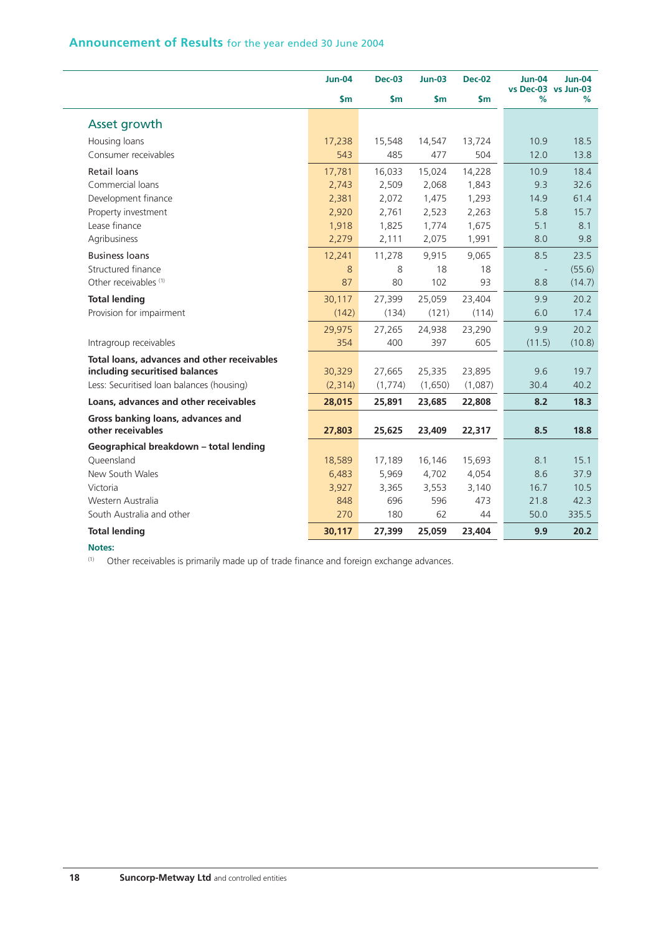|                                             | <b>Jun-04</b> | <b>Dec-03</b> | <b>Jun-03</b> | <b>Dec-02</b> | <b>Jun-04</b><br>vs Dec-03 vs Jun-03 | <b>Jun-04</b> |
|---------------------------------------------|---------------|---------------|---------------|---------------|--------------------------------------|---------------|
|                                             | $\mathsf{Sm}$ | \$m\$         | \$m\$         | $\mathsf{Sm}$ | %                                    | %             |
| Asset growth                                |               |               |               |               |                                      |               |
| Housing loans                               | 17,238        | 15,548        | 14,547        | 13,724        | 10.9                                 | 18.5          |
| Consumer receivables                        | 543           | 485           | 477           | 504           | 12.0                                 | 13.8          |
| <b>Retail loans</b>                         | 17,781        | 16,033        | 15,024        | 14,228        | 10.9                                 | 18.4          |
| Commercial loans                            | 2,743         | 2,509         | 2,068         | 1,843         | 9.3                                  | 32.6          |
| Development finance                         | 2,381         | 2,072         | 1,475         | 1,293         | 14.9                                 | 61.4          |
| Property investment                         | 2,920         | 2,761         | 2,523         | 2,263         | 5.8                                  | 15.7          |
| Lease finance                               | 1,918         | 1,825         | 1,774         | 1,675         | 5.1                                  | 8.1           |
| Agribusiness                                | 2,279         | 2,111         | 2,075         | 1,991         | 8.0                                  | 9.8           |
| <b>Business loans</b>                       | 12,241        | 11,278        | 9,915         | 9,065         | 8.5                                  | 23.5          |
| Structured finance                          | 8             | 8             | 18            | 18            |                                      | (55.6)        |
| Other receivables <sup>(1)</sup>            | 87            | 80            | 102           | 93            | 8.8                                  | (14.7)        |
| <b>Total lending</b>                        | 30,117        | 27,399        | 25,059        | 23,404        | 9.9                                  | 20.2          |
| Provision for impairment                    | (142)         | (134)         | (121)         | (114)         | 6.0                                  | 17.4          |
|                                             | 29,975        | 27,265        | 24,938        | 23,290        | 9.9                                  | 20.2          |
| Intragroup receivables                      | 354           | 400           | 397           | 605           | (11.5)                               | (10.8)        |
| Total loans, advances and other receivables |               |               |               |               |                                      |               |
| including securitised balances              | 30,329        | 27,665        | 25,335        | 23,895        | 9.6                                  | 19.7          |
| Less: Securitised Ioan balances (housing)   | (2,314)       | (1,774)       | (1,650)       | (1,087)       | 30.4                                 | 40.2          |
| Loans, advances and other receivables       | 28,015        | 25,891        | 23,685        | 22,808        | 8.2                                  | 18.3          |
| Gross banking loans, advances and           |               |               |               |               |                                      |               |
| other receivables                           | 27,803        | 25,625        | 23,409        | 22,317        | 8.5                                  | 18.8          |
| Geographical breakdown - total lending      |               |               |               |               |                                      |               |
| Oueensland                                  | 18,589        | 17,189        | 16,146        | 15,693        | 8.1                                  | 15.1          |
| New South Wales                             | 6,483         | 5,969         | 4,702         | 4,054         | 8.6                                  | 37.9          |
| Victoria                                    | 3,927         | 3,365         | 3,553         | 3,140         | 16.7                                 | 10.5          |
| Western Australia                           | 848           | 696           | 596           | 473           | 21.8                                 | 42.3          |
| South Australia and other                   | 270           | 180           | 62            | 44            | 50.0                                 | 335.5         |
| <b>Total lending</b>                        | 30,117        | 27,399        | 25,059        | 23,404        | 9.9                                  | 20.2          |

#### **Notes:**

L.

(1) Other receivables is primarily made up of trade finance and foreign exchange advances.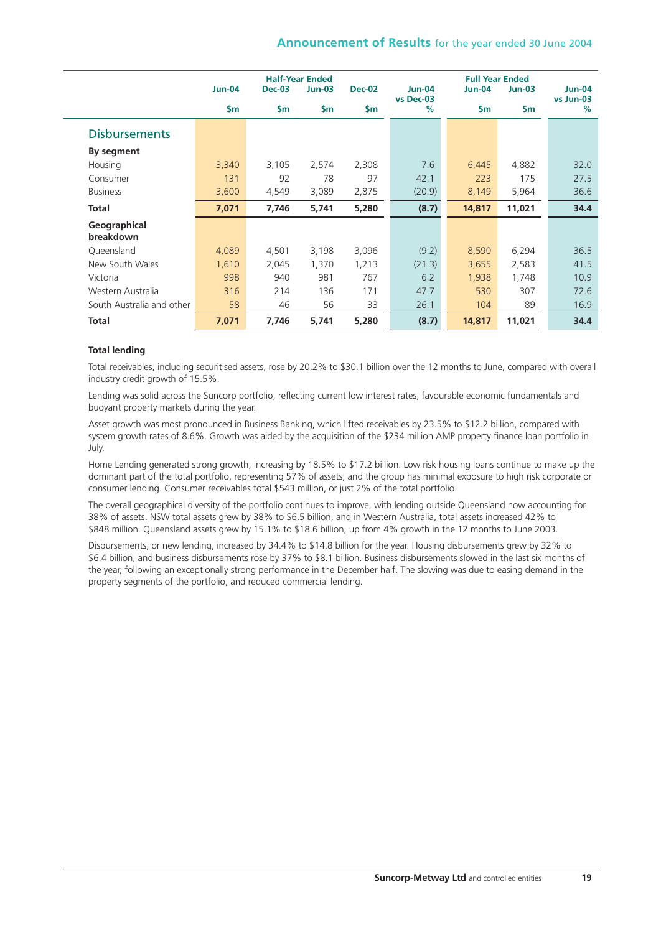|                           |                | <b>Half-Year Ended</b> |               |               |                       | <b>Full Year Ended</b> |               |                       |  |  |  |
|---------------------------|----------------|------------------------|---------------|---------------|-----------------------|------------------------|---------------|-----------------------|--|--|--|
|                           | <b>Jun-04</b>  | <b>Dec-03</b>          | <b>Jun-03</b> | <b>Dec-02</b> | $Jun-04$<br>vs Dec-03 | Jun-04                 | $Jun-03$      | $Jun-04$<br>vs Jun-03 |  |  |  |
|                           | $\mathsf{S}$ m | $\mathsf{S}$ m         | $\mathsf{Sm}$ | \$m           | %                     | \$m                    | $\mathsf{sm}$ | %                     |  |  |  |
| <b>Disbursements</b>      |                |                        |               |               |                       |                        |               |                       |  |  |  |
| By segment                |                |                        |               |               |                       |                        |               |                       |  |  |  |
| Housing                   | 3,340          | 3,105                  | 2,574         | 2,308         | 7.6                   | 6,445                  | 4,882         | 32.0                  |  |  |  |
| Consumer                  | 131            | 92                     | 78            | 97            | 42.1                  | 223                    | 175           | 27.5                  |  |  |  |
| <b>Business</b>           | 3,600          | 4,549                  | 3,089         | 2,875         | (20.9)                | 8,149                  | 5,964         | 36.6                  |  |  |  |
| <b>Total</b>              | 7,071          | 7,746                  | 5,741         | 5,280         | (8.7)                 | 14,817                 | 11,021        | 34.4                  |  |  |  |
| Geographical              |                |                        |               |               |                       |                        |               |                       |  |  |  |
| breakdown                 |                |                        |               |               |                       |                        |               |                       |  |  |  |
| Queensland                | 4,089          | 4,501                  | 3,198         | 3,096         | (9.2)                 | 8,590                  | 6,294         | 36.5                  |  |  |  |
| New South Wales           | 1,610          | 2,045                  | 1,370         | 1,213         | (21.3)                | 3,655                  | 2,583         | 41.5                  |  |  |  |
| Victoria                  | 998            | 940                    | 981           | 767           | 6.2                   | 1,938                  | 1,748         | 10.9                  |  |  |  |
| Western Australia         | 316            | 214                    | 136           | 171           | 47.7                  | 530                    | 307           | 72.6                  |  |  |  |
| South Australia and other | 58             | 46                     | 56            | 33            | 26.1                  | 104                    | 89            | 16.9                  |  |  |  |
| <b>Total</b>              | 7,071          | 7,746                  | 5,741         | 5,280         | (8.7)                 | 14,817                 | 11,021        | 34.4                  |  |  |  |

#### **Total lending**

Total receivables, including securitised assets, rose by 20.2% to \$30.1 billion over the 12 months to June, compared with overall industry credit growth of 15.5%.

Lending was solid across the Suncorp portfolio, reflecting current low interest rates, favourable economic fundamentals and buoyant property markets during the year.

Asset growth was most pronounced in Business Banking, which lifted receivables by 23.5% to \$12.2 billion, compared with system growth rates of 8.6%. Growth was aided by the acquisition of the \$234 million AMP property finance loan portfolio in July.

Home Lending generated strong growth, increasing by 18.5% to \$17.2 billion. Low risk housing loans continue to make up the dominant part of the total portfolio, representing 57% of assets, and the group has minimal exposure to high risk corporate or consumer lending. Consumer receivables total \$543 million, or just 2% of the total portfolio.

The overall geographical diversity of the portfolio continues to improve, with lending outside Queensland now accounting for 38% of assets. NSW total assets grew by 38% to \$6.5 billion, and in Western Australia, total assets increased 42% to \$848 million. Queensland assets grew by 15.1% to \$18.6 billion, up from 4% growth in the 12 months to June 2003.

Disbursements, or new lending, increased by 34.4% to \$14.8 billion for the year. Housing disbursements grew by 32% to \$6.4 billion, and business disbursements rose by 37% to \$8.1 billion. Business disbursements slowed in the last six months of the year, following an exceptionally strong performance in the December half. The slowing was due to easing demand in the property segments of the portfolio, and reduced commercial lending.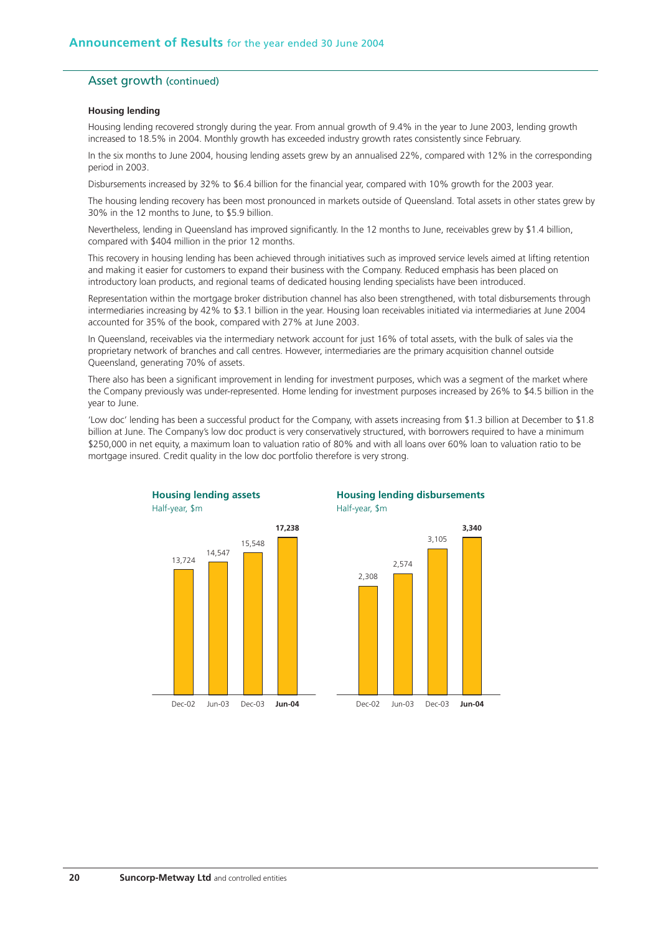#### Asset growth (continued)

#### **Housing lending**

Housing lending recovered strongly during the year. From annual growth of 9.4% in the year to June 2003, lending growth increased to 18.5% in 2004. Monthly growth has exceeded industry growth rates consistently since February.

In the six months to June 2004, housing lending assets grew by an annualised 22%, compared with 12% in the corresponding period in 2003.

Disbursements increased by 32% to \$6.4 billion for the financial year, compared with 10% growth for the 2003 year.

The housing lending recovery has been most pronounced in markets outside of Queensland. Total assets in other states grew by 30% in the 12 months to June, to \$5.9 billion.

Nevertheless, lending in Queensland has improved significantly. In the 12 months to June, receivables grew by \$1.4 billion, compared with \$404 million in the prior 12 months.

This recovery in housing lending has been achieved through initiatives such as improved service levels aimed at lifting retention and making it easier for customers to expand their business with the Company. Reduced emphasis has been placed on introductory loan products, and regional teams of dedicated housing lending specialists have been introduced.

Representation within the mortgage broker distribution channel has also been strengthened, with total disbursements through intermediaries increasing by 42% to \$3.1 billion in the year. Housing loan receivables initiated via intermediaries at June 2004 accounted for 35% of the book, compared with 27% at June 2003.

In Queensland, receivables via the intermediary network account for just 16% of total assets, with the bulk of sales via the proprietary network of branches and call centres. However, intermediaries are the primary acquisition channel outside Queensland, generating 70% of assets.

There also has been a significant improvement in lending for investment purposes, which was a segment of the market where the Company previously was under-represented. Home lending for investment purposes increased by 26% to \$4.5 billion in the year to June.

'Low doc' lending has been a successful product for the Company, with assets increasing from \$1.3 billion at December to \$1.8 billion at June. The Company's low doc product is very conservatively structured, with borrowers required to have a minimum \$250,000 in net equity, a maximum loan to valuation ratio of 80% and with all loans over 60% loan to valuation ratio to be mortgage insured. Credit quality in the low doc portfolio therefore is very strong.

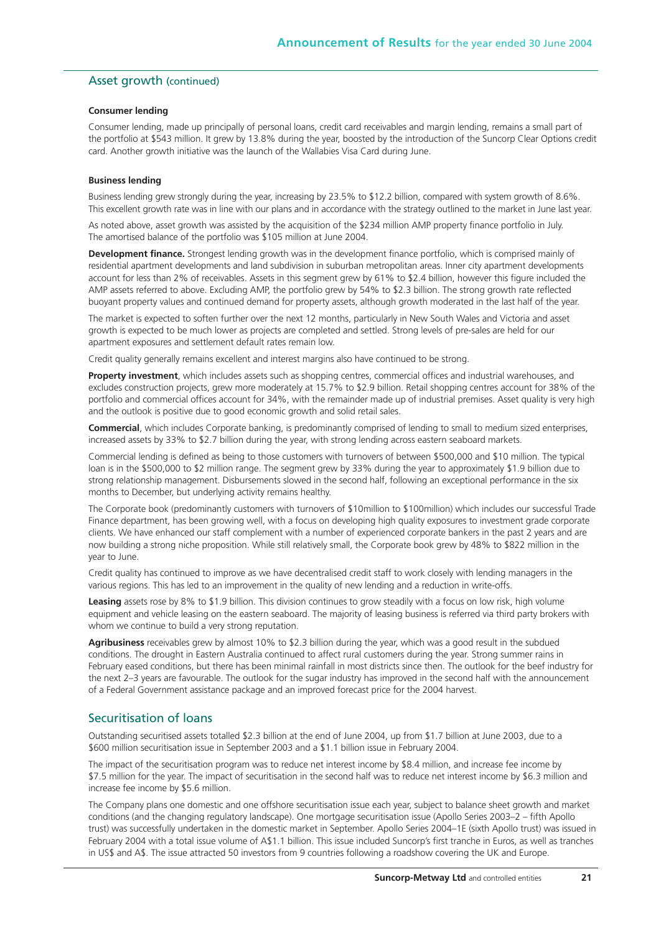#### Asset growth (continued)

#### **Consumer lending**

Consumer lending, made up principally of personal loans, credit card receivables and margin lending, remains a small part of the portfolio at \$543 million. It grew by 13.8% during the year, boosted by the introduction of the Suncorp Clear Options credit card. Another growth initiative was the launch of the Wallabies Visa Card during June.

#### **Business lending**

Business lending grew strongly during the year, increasing by 23.5% to \$12.2 billion, compared with system growth of 8.6%. This excellent growth rate was in line with our plans and in accordance with the strategy outlined to the market in June last year.

As noted above, asset growth was assisted by the acquisition of the \$234 million AMP property finance portfolio in July. The amortised balance of the portfolio was \$105 million at June 2004.

**Development finance.** Strongest lending growth was in the development finance portfolio, which is comprised mainly of residential apartment developments and land subdivision in suburban metropolitan areas. Inner city apartment developments account for less than 2% of receivables. Assets in this segment grew by 61% to \$2.4 billion, however this figure included the AMP assets referred to above. Excluding AMP, the portfolio grew by 54% to \$2.3 billion. The strong growth rate reflected buoyant property values and continued demand for property assets, although growth moderated in the last half of the year.

The market is expected to soften further over the next 12 months, particularly in New South Wales and Victoria and asset growth is expected to be much lower as projects are completed and settled. Strong levels of pre-sales are held for our apartment exposures and settlement default rates remain low.

Credit quality generally remains excellent and interest margins also have continued to be strong.

**Property investment**, which includes assets such as shopping centres, commercial offices and industrial warehouses, and excludes construction projects, grew more moderately at 15.7% to \$2.9 billion. Retail shopping centres account for 38% of the portfolio and commercial offices account for 34%, with the remainder made up of industrial premises. Asset quality is very high and the outlook is positive due to good economic growth and solid retail sales.

**Commercial**, which includes Corporate banking, is predominantly comprised of lending to small to medium sized enterprises, increased assets by 33% to \$2.7 billion during the year, with strong lending across eastern seaboard markets.

Commercial lending is defined as being to those customers with turnovers of between \$500,000 and \$10 million. The typical loan is in the \$500,000 to \$2 million range. The segment grew by 33% during the year to approximately \$1.9 billion due to strong relationship management. Disbursements slowed in the second half, following an exceptional performance in the six months to December, but underlying activity remains healthy.

The Corporate book (predominantly customers with turnovers of \$10million to \$100million) which includes our successful Trade Finance department, has been growing well, with a focus on developing high quality exposures to investment grade corporate clients. We have enhanced our staff complement with a number of experienced corporate bankers in the past 2 years and are now building a strong niche proposition. While still relatively small, the Corporate book grew by 48% to \$822 million in the year to June.

Credit quality has continued to improve as we have decentralised credit staff to work closely with lending managers in the various regions. This has led to an improvement in the quality of new lending and a reduction in write-offs.

**Leasing** assets rose by 8% to \$1.9 billion. This division continues to grow steadily with a focus on low risk, high volume equipment and vehicle leasing on the eastern seaboard. The majority of leasing business is referred via third party brokers with whom we continue to build a very strong reputation.

**Agribusiness** receivables grew by almost 10% to \$2.3 billion during the year, which was a good result in the subdued conditions. The drought in Eastern Australia continued to affect rural customers during the year. Strong summer rains in February eased conditions, but there has been minimal rainfall in most districts since then. The outlook for the beef industry for the next 2–3 years are favourable. The outlook for the sugar industry has improved in the second half with the announcement of a Federal Government assistance package and an improved forecast price for the 2004 harvest.

#### Securitisation of loans

Outstanding securitised assets totalled \$2.3 billion at the end of June 2004, up from \$1.7 billion at June 2003, due to a \$600 million securitisation issue in September 2003 and a \$1.1 billion issue in February 2004.

The impact of the securitisation program was to reduce net interest income by \$8.4 million, and increase fee income by \$7.5 million for the year. The impact of securitisation in the second half was to reduce net interest income by \$6.3 million and increase fee income by \$5.6 million.

The Company plans one domestic and one offshore securitisation issue each year, subject to balance sheet growth and market conditions (and the changing regulatory landscape). One mortgage securitisation issue (Apollo Series 2003–2 – fifth Apollo trust) was successfully undertaken in the domestic market in September. Apollo Series 2004–1E (sixth Apollo trust) was issued in February 2004 with a total issue volume of A\$1.1 billion. This issue included Suncorp's first tranche in Euros, as well as tranches in US\$ and A\$. The issue attracted 50 investors from 9 countries following a roadshow covering the UK and Europe.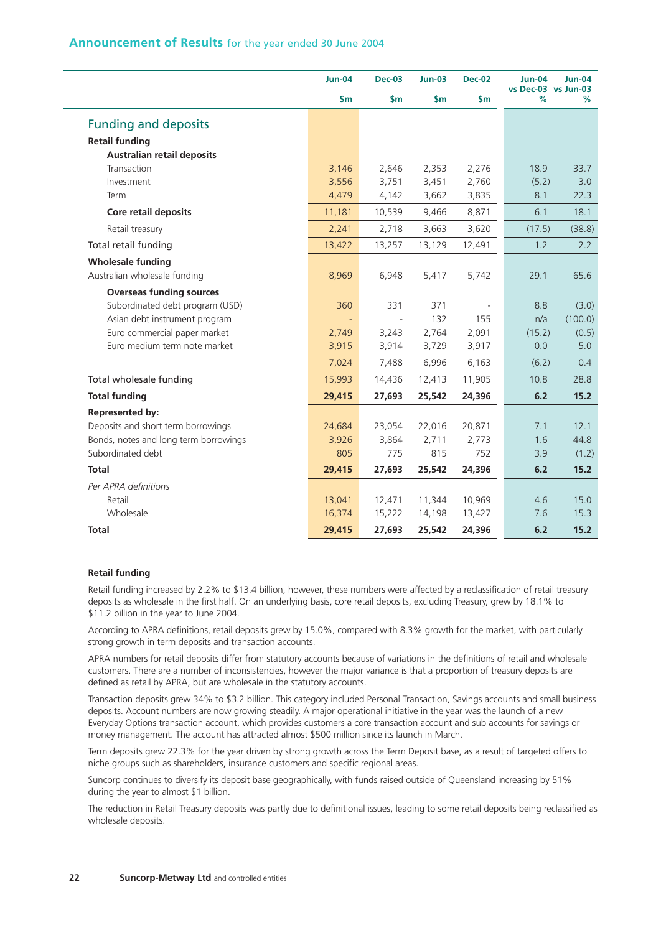| Announcement of Results for the year ended 30 June 2004 |  |  |  |  |  |  |  |
|---------------------------------------------------------|--|--|--|--|--|--|--|
|---------------------------------------------------------|--|--|--|--|--|--|--|

|                                       | <b>Jun-04</b> | <b>Dec-03</b>            | $Jun-03$      | <b>Dec-02</b> | <b>Jun-04</b><br>vs Dec-03 vs Jun-03 | <b>Jun-04</b> |
|---------------------------------------|---------------|--------------------------|---------------|---------------|--------------------------------------|---------------|
|                                       | $\mathsf{Sm}$ | $\mathsf{Sm}$            | $\mathsf{Sm}$ | $\mathsf{Sm}$ | %                                    | %             |
| <b>Funding and deposits</b>           |               |                          |               |               |                                      |               |
| <b>Retail funding</b>                 |               |                          |               |               |                                      |               |
| <b>Australian retail deposits</b>     |               |                          |               |               |                                      |               |
| Transaction                           | 3,146         | 2,646                    | 2,353         | 2,276         | 18.9                                 | 33.7          |
| Investment                            | 3,556         | 3,751                    | 3,451         | 2,760         | (5.2)                                | 3.0           |
| Term                                  | 4,479         | 4,142                    | 3,662         | 3,835         | 8.1                                  | 22.3          |
| Core retail deposits                  | 11,181        | 10,539                   | 9,466         | 8,871         | 6.1                                  | 18.1          |
| Retail treasury                       | 2,241         | 2,718                    | 3,663         | 3,620         | (17.5)                               | (38.8)        |
| Total retail funding                  | 13,422        | 13,257                   | 13,129        | 12,491        | 1.2                                  | 2.2           |
| <b>Wholesale funding</b>              |               |                          |               |               |                                      |               |
| Australian wholesale funding          | 8,969         | 6,948                    | 5,417         | 5,742         | 29.1                                 | 65.6          |
| <b>Overseas funding sources</b>       |               |                          |               |               |                                      |               |
| Subordinated debt program (USD)       | 360           | 331                      | 371           |               | 8.8                                  | (3.0)         |
| Asian debt instrument program         |               | $\overline{\phantom{a}}$ | 132           | 155           | n/a                                  | (100.0)       |
| Euro commercial paper market          | 2,749         | 3,243                    | 2,764         | 2,091         | (15.2)                               | (0.5)         |
| Euro medium term note market          | 3,915         | 3,914                    | 3,729         | 3,917         | 0.0                                  | 5.0           |
|                                       | 7,024         | 7,488                    | 6,996         | 6,163         | (6.2)                                | 0.4           |
| Total wholesale funding               | 15,993        | 14,436                   | 12,413        | 11,905        | 10.8                                 | 28.8          |
| <b>Total funding</b>                  | 29,415        | 27,693                   | 25,542        | 24,396        | 6.2                                  | 15.2          |
| <b>Represented by:</b>                |               |                          |               |               |                                      |               |
| Deposits and short term borrowings    | 24,684        | 23,054                   | 22,016        | 20,871        | 7.1                                  | 12.1          |
| Bonds, notes and long term borrowings | 3,926         | 3,864                    | 2,711         | 2,773         | 1.6                                  | 44.8          |
| Subordinated debt                     | 805           | 775                      | 815           | 752           | 3.9                                  | (1.2)         |
| <b>Total</b>                          | 29,415        | 27,693                   | 25,542        | 24,396        | 6.2                                  | 15.2          |
| Per APRA definitions                  |               |                          |               |               |                                      |               |
| Retail                                | 13,041        | 12,471                   | 11,344        | 10,969        | 4.6                                  | 15.0          |
| Wholesale                             | 16,374        | 15,222                   | 14,198        | 13,427        | 7.6                                  | 15.3          |
| <b>Total</b>                          | 29,415        | 27,693                   | 25,542        | 24,396        | 6.2                                  | 15.2          |

#### **Retail funding**

Retail funding increased by 2.2% to \$13.4 billion, however, these numbers were affected by a reclassification of retail treasury deposits as wholesale in the first half. On an underlying basis, core retail deposits, excluding Treasury, grew by 18.1% to \$11.2 billion in the year to June 2004.

According to APRA definitions, retail deposits grew by 15.0%, compared with 8.3% growth for the market, with particularly strong growth in term deposits and transaction accounts.

APRA numbers for retail deposits differ from statutory accounts because of variations in the definitions of retail and wholesale customers. There are a number of inconsistencies, however the major variance is that a proportion of treasury deposits are defined as retail by APRA, but are wholesale in the statutory accounts.

Transaction deposits grew 34% to \$3.2 billion. This category included Personal Transaction, Savings accounts and small business deposits. Account numbers are now growing steadily. A major operational initiative in the year was the launch of a new Everyday Options transaction account, which provides customers a core transaction account and sub accounts for savings or money management. The account has attracted almost \$500 million since its launch in March.

Term deposits grew 22.3% for the year driven by strong growth across the Term Deposit base, as a result of targeted offers to niche groups such as shareholders, insurance customers and specific regional areas.

Suncorp continues to diversify its deposit base geographically, with funds raised outside of Queensland increasing by 51% during the year to almost \$1 billion.

The reduction in Retail Treasury deposits was partly due to definitional issues, leading to some retail deposits being reclassified as wholesale deposits.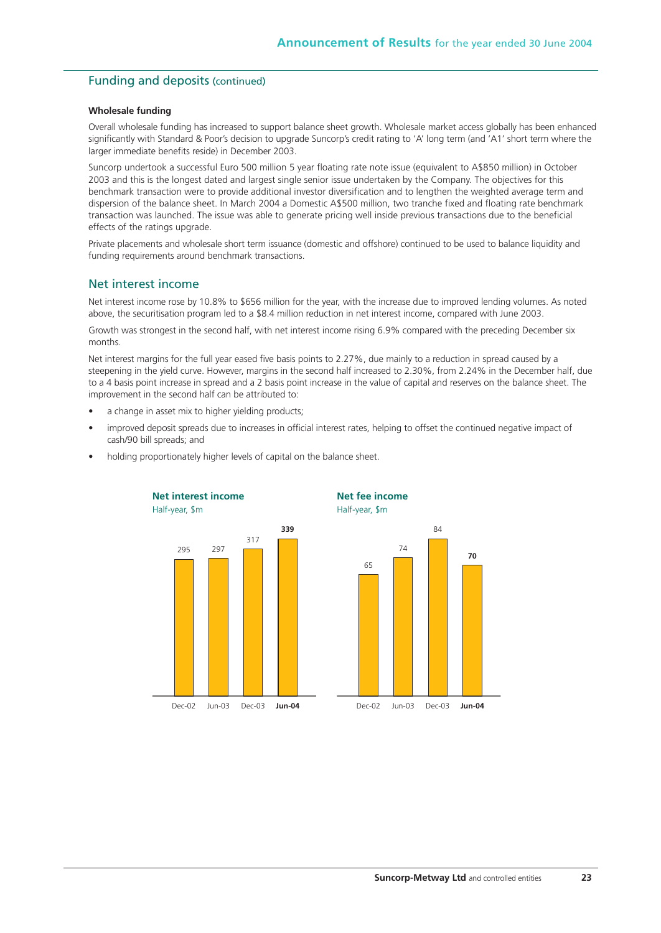## Funding and deposits (continued)

#### **Wholesale funding**

Overall wholesale funding has increased to support balance sheet growth. Wholesale market access globally has been enhanced significantly with Standard & Poor's decision to upgrade Suncorp's credit rating to 'A' long term (and 'A1' short term where the larger immediate benefits reside) in December 2003.

Suncorp undertook a successful Euro 500 million 5 year floating rate note issue (equivalent to A\$850 million) in October 2003 and this is the longest dated and largest single senior issue undertaken by the Company. The objectives for this benchmark transaction were to provide additional investor diversification and to lengthen the weighted average term and dispersion of the balance sheet. In March 2004 a Domestic A\$500 million, two tranche fixed and floating rate benchmark transaction was launched. The issue was able to generate pricing well inside previous transactions due to the beneficial effects of the ratings upgrade.

Private placements and wholesale short term issuance (domestic and offshore) continued to be used to balance liquidity and funding requirements around benchmark transactions.

## Net interest income

Net interest income rose by 10.8% to \$656 million for the year, with the increase due to improved lending volumes. As noted above, the securitisation program led to a \$8.4 million reduction in net interest income, compared with June 2003.

Growth was strongest in the second half, with net interest income rising 6.9% compared with the preceding December six months.

Net interest margins for the full year eased five basis points to 2.27%, due mainly to a reduction in spread caused by a steepening in the yield curve. However, margins in the second half increased to 2.30%, from 2.24% in the December half, due to a 4 basis point increase in spread and a 2 basis point increase in the value of capital and reserves on the balance sheet. The improvement in the second half can be attributed to:

- a change in asset mix to higher yielding products;
- improved deposit spreads due to increases in official interest rates, helping to offset the continued negative impact of cash/90 bill spreads; and



• holding proportionately higher levels of capital on the balance sheet.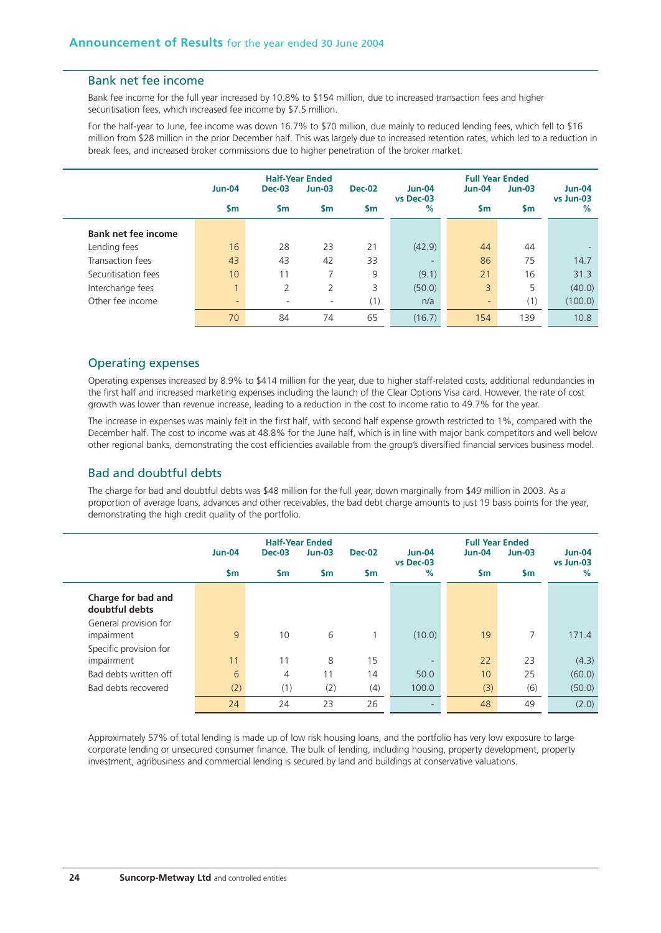#### Bank net fee income

Bank fee income for the full year increased by 10.8% to \$154 million, due to increased transaction fees and higher securitisation fees, which increased fee income by \$7.5 million.

For the half-year to June, fee income was down 16.7% to \$70 million, due mainly to reduced lending fees, which fell to \$16 million from \$28 million in the prior December half. This was largely due to increased retention rates, which led to a reduction in break fees, and increased broker commissions due to higher penetration of the broker market.

|                            |                              | <b>Half-Year Ended</b> |           |               |                       | <b>Full Year Ended</b> |          |                            |
|----------------------------|------------------------------|------------------------|-----------|---------------|-----------------------|------------------------|----------|----------------------------|
|                            | <b>Jun-04</b>                | <b>Dec-03</b>          | $Jun-03$  | <b>Dec-02</b> | $Jun-04$<br>vs Dec-03 | <b>Jun-04</b>          | $Jun-03$ | <b>Jun-04</b><br>vs Jun-03 |
|                            | $\mathsf{sm}$                | $\mathsf{sm}$          | <b>Sm</b> | <b>Sm</b>     | %                     | <b>Sm</b>              | \$m      | $\%$                       |
| <b>Bank net fee income</b> |                              |                        |           |               |                       |                        |          |                            |
| Lending fees               | 16                           | 28                     | 23        | 21            | (42.9)                | 44                     | 44       |                            |
| Transaction fees           | 43                           | 43                     | 42        | 33            |                       | 86                     | 75       | 14.7                       |
| Securitisation fees        | 10                           | 11                     |           | 9             | (9.1)                 | 21                     | 16       | 31.3                       |
| Interchange fees           | $\overline{1}$               | 2                      | 2         | 3             | (50.0)                | 3                      | 5        | (40.0)                     |
| Other fee income           | $\qquad \qquad \blacksquare$ |                        | ٠         | (1)           | n/a                   | $\qquad \qquad -$      | (1)      | (100.0)                    |
|                            | 70                           | 84                     | 74        | 65            | (16.7)                | 154                    | 139      | 10.8                       |

#### Operating expenses

Operating expenses increased by 8.9% to \$414 million for the year, due to higher staff-related costs, additional redundancies in the first half and increased marketing expenses including the launch of the Clear Options Visa card. However, the rate of cost growth was lower than revenue increase, leading to a reduction in the cost to income ratio to 49.7% for the year.

The increase in expenses was mainly felt in the first half, with second half expense growth restricted to 1%, compared with the December half. The cost to income was at 48.8% for the June half, which is in line with major bank competitors and well below other regional banks, demonstrating the cost efficiencies available from the group's diversified financial services business model.

#### Bad and doubtful debts

The charge for bad and doubtful debts was \$48 million for the full year, down marginally from \$49 million in 2003. As a proportion of average loans, advances and other receivables, the bad debt charge amounts to just 19 basis points for the year, demonstrating the high credit quality of the portfolio.

|                                      |               |                | <b>Half-Year Ended</b> |               | <b>Full Year Ended</b>     |               |               |                            |  |
|--------------------------------------|---------------|----------------|------------------------|---------------|----------------------------|---------------|---------------|----------------------------|--|
|                                      | <b>Jun-04</b> | $Dec-03$       | $Jun-03$               | <b>Dec-02</b> | <b>Jun-04</b><br>vs Dec-03 | <b>Jun-04</b> | $Jun-03$      | <b>Jun-04</b><br>vs Jun-03 |  |
|                                      | $\mathsf{sm}$ | <b>Sm</b>      | <b>Sm</b>              | $\mathsf{sm}$ | %                          | \$m           | $\mathsf{sm}$ | $\%$                       |  |
| Charge for bad and<br>doubtful debts |               |                |                        |               |                            |               |               |                            |  |
| General provision for<br>impairment  | 9             | 10             | 6                      | 1             | (10.0)                     | 19            | 7             | 171.4                      |  |
| Specific provision for<br>impairment | 11            | 11             | 8                      | 15            |                            | 22            | 23            | (4.3)                      |  |
| Bad debts written off                | 6             | $\overline{4}$ | 11                     | 14            | 50.0                       | 10            | 25            | (60.0)                     |  |
| Bad debts recovered                  | (2)           | (1)            | (2)                    | (4)           | 100.0                      | (3)           | (6)           | (50.0)                     |  |
|                                      | 24            | 24             | 23                     | 26            | $\overline{\phantom{0}}$   | 48            | 49            | (2.0)                      |  |

Approximately 57% of total lending is made up of low risk housing loans, and the portfolio has very low exposure to large corporate lending or unsecured consumer finance. The bulk of lending, including housing, property development, property investment, agribusiness and commercial lending is secured by land and buildings at conservative valuations.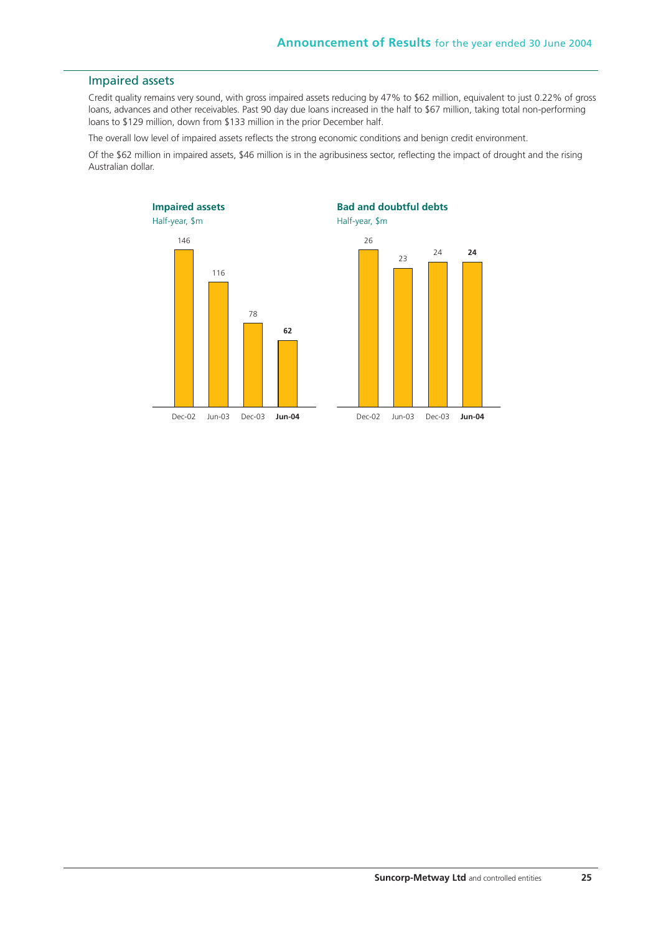#### Impaired assets

Credit quality remains very sound, with gross impaired assets reducing by 47% to \$62 million, equivalent to just 0.22% of gross loans, advances and other receivables. Past 90 day due loans increased in the half to \$67 million, taking total non-performing loans to \$129 million, down from \$133 million in the prior December half.

The overall low level of impaired assets reflects the strong economic conditions and benign credit environment.

Of the \$62 million in impaired assets, \$46 million is in the agribusiness sector, reflecting the impact of drought and the rising Australian dollar.

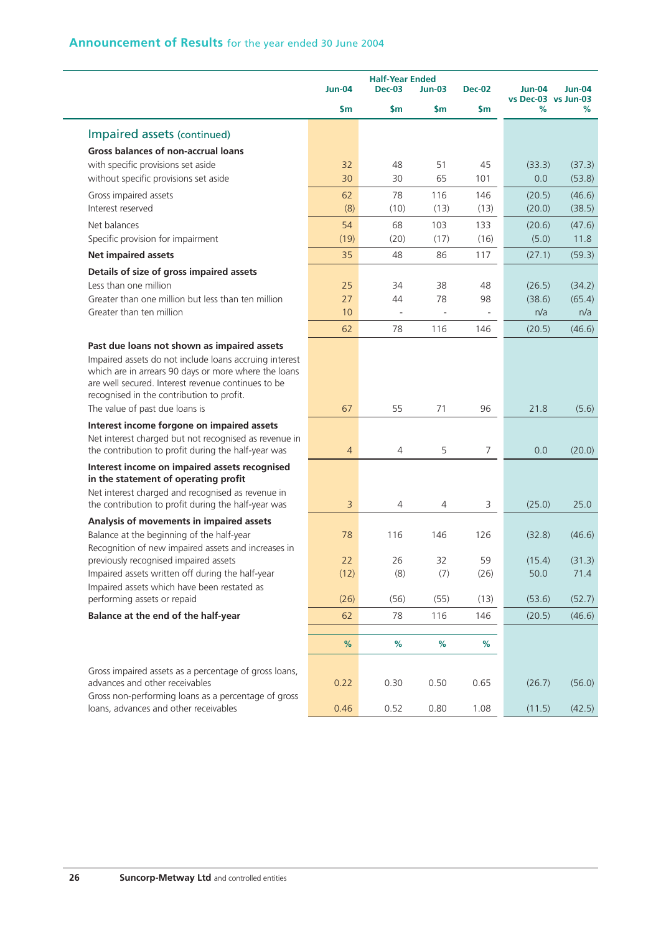|                                                                                                                                                                                                                   |                | <b>Half-Year Ended</b> |           |                          |                                      |          |
|-------------------------------------------------------------------------------------------------------------------------------------------------------------------------------------------------------------------|----------------|------------------------|-----------|--------------------------|--------------------------------------|----------|
|                                                                                                                                                                                                                   | <b>Jun-04</b>  | $Dec-03$               | $Jun-03$  | <b>Dec-02</b>            | <b>Jun-04</b><br>vs Dec-03 vs Jun-03 | $Jun-04$ |
|                                                                                                                                                                                                                   | $\mathsf{sm}$  | \$m                    | <b>Sm</b> | \$m                      | %                                    | %        |
| Impaired assets (continued)                                                                                                                                                                                       |                |                        |           |                          |                                      |          |
| <b>Gross balances of non-accrual loans</b>                                                                                                                                                                        |                |                        |           |                          |                                      |          |
| with specific provisions set aside                                                                                                                                                                                | 32             | 48                     | 51        | 45                       | (33.3)                               | (37.3)   |
| without specific provisions set aside                                                                                                                                                                             | 30             | 30                     | 65        | 101                      | 0.0                                  | (53.8)   |
| Gross impaired assets                                                                                                                                                                                             | 62             | 78                     | 116       | 146                      | (20.5)                               | (46.6)   |
| Interest reserved                                                                                                                                                                                                 | (8)            | (10)                   | (13)      | (13)                     | (20.0)                               | (38.5)   |
| Net balances                                                                                                                                                                                                      | 54             | 68                     | 103       | 133                      | (20.6)                               | (47.6)   |
| Specific provision for impairment                                                                                                                                                                                 | (19)           | (20)                   | (17)      | (16)                     | (5.0)                                | 11.8     |
| <b>Net impaired assets</b>                                                                                                                                                                                        | 35             | 48                     | 86        | 117                      | (27.1)                               | (59.3)   |
| Details of size of gross impaired assets                                                                                                                                                                          |                |                        |           |                          |                                      |          |
| Less than one million                                                                                                                                                                                             | 25             | 34                     | 38        | 48                       | (26.5)                               | (34.2)   |
| Greater than one million but less than ten million                                                                                                                                                                | 27             | 44                     | 78        | 98                       | (38.6)                               | (65.4)   |
| Greater than ten million                                                                                                                                                                                          | 10             | ÷,                     | $\sim$    | $\overline{\phantom{a}}$ | n/a                                  | n/a      |
|                                                                                                                                                                                                                   | 62             | 78                     | 116       | 146                      | (20.5)                               | (46.6)   |
| Past due loans not shown as impaired assets                                                                                                                                                                       |                |                        |           |                          |                                      |          |
| Impaired assets do not include loans accruing interest<br>which are in arrears 90 days or more where the loans<br>are well secured. Interest revenue continues to be<br>recognised in the contribution to profit. |                |                        |           |                          |                                      |          |
| The value of past due loans is                                                                                                                                                                                    | 67             | 55                     | 71        | 96                       | 21.8                                 | (5.6)    |
| Interest income forgone on impaired assets                                                                                                                                                                        |                |                        |           |                          |                                      |          |
| Net interest charged but not recognised as revenue in<br>the contribution to profit during the half-year was                                                                                                      | $\overline{4}$ | $\overline{4}$         | 5         | 7                        | 0.0                                  | (20.0)   |
| Interest income on impaired assets recognised<br>in the statement of operating profit                                                                                                                             |                |                        |           |                          |                                      |          |
| Net interest charged and recognised as revenue in<br>the contribution to profit during the half-year was                                                                                                          | 3              | 4                      | 4         | 3                        | (25.0)                               | 25.0     |
| Analysis of movements in impaired assets                                                                                                                                                                          |                |                        |           |                          |                                      |          |
| Balance at the beginning of the half-year                                                                                                                                                                         | 78             | 116                    | 146       | 126                      | (32.8)                               | (46.6)   |
| Recognition of new impaired assets and increases in<br>previously recognised impaired assets                                                                                                                      | 22             | 26                     | 32        | 59                       | (15.4)                               | (31.3)   |
| Impaired assets written off during the half-year                                                                                                                                                                  | (12)           | (8)                    | (7)       | (26)                     | 50.0                                 | 71.4     |
| Impaired assets which have been restated as                                                                                                                                                                       |                |                        |           |                          |                                      |          |
| performing assets or repaid                                                                                                                                                                                       | (26)           | (56)                   | (55)      | (13)                     | (53.6)                               | (52.7)   |
| Balance at the end of the half-year                                                                                                                                                                               | 62             | 78                     | 116       | 146                      | (20.5)                               | (46.6)   |
|                                                                                                                                                                                                                   | %              | %                      | %         | $\%$                     |                                      |          |
|                                                                                                                                                                                                                   |                |                        |           |                          |                                      |          |
| Gross impaired assets as a percentage of gross loans,<br>advances and other receivables<br>Gross non-performing loans as a percentage of gross                                                                    | 0.22           | 0.30                   | 0.50      | 0.65                     | (26.7)                               | (56.0)   |
| loans, advances and other receivables                                                                                                                                                                             | 0.46           | 0.52                   | 0.80      | 1.08                     | (11.5)                               | (42.5)   |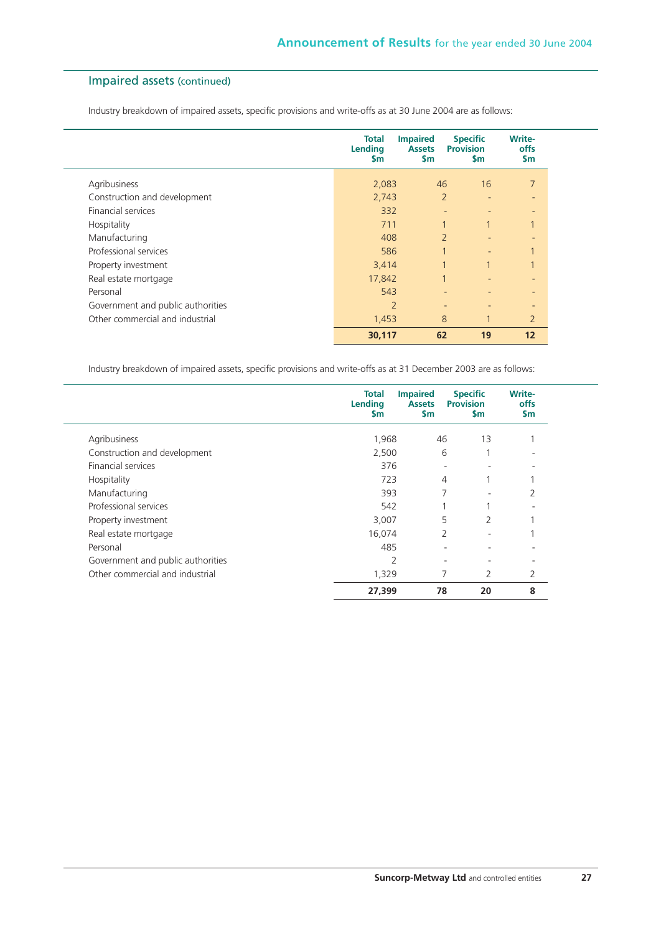## Impaired assets (continued)

Industry breakdown of impaired assets, specific provisions and write-offs as at 30 June 2004 are as follows:

|                                   | <b>Total</b><br>Lending<br><b>Sm</b> | <b>Impaired</b><br><b>Assets</b><br>$\mathsf{sm}$ | <b>Specific</b><br><b>Provision</b><br>$\mathsf{sm}$ | <b>Write-</b><br>offs<br>\$m |
|-----------------------------------|--------------------------------------|---------------------------------------------------|------------------------------------------------------|------------------------------|
| Agribusiness                      | 2,083                                | 46                                                | 16                                                   | $\overline{7}$               |
| Construction and development      | 2,743                                |                                                   | $\overline{2}$<br>٠                                  | ٠                            |
| <b>Financial services</b>         | 332                                  |                                                   |                                                      |                              |
| Hospitality                       | 711                                  |                                                   | $\mathbf{1}$                                         |                              |
| Manufacturing                     | 408                                  |                                                   | $\overline{2}$<br>٠                                  | $\overline{\phantom{0}}$     |
| Professional services             | 586                                  | $\overline{ }$                                    | $\overline{a}$                                       |                              |
| Property investment               | 3,414                                |                                                   |                                                      |                              |
| Real estate mortgage              | 17,842                               |                                                   | ٠                                                    | ٠                            |
| Personal                          | 543                                  |                                                   |                                                      |                              |
| Government and public authorities | $\overline{2}$                       |                                                   | -<br>$\overline{\phantom{0}}$                        |                              |
| Other commercial and industrial   | 1,453                                |                                                   | 8<br>$\mathbf{1}$                                    | $\overline{2}$               |
|                                   | 30,117                               | 62                                                | 19                                                   | 12                           |

Industry breakdown of impaired assets, specific provisions and write-offs as at 31 December 2003 are as follows:

|                                   | Total<br>Lending<br><b>Sm</b> | <b>Impaired</b><br><b>Assets</b><br>$\mathsf{sm}$ | <b>Specific</b><br><b>Provision</b><br><b>Sm</b> | <b>Write-</b><br>offs<br><b>Sm</b> |
|-----------------------------------|-------------------------------|---------------------------------------------------|--------------------------------------------------|------------------------------------|
| Agribusiness                      | 1,968                         | 46                                                | 13                                               |                                    |
| Construction and development      | 2,500                         | 6                                                 |                                                  |                                    |
| <b>Financial services</b>         | 376                           | $\overline{\phantom{0}}$                          |                                                  |                                    |
| Hospitality                       | 723                           | 4                                                 |                                                  |                                    |
| Manufacturing                     | 393                           | 7                                                 |                                                  | 2                                  |
| Professional services             | 542                           |                                                   |                                                  |                                    |
| Property investment               | 3,007                         | 5                                                 | $\mathcal{P}$                                    |                                    |
| Real estate mortgage              | 16,074                        | 2                                                 | ۰                                                |                                    |
| Personal                          | 485                           |                                                   |                                                  |                                    |
| Government and public authorities | 2                             | ٠                                                 |                                                  |                                    |
| Other commercial and industrial   | 1,329                         | 7                                                 | 2                                                | 2                                  |
|                                   | 27,399                        | 78                                                | 20                                               | 8                                  |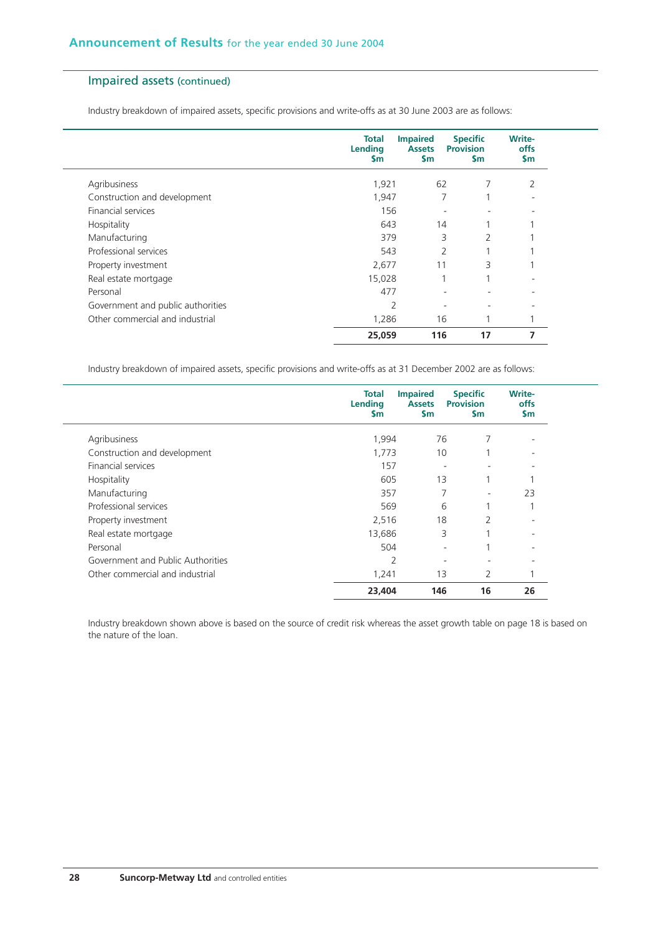## Impaired assets (continued)

Industry breakdown of impaired assets, specific provisions and write-offs as at 30 June 2003 are as follows:

|                                   | <b>Total</b><br>Lending<br><b>Sm</b> | <b>Impaired</b><br><b>Assets</b><br>$\mathsf{sm}$ | <b>Specific</b><br><b>Provision</b><br>$\mathsf{sm}$ | <b>Write-</b><br>offs<br>$\mathsf{sm}$ |
|-----------------------------------|--------------------------------------|---------------------------------------------------|------------------------------------------------------|----------------------------------------|
| Agribusiness                      | 1,921                                | 62                                                | 7                                                    | 2                                      |
| Construction and development      | 1,947                                |                                                   |                                                      |                                        |
| <b>Financial services</b>         | 156                                  |                                                   | ٠                                                    | ۰                                      |
| Hospitality                       | 643                                  | 14                                                |                                                      |                                        |
| Manufacturing                     | 379                                  |                                                   | 3<br>$\overline{2}$                                  |                                        |
| Professional services             | 543                                  | 2                                                 |                                                      |                                        |
| Property investment               | 2,677                                | 11                                                | 3                                                    |                                        |
| Real estate mortgage              | 15,028                               |                                                   |                                                      |                                        |
| Personal                          | 477                                  |                                                   |                                                      |                                        |
| Government and public authorities | $\overline{2}$                       |                                                   |                                                      |                                        |
| Other commercial and industrial   | 1,286                                | 16                                                |                                                      |                                        |
|                                   | 25,059                               | 116                                               | 17                                                   |                                        |

Industry breakdown of impaired assets, specific provisions and write-offs as at 31 December 2002 are as follows:

|                                   | Total<br><b>Lending</b><br><b>Sm</b> | <b>Impaired</b><br><b>Assets</b><br>$\mathsf{sm}$ | <b>Specific</b><br><b>Provision</b><br>$\mathsf{sm}$ | Write-<br>offs<br>$\mathsf{sm}$ |
|-----------------------------------|--------------------------------------|---------------------------------------------------|------------------------------------------------------|---------------------------------|
| Agribusiness                      | 1,994                                | 76                                                |                                                      |                                 |
| Construction and development      | 1,773                                | 10                                                |                                                      |                                 |
| <b>Financial services</b>         | 157                                  | ٠                                                 | -                                                    |                                 |
| Hospitality                       | 605                                  | 13                                                | 1                                                    |                                 |
| Manufacturing                     | 357                                  | 7                                                 | ٠                                                    | 23                              |
| Professional services             | 569                                  | 6                                                 | 1                                                    |                                 |
| Property investment               | 2,516                                | 18                                                | 2                                                    |                                 |
| Real estate mortgage              | 13,686                               | 3                                                 | 1                                                    |                                 |
| Personal                          | 504                                  | ٠                                                 |                                                      |                                 |
| Government and Public Authorities | $\overline{2}$                       | ٠                                                 |                                                      |                                 |
| Other commercial and industrial   | 1,241                                | 13                                                | 2                                                    |                                 |
|                                   | 23,404                               | 146                                               | 16                                                   | 26                              |

Industry breakdown shown above is based on the source of credit risk whereas the asset growth table on page 18 is based on the nature of the loan.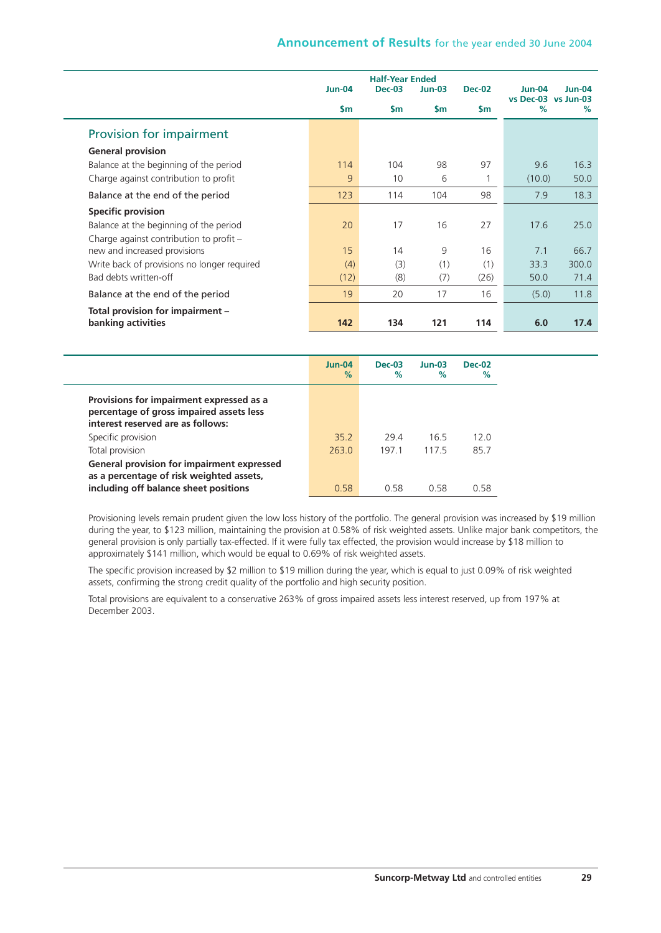|                                             |               | <b>Half-Year Ended</b> |                |               |                                      |          |
|---------------------------------------------|---------------|------------------------|----------------|---------------|--------------------------------------|----------|
|                                             | <b>Jun-04</b> | $Dec-03$               | Jun-03         | <b>Dec-02</b> | <b>Jun-04</b><br>vs Dec-03 vs Jun-03 | $Jun-04$ |
|                                             | $\mathsf{Sm}$ | $\mathsf{Sm}$          | $\mathsf{S}$ m | \$m           | %                                    | $\%$     |
| Provision for impairment                    |               |                        |                |               |                                      |          |
| <b>General provision</b>                    |               |                        |                |               |                                      |          |
| Balance at the beginning of the period      | 114           | 104                    | 98             | 97            | 9.6                                  | 16.3     |
| Charge against contribution to profit       | 9             | 10                     | 6              | 1             | (10.0)                               | 50.0     |
| Balance at the end of the period            | 123           | 114                    | 104            | 98            | 7.9                                  | 18.3     |
| <b>Specific provision</b>                   |               |                        |                |               |                                      |          |
| Balance at the beginning of the period      | 20            | 17                     | 16             | 27            | 17.6                                 | 25.0     |
| Charge against contribution to profit -     |               |                        |                |               |                                      |          |
| new and increased provisions                | 15            | 14                     | 9              | 16            | 7.1                                  | 66.7     |
| Write back of provisions no longer required | (4)           | (3)                    | (1)            | (1)           | 33.3                                 | 300.0    |
| Bad debts written-off                       | (12)          | (8)                    | (7)            | (26)          | 50.0                                 | 71.4     |
| Balance at the end of the period            | 19            | 20                     | 17             | 16            | (5.0)                                | 11.8     |
| Total provision for impairment -            |               |                        |                |               |                                      |          |
| banking activities                          | 142           | 134                    | 121            | 114           | 6.0                                  | 17.4     |

|                                                                                                                                        | $Jun-04$<br>$\%$ | $Dec-03$<br>$\%$ | $Jun-03$<br>$\%$ | $Dec-02$<br>$\%$ |
|----------------------------------------------------------------------------------------------------------------------------------------|------------------|------------------|------------------|------------------|
| Provisions for impairment expressed as a<br>percentage of gross impaired assets less<br>interest reserved are as follows:              |                  |                  |                  |                  |
| Specific provision                                                                                                                     | 352              | 294              | 165              | 120              |
| Total provision                                                                                                                        | 2630             | 1971             | 1175             | 857              |
| <b>General provision for impairment expressed</b><br>as a percentage of risk weighted assets,<br>including off balance sheet positions | 0.58             | 0.58             | 0.58             | 0.58             |

Provisioning levels remain prudent given the low loss history of the portfolio. The general provision was increased by \$19 million during the year, to \$123 million, maintaining the provision at 0.58% of risk weighted assets. Unlike major bank competitors, the general provision is only partially tax-effected. If it were fully tax effected, the provision would increase by \$18 million to approximately \$141 million, which would be equal to 0.69% of risk weighted assets.

The specific provision increased by \$2 million to \$19 million during the year, which is equal to just 0.09% of risk weighted assets, confirming the strong credit quality of the portfolio and high security position.

Total provisions are equivalent to a conservative 263% of gross impaired assets less interest reserved, up from 197% at December 2003.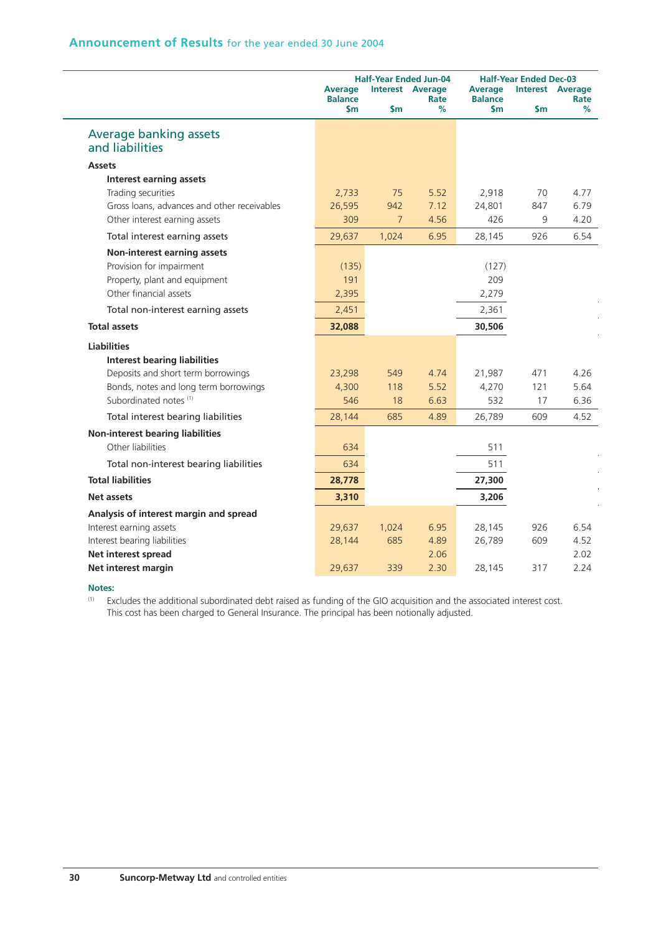|                                                  | <b>Average</b><br><b>Balance</b><br>$\mathsf{Sm}$ | $\mathsf{Sm}$  | <b>Half-Year Ended Jun-04</b><br><b>Interest Average</b><br>Rate<br>% | <b>Average</b><br><b>Balance</b><br>\$m | <b>Half-Year Ended Dec-03</b><br>\$m | <b>Interest Average</b><br>Rate<br>% |
|--------------------------------------------------|---------------------------------------------------|----------------|-----------------------------------------------------------------------|-----------------------------------------|--------------------------------------|--------------------------------------|
| <b>Average banking assets</b><br>and liabilities |                                                   |                |                                                                       |                                         |                                      |                                      |
| <b>Assets</b>                                    |                                                   |                |                                                                       |                                         |                                      |                                      |
| <b>Interest earning assets</b>                   |                                                   |                |                                                                       |                                         |                                      |                                      |
| Trading securities                               | 2,733                                             | 75             | 5.52                                                                  | 2,918                                   | 70                                   | 4.77                                 |
| Gross loans, advances and other receivables      | 26,595                                            | 942            | 7.12                                                                  | 24,801                                  | 847                                  | 6.79                                 |
| Other interest earning assets                    | 309                                               | $\overline{7}$ | 4.56                                                                  | 426                                     | 9                                    | 4.20                                 |
| Total interest earning assets                    | 29,637                                            | 1,024          | 6.95                                                                  | 28,145                                  | 926                                  | 6.54                                 |
| Non-interest earning assets                      |                                                   |                |                                                                       |                                         |                                      |                                      |
| Provision for impairment                         | (135)                                             |                |                                                                       | (127)                                   |                                      |                                      |
| Property, plant and equipment                    | 191                                               |                |                                                                       | 209                                     |                                      |                                      |
| Other financial assets                           | 2,395                                             |                |                                                                       | 2,279                                   |                                      |                                      |
| Total non-interest earning assets                | 2,451                                             |                |                                                                       | 2,361                                   |                                      |                                      |
| <b>Total assets</b>                              | 32,088                                            |                |                                                                       | 30,506                                  |                                      |                                      |
| <b>Liabilities</b>                               |                                                   |                |                                                                       |                                         |                                      |                                      |
| <b>Interest bearing liabilities</b>              |                                                   |                |                                                                       |                                         |                                      |                                      |
| Deposits and short term borrowings               | 23,298                                            | 549            | 4.74                                                                  | 21,987                                  | 471                                  | 4.26                                 |
| Bonds, notes and long term borrowings            | 4,300                                             | 118            | 5.52                                                                  | 4,270                                   | 121                                  | 5.64                                 |
| Subordinated notes <sup>(1)</sup>                | 546                                               | 18             | 6.63                                                                  | 532                                     | 17                                   | 6.36                                 |
| Total interest bearing liabilities               | 28,144                                            | 685            | 4.89                                                                  | 26,789                                  | 609                                  | 4.52                                 |
| <b>Non-interest bearing liabilities</b>          |                                                   |                |                                                                       |                                         |                                      |                                      |
| Other liabilities                                | 634                                               |                |                                                                       | 511                                     |                                      |                                      |
| Total non-interest bearing liabilities           | 634                                               |                |                                                                       | 511                                     |                                      |                                      |
| <b>Total liabilities</b>                         | 28,778                                            |                |                                                                       | 27,300                                  |                                      |                                      |
| <b>Net assets</b>                                | 3,310                                             |                |                                                                       | 3,206                                   |                                      |                                      |
| Analysis of interest margin and spread           |                                                   |                |                                                                       |                                         |                                      |                                      |
| Interest earning assets                          | 29,637                                            | 1,024          | 6.95                                                                  | 28,145                                  | 926                                  | 6.54                                 |
| Interest bearing liabilities                     | 28,144                                            | 685            | 4.89                                                                  | 26,789                                  | 609                                  | 4.52                                 |
| Net interest spread                              |                                                   |                | 2.06                                                                  |                                         |                                      | 2.02                                 |
| Net interest margin                              | 29,637                                            | 339            | 2.30                                                                  | 28,145                                  | 317                                  | 2.24                                 |

#### **Notes:**

 $(1)$  Excludes the additional subordinated debt raised as funding of the GIO acquisition and the associated interest cost. This cost has been charged to General Insurance. The principal has been notionally adjusted.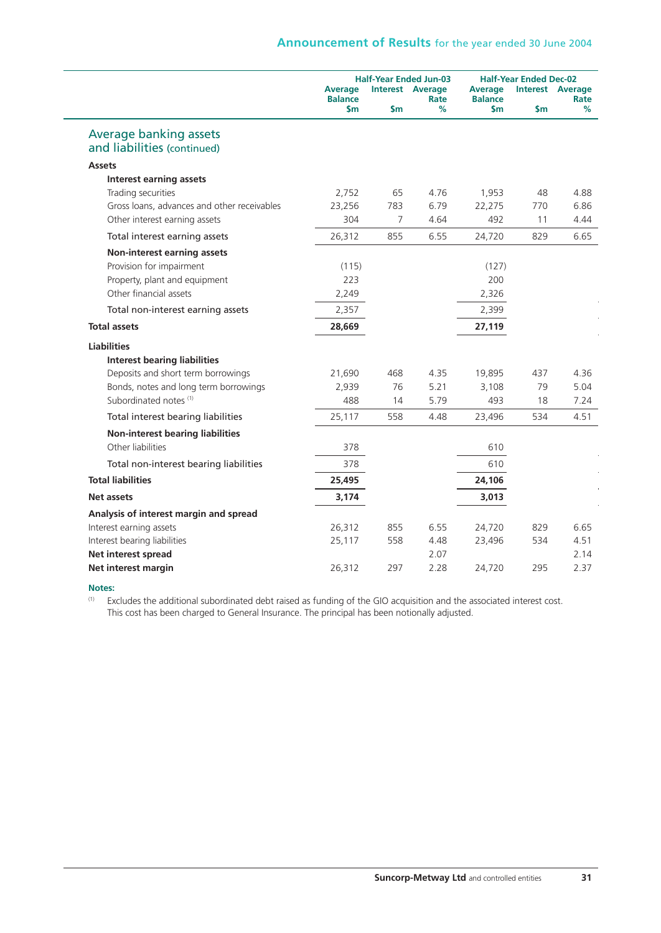|                                             | <b>Half-Year Ended Jun-03</b> |                         |           |                       | <b>Half-Year Ended Dec-02</b> |           |  |  |
|---------------------------------------------|-------------------------------|-------------------------|-----------|-----------------------|-------------------------------|-----------|--|--|
|                                             | <b>Average</b>                | <b>Interest Average</b> |           | <b>Average</b>        | <b>Interest Average</b>       |           |  |  |
|                                             | <b>Balance</b><br>\$m         | \$m                     | Rate<br>% | <b>Balance</b><br>\$m | \$m                           | Rate<br>% |  |  |
| Average banking assets                      |                               |                         |           |                       |                               |           |  |  |
| and liabilities (continued)                 |                               |                         |           |                       |                               |           |  |  |
| <b>Assets</b>                               |                               |                         |           |                       |                               |           |  |  |
| <b>Interest earning assets</b>              |                               |                         |           |                       |                               |           |  |  |
| Trading securities                          | 2,752                         | 65                      | 4.76      | 1,953                 | 48                            | 4.88      |  |  |
| Gross loans, advances and other receivables | 23,256                        | 783                     | 6.79      | 22,275                | 770                           | 6.86      |  |  |
| Other interest earning assets               | 304                           | 7                       | 4.64      | 492                   | 11                            | 4.44      |  |  |
| Total interest earning assets               | 26,312                        | 855                     | 6.55      | 24,720                | 829                           | 6.65      |  |  |
| Non-interest earning assets                 |                               |                         |           |                       |                               |           |  |  |
| Provision for impairment                    | (115)                         |                         |           | (127)                 |                               |           |  |  |
| Property, plant and equipment               | 223                           |                         |           | 200                   |                               |           |  |  |
| Other financial assets                      | 2,249                         |                         |           | 2,326                 |                               |           |  |  |
| Total non-interest earning assets           | 2,357                         |                         |           | 2,399                 |                               |           |  |  |
| <b>Total assets</b>                         | 28,669                        |                         |           | 27,119                |                               |           |  |  |
| <b>Liabilities</b>                          |                               |                         |           |                       |                               |           |  |  |
| <b>Interest bearing liabilities</b>         |                               |                         |           |                       |                               |           |  |  |
| Deposits and short term borrowings          | 21,690                        | 468                     | 4.35      | 19,895                | 437                           | 4.36      |  |  |
| Bonds, notes and long term borrowings       | 2,939                         | 76                      | 5.21      | 3,108                 | 79                            | 5.04      |  |  |
| Subordinated notes (1)                      | 488                           | 14                      | 5.79      | 493                   | 18                            | 7.24      |  |  |
| Total interest bearing liabilities          | 25,117                        | 558                     | 4.48      | 23,496                | 534                           | 4.51      |  |  |
| <b>Non-interest bearing liabilities</b>     |                               |                         |           |                       |                               |           |  |  |
| Other liabilities                           | 378                           |                         |           | 610                   |                               |           |  |  |
| Total non-interest bearing liabilities      | 378                           |                         |           | 610                   |                               |           |  |  |
| <b>Total liabilities</b>                    | 25,495                        |                         |           | 24,106                |                               |           |  |  |
| Net assets                                  | 3,174                         |                         |           | 3,013                 |                               |           |  |  |
| Analysis of interest margin and spread      |                               |                         |           |                       |                               |           |  |  |
| Interest earning assets                     | 26,312                        | 855                     | 6.55      | 24,720                | 829                           | 6.65      |  |  |
| Interest bearing liabilities                | 25,117                        | 558                     | 4.48      | 23,496                | 534                           | 4.51      |  |  |
| Net interest spread                         |                               |                         | 2.07      |                       |                               | 2.14      |  |  |
| Net interest margin                         | 26,312                        | 297                     | 2.28      | 24,720                | 295                           | 2.37      |  |  |

#### **Notes:**

(1) Excludes the additional subordinated debt raised as funding of the GIO acquisition and the associated interest cost. This cost has been charged to General Insurance. The principal has been notionally adjusted.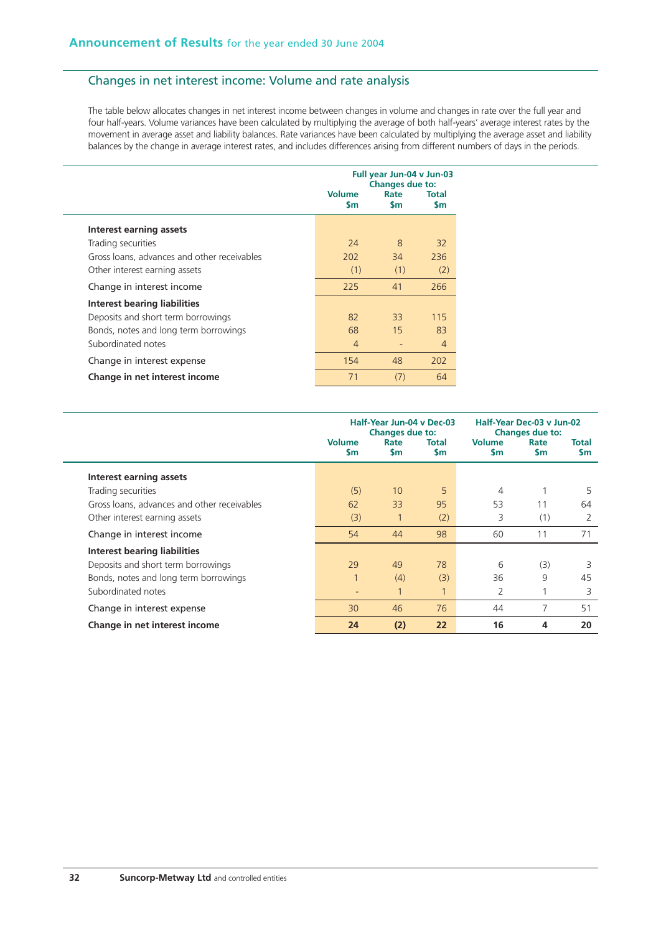## Changes in net interest income: Volume and rate analysis

The table below allocates changes in net interest income between changes in volume and changes in rate over the full year and four half-years. Volume variances have been calculated by multiplying the average of both half-years' average interest rates by the movement in average asset and liability balances. Rate variances have been calculated by multiplying the average asset and liability balances by the change in average interest rates, and includes differences arising from different numbers of days in the periods.

|                                             | Full year Jun-04 v Jun-03<br><b>Changes due to:</b><br><b>Volume</b><br>Rate<br><b>Total</b><br>\$m<br><b>Sm</b><br><b>Sm</b> |               |                |  |
|---------------------------------------------|-------------------------------------------------------------------------------------------------------------------------------|---------------|----------------|--|
| Interest earning assets                     |                                                                                                                               |               |                |  |
| Trading securities                          | 24                                                                                                                            | $\mathcal{B}$ | 32             |  |
| Gross loans, advances and other receivables | 202                                                                                                                           | 34            | 236            |  |
| Other interest earning assets               | (1)                                                                                                                           | (1)           | (2)            |  |
| Change in interest income                   | 225                                                                                                                           | 41            | 266            |  |
| Interest bearing liabilities                |                                                                                                                               |               |                |  |
| Deposits and short term borrowings          | 82                                                                                                                            | 33            | 115            |  |
| Bonds, notes and long term borrowings       | 68                                                                                                                            | 15            | 83             |  |
| Subordinated notes                          | $\overline{4}$                                                                                                                |               | $\overline{4}$ |  |
| Change in interest expense                  | 154                                                                                                                           | 48            | 202            |  |
| Change in net interest income               | 71                                                                                                                            | (7)           | 64             |  |

|                                             | Half-Year Jun-04 v Dec-03<br><b>Changes due to:</b> |                    |                    | Half-Year Dec-03 v Jun-02<br>Changes due to: |                   |                           |  |
|---------------------------------------------|-----------------------------------------------------|--------------------|--------------------|----------------------------------------------|-------------------|---------------------------|--|
|                                             | <b>Volume</b><br><b>Sm</b>                          | Rate<br><b>S</b> m | Total<br><b>Sm</b> | <b>Volume</b><br><b>Sm</b>                   | Rate<br><b>Sm</b> | <b>Total</b><br><b>Sm</b> |  |
| Interest earning assets                     |                                                     |                    |                    |                                              |                   |                           |  |
| Trading securities                          | (5)                                                 | 10                 | 5                  | 4                                            |                   | 5                         |  |
| Gross loans, advances and other receivables | 62                                                  | 33                 | 95                 | 53                                           | 11                | 64                        |  |
| Other interest earning assets               | (3)                                                 |                    | (2)                | 3                                            | (1)               | 2                         |  |
| Change in interest income                   | 54                                                  | 44                 | 98                 | 60                                           | 11                | 71                        |  |
| Interest bearing liabilities                |                                                     |                    |                    |                                              |                   |                           |  |
| Deposits and short term borrowings          | 29                                                  | 49                 | 78                 | 6                                            | (3)               | 3                         |  |
| Bonds, notes and long term borrowings       | 1                                                   | (4)                | (3)                | 36                                           | 9                 | 45                        |  |
| Subordinated notes                          | ٠                                                   | 1                  | $\mathbf{1}$       | 2                                            |                   | 3                         |  |
| Change in interest expense                  | 30                                                  | 46                 | 76                 | 44                                           | 7                 | 51                        |  |
| Change in net interest income               | 24                                                  | (2)                | 22                 | 16                                           | 4                 | 20                        |  |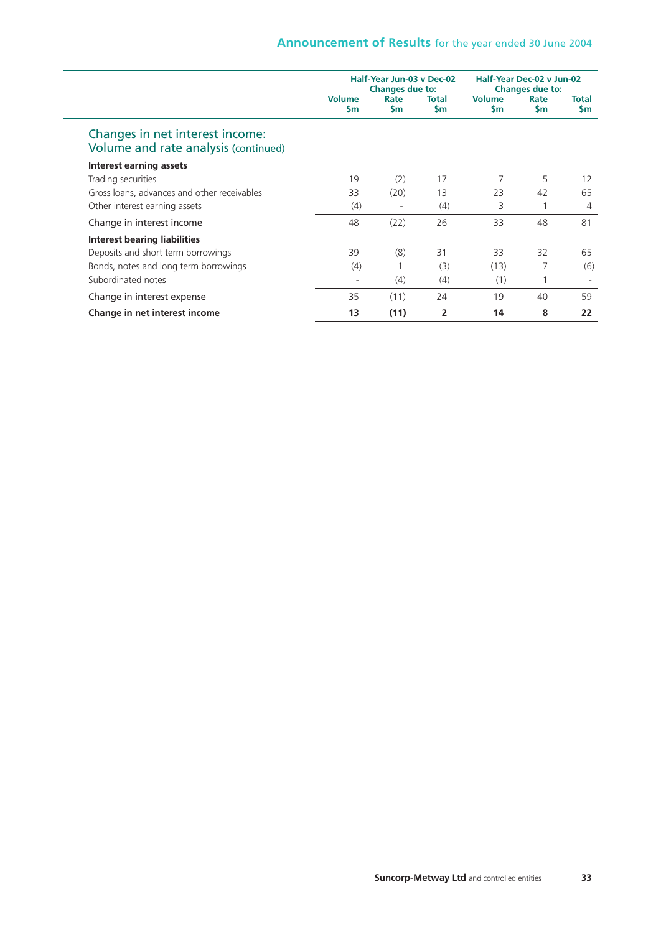|                                                                         | Half-Year Jun-03 v Dec-02<br>Changes due to: |             |              | Half-Year Dec-02 v Jun-02<br><b>Changes due to:</b> |                   |                           |  |
|-------------------------------------------------------------------------|----------------------------------------------|-------------|--------------|-----------------------------------------------------|-------------------|---------------------------|--|
|                                                                         | <b>Volume</b><br><b>Sm</b>                   | Rate<br>\$m | Total<br>\$m | <b>Volume</b><br><b>Sm</b>                          | Rate<br><b>Sm</b> | <b>Total</b><br><b>Sm</b> |  |
| Changes in net interest income:<br>Volume and rate analysis (continued) |                                              |             |              |                                                     |                   |                           |  |
| Interest earning assets                                                 |                                              |             |              |                                                     |                   |                           |  |
| Trading securities                                                      | 19                                           | (2)         | 17           | 7                                                   | 5                 | 12                        |  |
| Gross loans, advances and other receivables                             | 33                                           | (20)        | 13           | 23                                                  | 42                | 65                        |  |
| Other interest earning assets                                           | (4)                                          | -           | (4)          | 3                                                   |                   | 4                         |  |
| Change in interest income                                               | 48                                           | (22)        | 26           | 33                                                  | 48                | 81                        |  |
| Interest bearing liabilities                                            |                                              |             |              |                                                     |                   |                           |  |
| Deposits and short term borrowings                                      | 39                                           | (8)         | 31           | 33                                                  | 32                | 65                        |  |
| Bonds, notes and long term borrowings                                   | (4)                                          |             | (3)          | (13)                                                | 7                 | (6)                       |  |
| Subordinated notes                                                      |                                              | (4)         | (4)          | (1)                                                 |                   |                           |  |
| Change in interest expense                                              | 35                                           | (11)        | 24           | 19                                                  | 40                | 59                        |  |
| Change in net interest income                                           | 13                                           | (11)        | 2            | 14                                                  | 8                 | 22                        |  |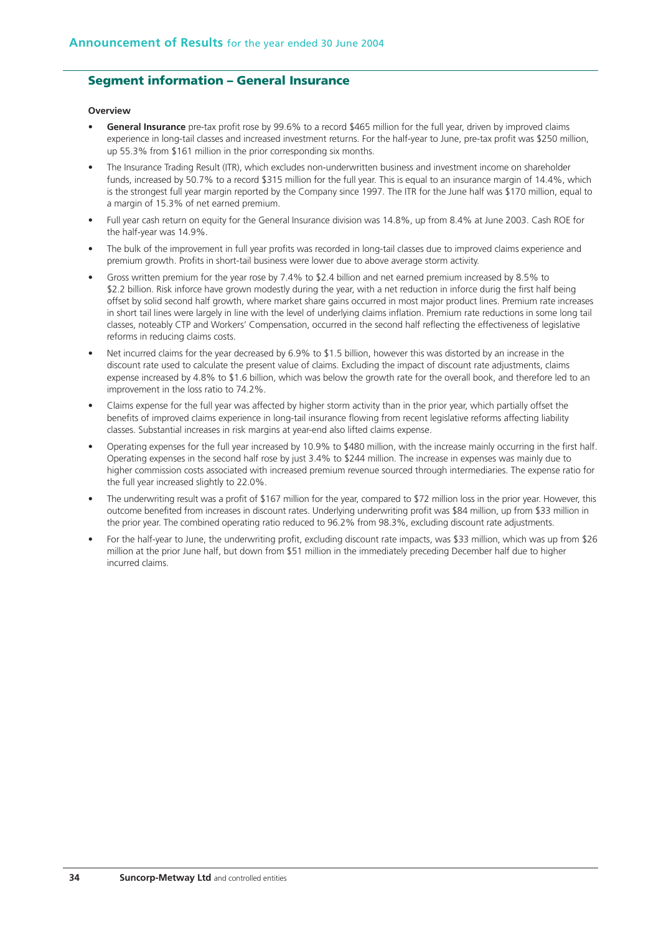## **Segment information – General Insurance**

#### **Overview**

- **General Insurance** pre-tax profit rose by 99.6% to a record \$465 million for the full year, driven by improved claims experience in long-tail classes and increased investment returns. For the half-year to June, pre-tax profit was \$250 million, up 55.3% from \$161 million in the prior corresponding six months.
- The Insurance Trading Result (ITR), which excludes non-underwritten business and investment income on shareholder funds, increased by 50.7% to a record \$315 million for the full year. This is equal to an insurance margin of 14.4%, which is the strongest full year margin reported by the Company since 1997. The ITR for the June half was \$170 million, equal to a margin of 15.3% of net earned premium.
- Full year cash return on equity for the General Insurance division was 14.8%, up from 8.4% at June 2003. Cash ROE for the half-year was 14.9%.
- The bulk of the improvement in full year profits was recorded in long-tail classes due to improved claims experience and premium growth. Profits in short-tail business were lower due to above average storm activity.
- Gross written premium for the year rose by 7.4% to \$2.4 billion and net earned premium increased by 8.5% to \$2.2 billion. Risk inforce have grown modestly during the year, with a net reduction in inforce durig the first half being offset by solid second half growth, where market share gains occurred in most major product lines. Premium rate increases in short tail lines were largely in line with the level of underlying claims inflation. Premium rate reductions in some long tail classes, noteably CTP and Workers' Compensation, occurred in the second half reflecting the effectiveness of legislative reforms in reducing claims costs.
- Net incurred claims for the year decreased by 6.9% to \$1.5 billion, however this was distorted by an increase in the discount rate used to calculate the present value of claims. Excluding the impact of discount rate adjustments, claims expense increased by 4.8% to \$1.6 billion, which was below the growth rate for the overall book, and therefore led to an improvement in the loss ratio to 74.2%.
- Claims expense for the full year was affected by higher storm activity than in the prior year, which partially offset the benefits of improved claims experience in long-tail insurance flowing from recent legislative reforms affecting liability classes. Substantial increases in risk margins at year-end also lifted claims expense.
- Operating expenses for the full year increased by 10.9% to \$480 million, with the increase mainly occurring in the first half. Operating expenses in the second half rose by just 3.4% to \$244 million. The increase in expenses was mainly due to higher commission costs associated with increased premium revenue sourced through intermediaries. The expense ratio for the full year increased slightly to 22.0%.
- The underwriting result was a profit of \$167 million for the year, compared to \$72 million loss in the prior year. However, this outcome benefited from increases in discount rates. Underlying underwriting profit was \$84 million, up from \$33 million in the prior year. The combined operating ratio reduced to 96.2% from 98.3%, excluding discount rate adjustments.
- For the half-year to June, the underwriting profit, excluding discount rate impacts, was \$33 million, which was up from \$26 million at the prior June half, but down from \$51 million in the immediately preceding December half due to higher incurred claims.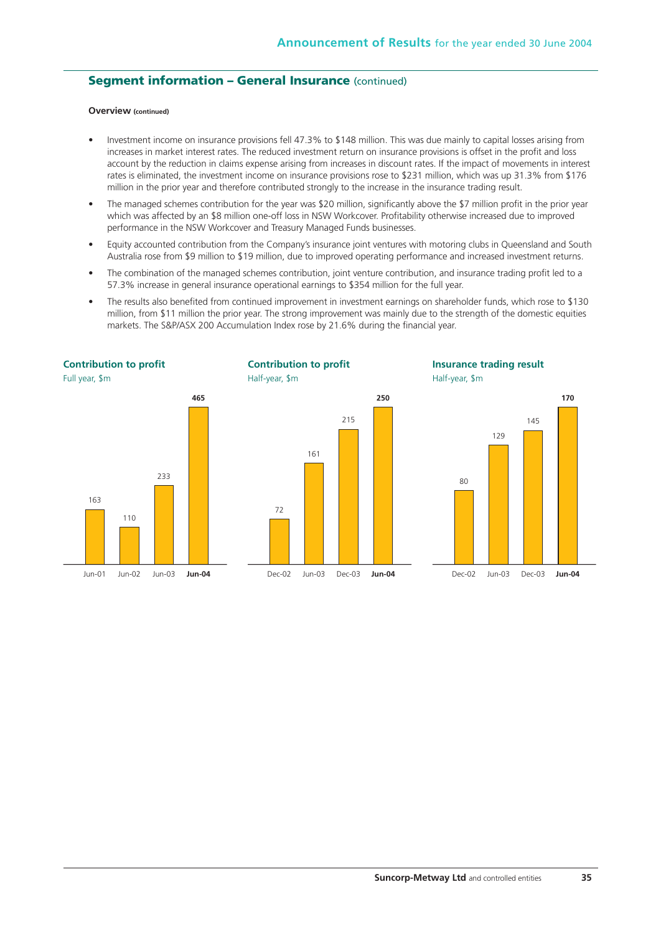## **Segment information - General Insurance (continued)**

#### **Overview (continued)**

- Investment income on insurance provisions fell 47.3% to \$148 million. This was due mainly to capital losses arising from increases in market interest rates. The reduced investment return on insurance provisions is offset in the profit and loss account by the reduction in claims expense arising from increases in discount rates. If the impact of movements in interest rates is eliminated, the investment income on insurance provisions rose to \$231 million, which was up 31.3% from \$176 million in the prior year and therefore contributed strongly to the increase in the insurance trading result.
- The managed schemes contribution for the year was \$20 million, significantly above the \$7 million profit in the prior year which was affected by an \$8 million one-off loss in NSW Workcover. Profitability otherwise increased due to improved performance in the NSW Workcover and Treasury Managed Funds businesses.
- Equity accounted contribution from the Company's insurance joint ventures with motoring clubs in Queensland and South Australia rose from \$9 million to \$19 million, due to improved operating performance and increased investment returns.
- The combination of the managed schemes contribution, joint venture contribution, and insurance trading profit led to a 57.3% increase in general insurance operational earnings to \$354 million for the full year.
- The results also benefited from continued improvement in investment earnings on shareholder funds, which rose to \$130 million, from \$11 million the prior year. The strong improvement was mainly due to the strength of the domestic equities markets. The S&P/ASX 200 Accumulation Index rose by 21.6% during the financial year.

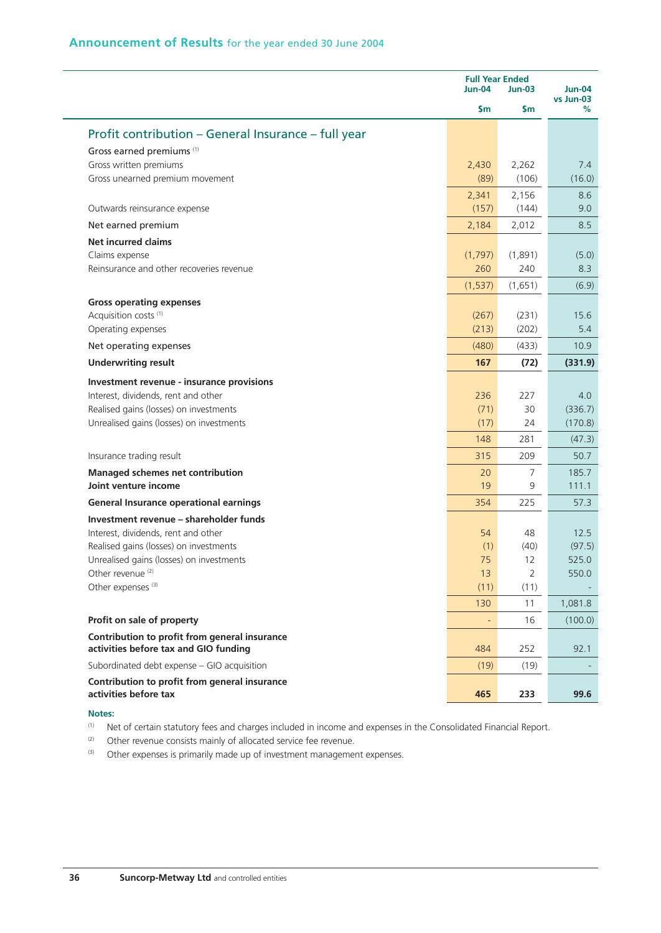|                                                                                    |                          | <b>Full Year Ended</b><br><b>Jun-04</b><br><b>Jun-03</b> |                                 |  |
|------------------------------------------------------------------------------------|--------------------------|----------------------------------------------------------|---------------------------------|--|
|                                                                                    | \$m                      | \$m                                                      | <b>Jun-04</b><br>vs Jun-03<br>% |  |
| Profit contribution – General Insurance – full year                                |                          |                                                          |                                 |  |
| Gross earned premiums <sup>(1)</sup>                                               |                          |                                                          |                                 |  |
| Gross written premiums                                                             | 2,430                    | 2,262                                                    | 7.4                             |  |
| Gross unearned premium movement                                                    | (89)                     | (106)                                                    | (16.0)                          |  |
|                                                                                    | 2,341                    | 2,156                                                    | 8.6                             |  |
| Outwards reinsurance expense                                                       | (157)                    | (144)                                                    | 9.0                             |  |
| Net earned premium                                                                 | 2,184                    | 2,012                                                    | 8.5                             |  |
| <b>Net incurred claims</b>                                                         |                          |                                                          |                                 |  |
| Claims expense                                                                     | (1,797)                  | (1,891)                                                  | (5.0)                           |  |
| Reinsurance and other recoveries revenue                                           | 260                      | 240                                                      | 8.3                             |  |
|                                                                                    | (1,537)                  | (1,651)                                                  | (6.9)                           |  |
| <b>Gross operating expenses</b>                                                    |                          |                                                          |                                 |  |
| Acquisition costs <sup>(1)</sup>                                                   | (267)                    | (231)                                                    | 15.6                            |  |
| Operating expenses                                                                 | (213)                    | (202)                                                    | 5.4                             |  |
| Net operating expenses                                                             | (480)                    | (433)                                                    | 10.9                            |  |
| <b>Underwriting result</b>                                                         | 167                      | (72)                                                     | (331.9)                         |  |
| Investment revenue - insurance provisions                                          |                          |                                                          |                                 |  |
| Interest, dividends, rent and other                                                | 236                      | 227                                                      | 4.0                             |  |
| Realised gains (losses) on investments                                             | (71)                     | 30                                                       | (336.7)                         |  |
| Unrealised gains (losses) on investments                                           | (17)                     | 24                                                       | (170.8)                         |  |
|                                                                                    | 148                      | 281                                                      | (47.3)                          |  |
| Insurance trading result                                                           | 315                      | 209                                                      | 50.7                            |  |
| <b>Managed schemes net contribution</b>                                            | 20                       | 7                                                        | 185.7                           |  |
| Joint venture income                                                               | 19                       | 9                                                        | 111.1                           |  |
| <b>General Insurance operational earnings</b>                                      | 354                      | 225                                                      | 57.3                            |  |
| Investment revenue - shareholder funds                                             |                          |                                                          |                                 |  |
| Interest, dividends, rent and other                                                | 54                       | 48                                                       | 12.5                            |  |
| Realised gains (losses) on investments<br>Unrealised gains (losses) on investments | (1)<br>75                | (40)<br>12                                               | (97.5)<br>525.0                 |  |
| Other revenue <sup>(2)</sup>                                                       | 13                       | $\overline{2}$                                           | 550.0                           |  |
| Other expenses <sup>(3)</sup>                                                      | (11)                     | (11)                                                     |                                 |  |
|                                                                                    | 130                      | 11                                                       | 1,081.8                         |  |
| Profit on sale of property                                                         | $\overline{\phantom{a}}$ | 16                                                       | (100.0)                         |  |
| Contribution to profit from general insurance                                      |                          |                                                          |                                 |  |
| activities before tax and GIO funding                                              | 484                      | 252                                                      | 92.1                            |  |
| Subordinated debt expense - GIO acquisition                                        | (19)                     | (19)                                                     |                                 |  |
| Contribution to profit from general insurance<br>activities before tax             | 465                      | 233                                                      | 99.6                            |  |
|                                                                                    |                          |                                                          |                                 |  |

#### **Notes:**

(1) Net of certain statutory fees and charges included in income and expenses in the Consolidated Financial Report.

 $(2)$  Other revenue consists mainly of allocated service fee revenue.

(3) Other expenses is primarily made up of investment management expenses.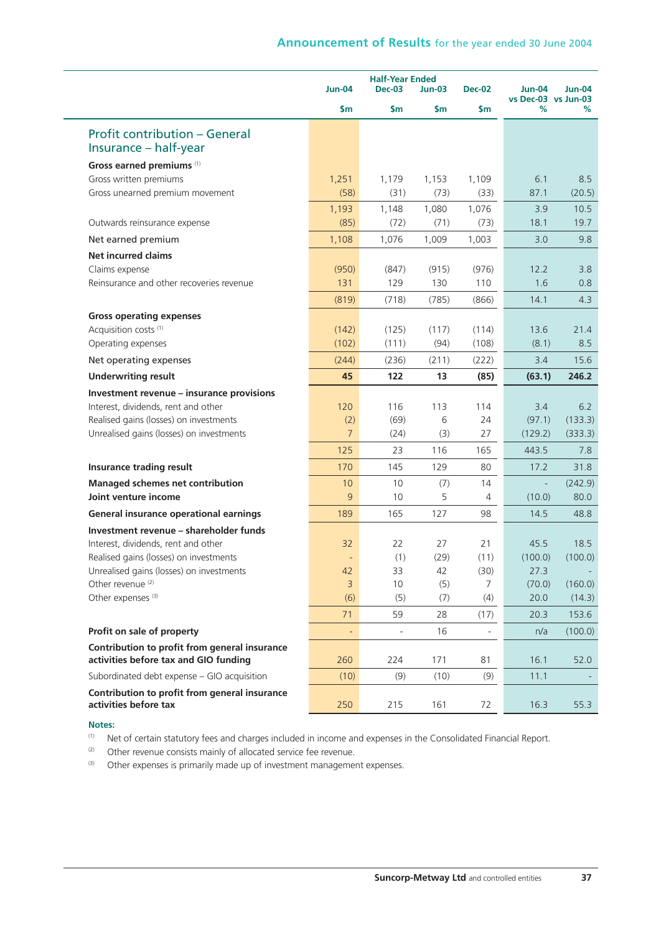|                                                                                        | $Jun-04$                 | <b>Half-Year Ended</b><br><b>Dec-03</b> | <b>Dec-02</b>   | <b>Jun-04</b>  | <b>Jun-04</b>            |         |
|----------------------------------------------------------------------------------------|--------------------------|-----------------------------------------|-----------------|----------------|--------------------------|---------|
|                                                                                        | \$m                      | \$m                                     | $Jun-03$<br>\$m | \$m            | vs Dec-03 vs Jun-03<br>% | ℅       |
| <b>Profit contribution - General</b>                                                   |                          |                                         |                 |                |                          |         |
| Insurance – half-year                                                                  |                          |                                         |                 |                |                          |         |
| Gross earned premiums (1)                                                              |                          |                                         |                 |                |                          |         |
| Gross written premiums                                                                 | 1,251                    | 1,179                                   | 1,153           | 1,109          | 6.1                      | 8.5     |
| Gross unearned premium movement                                                        | (58)                     | (31)                                    | (73)            | (33)           | 87.1                     | (20.5)  |
|                                                                                        | 1,193                    | 1,148                                   | 1,080           | 1,076          | 3.9                      | 10.5    |
| Outwards reinsurance expense                                                           | (85)                     | (72)                                    | (71)            | (73)           | 18.1                     | 19.7    |
| Net earned premium                                                                     | 1,108                    | 1,076                                   | 1,009           | 1,003          | 3.0                      | 9.8     |
| <b>Net incurred claims</b>                                                             |                          |                                         |                 |                |                          |         |
| Claims expense                                                                         | (950)                    | (847)                                   | (915)           | (976)          | 12.2                     | 3.8     |
| Reinsurance and other recoveries revenue                                               | 131                      | 129                                     | 130             | 110            | 1.6                      | 0.8     |
|                                                                                        | (819)                    | (718)                                   | (785)           | (866)          | 14.1                     | 4.3     |
| <b>Gross operating expenses</b>                                                        |                          |                                         |                 |                |                          |         |
| Acquisition costs <sup>(1)</sup>                                                       | (142)                    | (125)                                   | (117)           | (114)          | 13.6                     | 21.4    |
| Operating expenses                                                                     | (102)                    | (111)                                   | (94)            | (108)          | (8.1)                    | 8.5     |
| Net operating expenses                                                                 | (244)                    | (236)                                   | (211)           | (222)          | 3.4                      | 15.6    |
| <b>Underwriting result</b>                                                             | 45                       | 122                                     | 13              | (85)           | (63.1)                   | 246.2   |
| Investment revenue - insurance provisions                                              |                          |                                         |                 |                |                          |         |
| Interest, dividends, rent and other                                                    | 120                      | 116                                     | 113             | 114            | 3.4                      | 6.2     |
| Realised gains (losses) on investments                                                 | (2)                      | (69)                                    | 6               | 24             | (97.1)                   | (133.3) |
| Unrealised gains (losses) on investments                                               | $\overline{7}$           | (24)                                    | (3)             | 27             | (129.2)                  | (333.3) |
|                                                                                        | 125                      | 23                                      | 116             | 165            | 443.5                    | 7.8     |
| <b>Insurance trading result</b>                                                        | 170                      | 145                                     | 129             | 80             | 17.2                     | 31.8    |
| Managed schemes net contribution                                                       | 10                       | 10                                      | (7)             | 14             |                          | (242.9) |
| Joint venture income                                                                   | 9                        | 10                                      | 5               | $\overline{4}$ | (10.0)                   | 80.0    |
| General insurance operational earnings                                                 | 189                      | 165                                     | 127             | 98             | 14.5                     | 48.8    |
| Investment revenue - shareholder funds                                                 |                          |                                         |                 |                |                          |         |
| Interest, dividends, rent and other                                                    | 32                       | 22                                      | 27              | 21             | 45.5                     | 18.5    |
| Realised gains (losses) on investments                                                 | $\overline{\phantom{a}}$ | (1)                                     | (29)            | (11)           | (100.0)                  | (100.0) |
| Unrealised gains (losses) on investments                                               | 42                       | 33                                      | 42              | (30)           | 27.3                     |         |
| Other revenue <sup>(2)</sup><br>Other expenses <sup>(3)</sup>                          | 3                        | 10                                      | (5)             | 7              | (70.0)                   | (160.0) |
|                                                                                        | (6)                      | (5)                                     | (7)             | (4)            | 20.0                     | (14.3)  |
|                                                                                        | 71                       | 59                                      | 28              | (17)           | 20.3                     | 153.6   |
| Profit on sale of property                                                             | ÷                        |                                         | 16              |                | n/a                      | (100.0) |
| Contribution to profit from general insurance<br>activities before tax and GIO funding | 260                      | 224                                     | 171             | 81             | 16.1                     | 52.0    |
| Subordinated debt expense - GIO acquisition                                            | (10)                     | (9)                                     | (10)            | (9)            | 11.1                     |         |
| Contribution to profit from general insurance<br>activities before tax                 | 250                      | 215                                     | 161             | 72             | 16.3                     | 55.3    |
|                                                                                        |                          |                                         |                 |                |                          |         |

**Notes:**

(1) Net of certain statutory fees and charges included in income and expenses in the Consolidated Financial Report.

 $(2)$  Other revenue consists mainly of allocated service fee revenue.

(3) Other expenses is primarily made up of investment management expenses.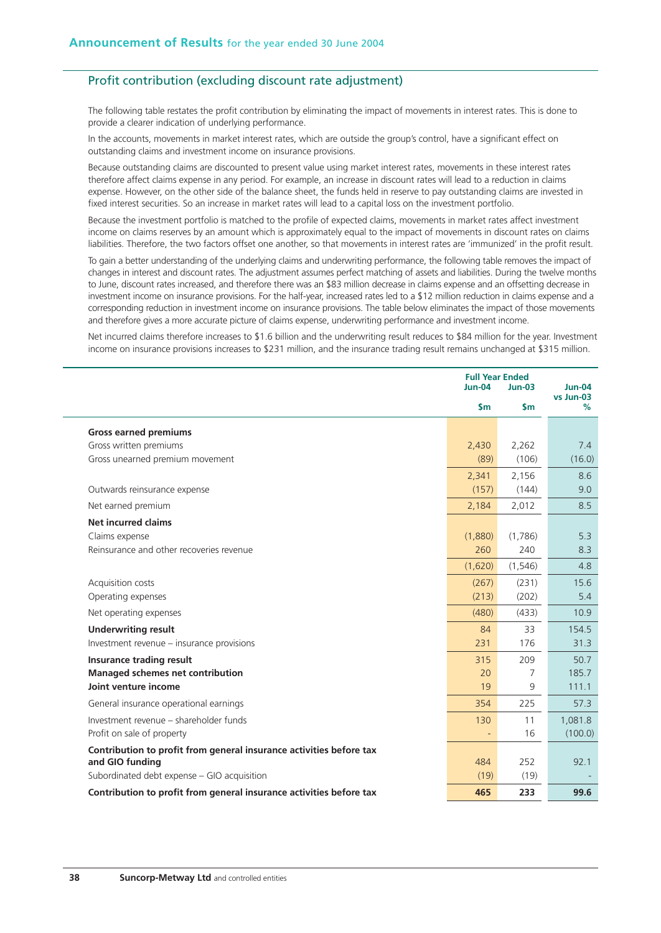## Profit contribution (excluding discount rate adjustment)

The following table restates the profit contribution by eliminating the impact of movements in interest rates. This is done to provide a clearer indication of underlying performance.

In the accounts, movements in market interest rates, which are outside the group's control, have a significant effect on outstanding claims and investment income on insurance provisions.

Because outstanding claims are discounted to present value using market interest rates, movements in these interest rates therefore affect claims expense in any period. For example, an increase in discount rates will lead to a reduction in claims expense. However, on the other side of the balance sheet, the funds held in reserve to pay outstanding claims are invested in fixed interest securities. So an increase in market rates will lead to a capital loss on the investment portfolio.

Because the investment portfolio is matched to the profile of expected claims, movements in market rates affect investment income on claims reserves by an amount which is approximately equal to the impact of movements in discount rates on claims liabilities. Therefore, the two factors offset one another, so that movements in interest rates are 'immunized' in the profit result.

To gain a better understanding of the underlying claims and underwriting performance, the following table removes the impact of changes in interest and discount rates. The adjustment assumes perfect matching of assets and liabilities. During the twelve months to June, discount rates increased, and therefore there was an \$83 million decrease in claims expense and an offsetting decrease in investment income on insurance provisions. For the half-year, increased rates led to a \$12 million reduction in claims expense and a corresponding reduction in investment income on insurance provisions. The table below eliminates the impact of those movements and therefore gives a more accurate picture of claims expense, underwriting performance and investment income.

Net incurred claims therefore increases to \$1.6 billion and the underwriting result reduces to \$84 million for the year. Investment income on insurance provisions increases to \$231 million, and the insurance trading result remains unchanged at \$315 million.

|                                                                                        | <b>Full Year Ended</b><br><b>Jun-04</b> | $Jun-03$      | Jun-04<br>vs Jun-03 |  |
|----------------------------------------------------------------------------------------|-----------------------------------------|---------------|---------------------|--|
|                                                                                        | $\mathsf{sm}$                           | $\mathsf{sm}$ | %                   |  |
| <b>Gross earned premiums</b>                                                           |                                         |               |                     |  |
| Gross written premiums                                                                 | 2,430                                   | 2,262         | 7.4                 |  |
| Gross unearned premium movement                                                        | (89)                                    | (106)         | (16.0)              |  |
|                                                                                        | 2,341                                   | 2,156         | 8.6                 |  |
| Outwards reinsurance expense                                                           | (157)                                   | (144)         | 9.0                 |  |
| Net earned premium                                                                     | 2,184                                   | 2,012         | 8.5                 |  |
| Net incurred claims                                                                    |                                         |               |                     |  |
| Claims expense                                                                         | (1,880)                                 | (1,786)       | 5.3                 |  |
| Reinsurance and other recoveries revenue                                               | 260                                     | 240           | 8.3                 |  |
|                                                                                        | (1,620)                                 | (1, 546)      | 4.8                 |  |
| Acquisition costs                                                                      | (267)                                   | (231)         | 15.6                |  |
| Operating expenses                                                                     | (213)                                   | (202)         | 5.4                 |  |
| Net operating expenses                                                                 | (480)                                   | (433)         | 10.9                |  |
| <b>Underwriting result</b>                                                             | 84                                      | 33            | 154.5               |  |
| Investment revenue - insurance provisions                                              | 231                                     | 176           | 31.3                |  |
| <b>Insurance trading result</b>                                                        | 315                                     | 209           | 50.7                |  |
| <b>Managed schemes net contribution</b>                                                | 20                                      | 7             | 185.7               |  |
| Joint venture income                                                                   | 19                                      | 9             | 111.1               |  |
| General insurance operational earnings                                                 | 354                                     | 225           | 57.3                |  |
| Investment revenue – shareholder funds                                                 | 130                                     | 11            | 1,081.8             |  |
| Profit on sale of property                                                             |                                         | 16            | (100.0)             |  |
| Contribution to profit from general insurance activities before tax<br>and GIO funding | 484                                     | 252           | 92.1                |  |
| Subordinated debt expense - GIO acquisition                                            | (19)                                    | (19)          |                     |  |
| Contribution to profit from general insurance activities before tax                    | 465                                     | 233           | 99.6                |  |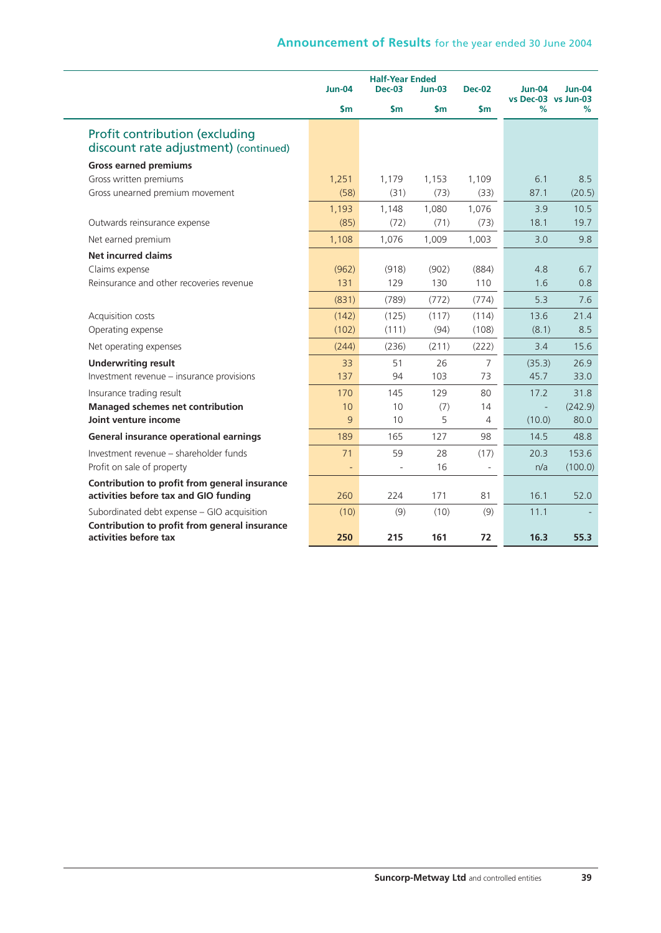|                                                                                        |               | <b>Half-Year Ended</b> |          |                |                                      |          |
|----------------------------------------------------------------------------------------|---------------|------------------------|----------|----------------|--------------------------------------|----------|
|                                                                                        | $Jun-04$      | $Dec-03$               | $Jun-03$ | <b>Dec-02</b>  | <b>Jun-04</b><br>vs Dec-03 vs Jun-03 | $Jun-04$ |
|                                                                                        | $\mathsf{Sm}$ | \$m                    | \$m      | \$m\$          | $\%$                                 | ℅        |
| Profit contribution (excluding<br>discount rate adjustment) (continued)                |               |                        |          |                |                                      |          |
| <b>Gross earned premiums</b>                                                           |               |                        |          |                |                                      |          |
| Gross written premiums                                                                 | 1,251         | 1,179                  | 1,153    | 1,109          | 6.1                                  | 8.5      |
| Gross unearned premium movement                                                        | (58)          | (31)                   | (73)     | (33)           | 87.1                                 | (20.5)   |
|                                                                                        | 1,193         | 1,148                  | 1,080    | 1,076          | 3.9                                  | 10.5     |
| Outwards reinsurance expense                                                           | (85)          | (72)                   | (71)     | (73)           | 18.1                                 | 19.7     |
| Net earned premium                                                                     | 1,108         | 1,076                  | 1,009    | 1,003          | 3.0                                  | 9.8      |
| <b>Net incurred claims</b>                                                             |               |                        |          |                |                                      |          |
| Claims expense                                                                         | (962)         | (918)                  | (902)    | (884)          | 4.8                                  | 6.7      |
| Reinsurance and other recoveries revenue                                               | 131           | 129                    | 130      | 110            | 1.6                                  | 0.8      |
|                                                                                        | (831)         | (789)                  | (772)    | (774)          | 5.3                                  | 7.6      |
| Acquisition costs                                                                      | (142)         | (125)                  | (117)    | (114)          | 13.6                                 | 21.4     |
| Operating expense                                                                      | (102)         | (111)                  | (94)     | (108)          | (8.1)                                | 8.5      |
| Net operating expenses                                                                 | (244)         | (236)                  | (211)    | (222)          | 3.4                                  | 15.6     |
| <b>Underwriting result</b>                                                             | 33            | 51                     | 26       | $\overline{7}$ | (35.3)                               | 26.9     |
| Investment revenue - insurance provisions                                              | 137           | 94                     | 103      | 73             | 45.7                                 | 33.0     |
| Insurance trading result                                                               | 170           | 145                    | 129      | 80             | 17.2                                 | 31.8     |
| <b>Managed schemes net contribution</b>                                                | 10            | 10                     | (7)      | 14             |                                      | (242.9)  |
| Joint venture income                                                                   | 9             | 10                     | 5        | 4              | (10.0)                               | 80.0     |
| General insurance operational earnings                                                 | 189           | 165                    | 127      | 98             | 14.5                                 | 48.8     |
| Investment revenue - shareholder funds                                                 | 71            | 59                     | 28       | (17)           | 20.3                                 | 153.6    |
| Profit on sale of property                                                             | ÷,            | $\overline{a}$         | 16       |                | n/a                                  | (100.0)  |
| Contribution to profit from general insurance<br>activities before tax and GIO funding | 260           | 224                    | 171      | 81             | 16.1                                 | 52.0     |
| Subordinated debt expense - GIO acquisition                                            | (10)          | (9)                    | (10)     | (9)            | 11.1                                 |          |
| Contribution to profit from general insurance                                          |               |                        |          |                |                                      |          |
| activities before tax                                                                  | 250           | 215                    | 161      | 72             | 16.3                                 | 55.3     |
|                                                                                        |               |                        |          |                |                                      |          |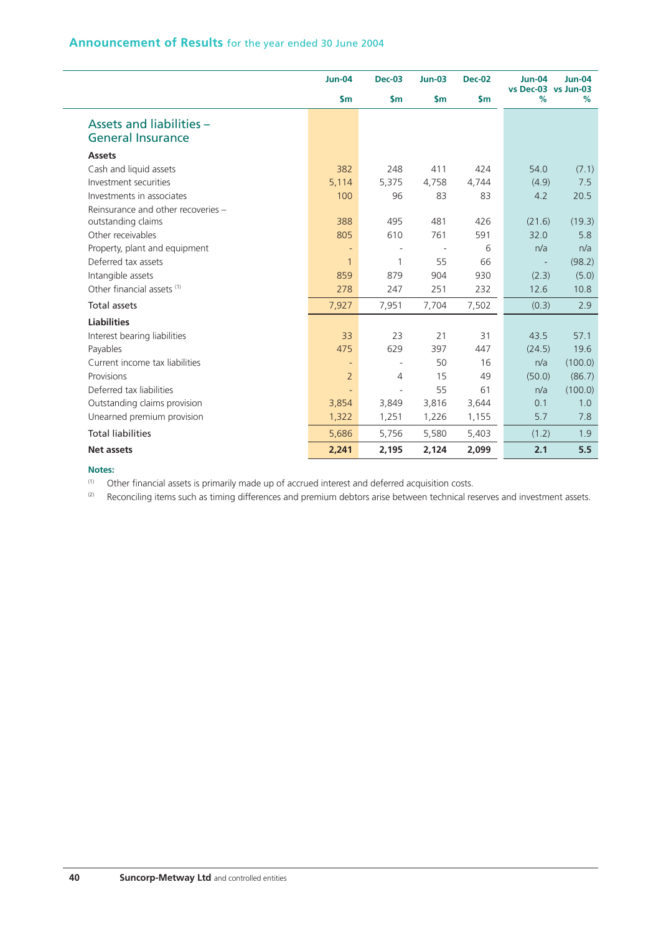|                                    | <b>Jun-04</b>  | <b>Dec-03</b>            | <b>Jun-03</b> | <b>Dec-02</b> | <b>Jun-04</b><br>vs Dec-03 vs Jun-03 | <b>Jun-04</b> |
|------------------------------------|----------------|--------------------------|---------------|---------------|--------------------------------------|---------------|
|                                    | $\mathsf{S}$ m | $\mathsf{Sm}$            | $\mathsf{Sm}$ | $\mathsf{sm}$ | %                                    | %             |
| Assets and liabilities -           |                |                          |               |               |                                      |               |
| <b>General Insurance</b>           |                |                          |               |               |                                      |               |
| <b>Assets</b>                      |                |                          |               |               |                                      |               |
| Cash and liquid assets             | 382            | 248                      | 411           | 424           | 54.0                                 | (7.1)         |
| Investment securities              | 5,114          | 5,375                    | 4,758         | 4,744         | (4.9)                                | 7.5           |
| Investments in associates          | 100            | 96                       | 83            | 83            | 4.2                                  | 20.5          |
| Reinsurance and other recoveries - |                |                          |               |               |                                      |               |
| outstanding claims                 | 388            | 495                      | 481           | 426           | (21.6)                               | (19.3)        |
| Other receivables                  | 805            | 610                      | 761           | 591           | 32.0                                 | 5.8           |
| Property, plant and equipment      | Ξ              | $\overline{\phantom{a}}$ |               | 6             | n/a                                  | n/a           |
| Deferred tax assets                | $\mathbf{1}$   | 1                        | 55            | 66            |                                      | (98.2)        |
| Intangible assets                  | 859            | 879                      | 904           | 930           | (2.3)                                | (5.0)         |
| Other financial assets (1)         | 278            | 247                      | 251           | 232           | 12.6                                 | 10.8          |
| <b>Total assets</b>                | 7,927          | 7,951                    | 7,704         | 7,502         | (0.3)                                | 2.9           |
| <b>Liabilities</b>                 |                |                          |               |               |                                      |               |
| Interest bearing liabilities       | 33             | 23                       | 21            | 31            | 43.5                                 | 57.1          |
| Payables                           | 475            | 629                      | 397           | 447           | (24.5)                               | 19.6          |
| Current income tax liabilities     | ٠              | $\overline{\phantom{a}}$ | 50            | 16            | n/a                                  | (100.0)       |
| Provisions                         | $\overline{2}$ | 4                        | 15            | 49            | (50.0)                               | (86.7)        |
| Deferred tax liabilities           |                | $\overline{\phantom{a}}$ | 55            | 61            | n/a                                  | (100.0)       |
| Outstanding claims provision       | 3,854          | 3,849                    | 3,816         | 3,644         | 0.1                                  | 1.0           |
| Unearned premium provision         | 1,322          | 1,251                    | 1,226         | 1,155         | 5.7                                  | 7.8           |
| <b>Total liabilities</b>           | 5,686          | 5,756                    | 5,580         | 5,403         | (1.2)                                | 1.9           |
| Net assets                         | 2,241          | 2,195                    | 2,124         | 2,099         | 2.1                                  | 5.5           |

#### **Notes:**

(1) Other financial assets is primarily made up of accrued interest and deferred acquisition costs.

 $(2)$  Reconciling items such as timing differences and premium debtors arise between technical reserves and investment assets.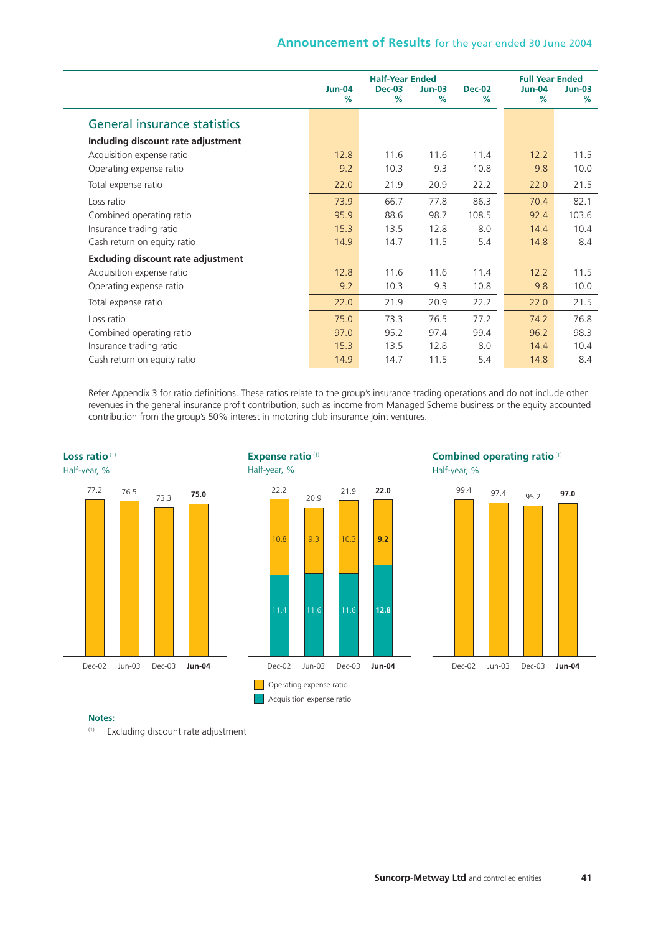|                                           |                       | <b>Half-Year Ended</b> |               |                       | <b>Full Year Ended</b> |               |  |
|-------------------------------------------|-----------------------|------------------------|---------------|-----------------------|------------------------|---------------|--|
|                                           | <b>Jun-04</b><br>$\%$ | $Dec-03$<br>$\%$       | $Jun-03$<br>% | <b>Dec-02</b><br>$\%$ | <b>Jun-04</b><br>%     | $Jun-03$<br>% |  |
| General insurance statistics              |                       |                        |               |                       |                        |               |  |
| Including discount rate adjustment        |                       |                        |               |                       |                        |               |  |
| Acquisition expense ratio                 | 12.8                  | 11.6                   | 11.6          | 11.4                  | 12.2                   | 11.5          |  |
| Operating expense ratio                   | 9.2                   | 10.3                   | 9.3           | 10.8                  | 9.8                    | 10.0          |  |
| Total expense ratio                       | 22.0                  | 21.9                   | 20.9          | 22.2                  | 22.0                   | 21.5          |  |
| Loss ratio                                | 73.9                  | 66.7                   | 77.8          | 86.3                  | 70.4                   | 82.1          |  |
| Combined operating ratio                  | 95.9                  | 88.6                   | 98.7          | 108.5                 | 92.4                   | 103.6         |  |
| Insurance trading ratio                   | 15.3                  | 13.5                   | 12.8          | 8.0                   | 14.4                   | 10.4          |  |
| Cash return on equity ratio               | 14.9                  | 14.7                   | 11.5          | 5.4                   | 14.8                   | 8.4           |  |
| <b>Excluding discount rate adjustment</b> |                       |                        |               |                       |                        |               |  |
| Acquisition expense ratio                 | 12.8                  | 11.6                   | 11.6          | 11.4                  | 12.2                   | 11.5          |  |
| Operating expense ratio                   | 9.2                   | 10.3                   | 9.3           | 10.8                  | 9.8                    | 10.0          |  |
| Total expense ratio                       | 22.0                  | 21.9                   | 20.9          | 22.2                  | 22.0                   | 21.5          |  |
| Loss ratio                                | 75.0                  | 73.3                   | 76.5          | 77.2                  | 74.2                   | 76.8          |  |
| Combined operating ratio                  | 97.0                  | 95.2                   | 97.4          | 99.4                  | 96.2                   | 98.3          |  |
| Insurance trading ratio                   | 15.3                  | 13.5                   | 12.8          | 8.0                   | 14.4                   | 10.4          |  |
| Cash return on equity ratio               | 14.9                  | 14.7                   | 11.5          | 5.4                   | 14.8                   | 8.4           |  |

Refer Appendix 3 for ratio definitions. These ratios relate to the group's insurance trading operations and do not include other revenues in the general insurance profit contribution, such as income from Managed Scheme business or the equity accounted contribution from the group's 50% interest in motoring club insurance joint ventures.







#### **Notes:**

(1) Excluding discount rate adjustment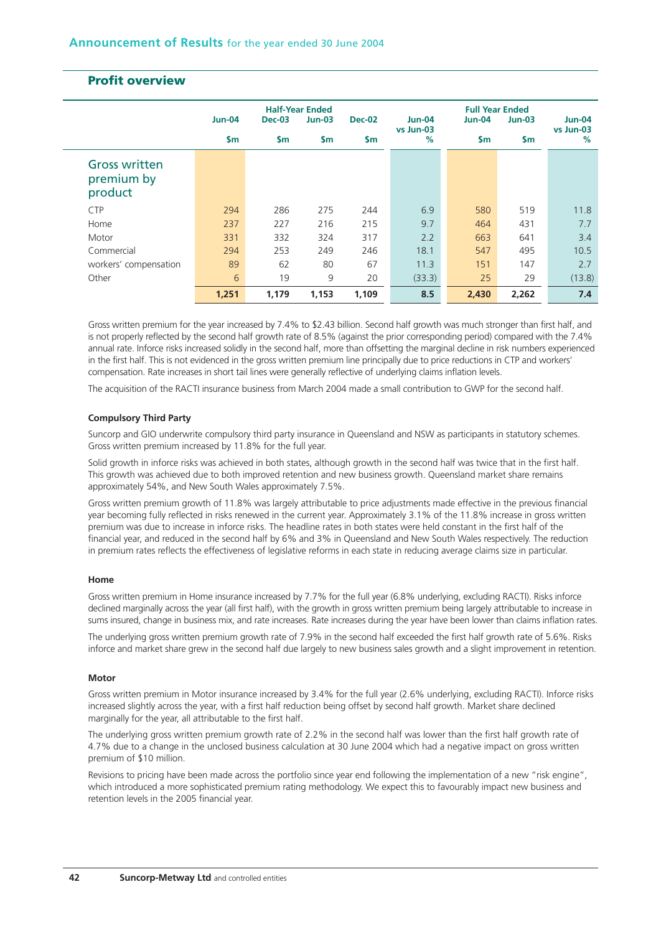|                                               |               |               | <b>Half-Year Ended</b> |               |                     | <b>Full Year Ended</b> |               |                       |
|-----------------------------------------------|---------------|---------------|------------------------|---------------|---------------------|------------------------|---------------|-----------------------|
|                                               | <b>Jun-04</b> | <b>Dec-03</b> | $Jun-03$               | <b>Dec-02</b> | Jun-04<br>vs Jun-03 | <b>Jun-04</b>          | $Jun-03$      | $Jun-04$<br>vs Jun-03 |
|                                               | <b>Sm</b>     | $\mathsf{sm}$ | <b>Sm</b>              | \$m           | $\frac{9}{6}$       | $\mathsf{sm}$          | $\mathsf{sm}$ | $\%$                  |
| <b>Gross written</b><br>premium by<br>product |               |               |                        |               |                     |                        |               |                       |
| <b>CTP</b>                                    | 294           | 286           | 275                    | 244           | 6.9                 | 580                    | 519           | 11.8                  |
| Home                                          | 237           | 227           | 216                    | 215           | 9.7                 | 464                    | 431           | 7.7                   |
| Motor                                         | 331           | 332           | 324                    | 317           | 2.2                 | 663                    | 641           | 3.4                   |
| Commercial                                    | 294           | 253           | 249                    | 246           | 18.1                | 547                    | 495           | 10.5                  |
| workers' compensation                         | 89            | 62            | 80                     | 67            | 11.3                | 151                    | 147           | 2.7                   |
| Other                                         | 6             | 19            | 9                      | 20            | (33.3)              | 25                     | 29            | (13.8)                |
|                                               | 1,251         | 1,179         | 1,153                  | 1,109         | 8.5                 | 2,430                  | 2,262         | 7.4                   |

# **Profit overview**

Gross written premium for the year increased by 7.4% to \$2.43 billion. Second half growth was much stronger than first half, and is not properly reflected by the second half growth rate of 8.5% (against the prior corresponding period) compared with the 7.4% annual rate. Inforce risks increased solidly in the second half, more than offsetting the marginal decline in risk numbers experienced in the first half. This is not evidenced in the gross written premium line principally due to price reductions in CTP and workers' compensation. Rate increases in short tail lines were generally reflective of underlying claims inflation levels.

The acquisition of the RACTI insurance business from March 2004 made a small contribution to GWP for the second half.

#### **Compulsory Third Party**

Suncorp and GIO underwrite compulsory third party insurance in Queensland and NSW as participants in statutory schemes. Gross written premium increased by 11.8% for the full year.

Solid growth in inforce risks was achieved in both states, although growth in the second half was twice that in the first half. This growth was achieved due to both improved retention and new business growth. Queensland market share remains approximately 54%, and New South Wales approximately 7.5%.

Gross written premium growth of 11.8% was largely attributable to price adjustments made effective in the previous financial year becoming fully reflected in risks renewed in the current year. Approximately 3.1% of the 11.8% increase in gross written premium was due to increase in inforce risks. The headline rates in both states were held constant in the first half of the financial year, and reduced in the second half by 6% and 3% in Queensland and New South Wales respectively. The reduction in premium rates reflects the effectiveness of legislative reforms in each state in reducing average claims size in particular.

#### **Home**

Gross written premium in Home insurance increased by 7.7% for the full year (6.8% underlying, excluding RACTI). Risks inforce declined marginally across the year (all first half), with the growth in gross written premium being largely attributable to increase in sums insured, change in business mix, and rate increases. Rate increases during the year have been lower than claims inflation rates.

The underlying gross written premium growth rate of 7.9% in the second half exceeded the first half growth rate of 5.6%. Risks inforce and market share grew in the second half due largely to new business sales growth and a slight improvement in retention.

#### **Motor**

Gross written premium in Motor insurance increased by 3.4% for the full year (2.6% underlying, excluding RACTI). Inforce risks increased slightly across the year, with a first half reduction being offset by second half growth. Market share declined marginally for the year, all attributable to the first half.

The underlying gross written premium growth rate of 2.2% in the second half was lower than the first half growth rate of 4.7% due to a change in the unclosed business calculation at 30 June 2004 which had a negative impact on gross written premium of \$10 million.

Revisions to pricing have been made across the portfolio since year end following the implementation of a new "risk engine", which introduced a more sophisticated premium rating methodology. We expect this to favourably impact new business and retention levels in the 2005 financial year.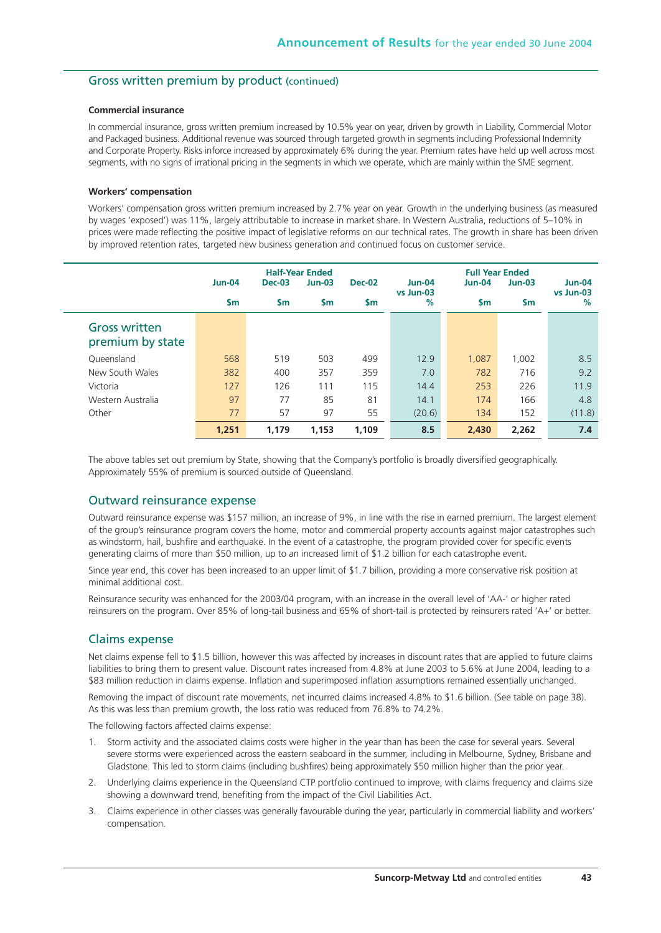### Gross written premium by product (continued)

#### **Commercial insurance**

In commercial insurance, gross written premium increased by 10.5% year on year, driven by growth in Liability, Commercial Motor and Packaged business. Additional revenue was sourced through targeted growth in segments including Professional Indemnity and Corporate Property. Risks inforce increased by approximately 6% during the year. Premium rates have held up well across most segments, with no signs of irrational pricing in the segments in which we operate, which are mainly within the SME segment.

#### **Workers' compensation**

Workers' compensation gross written premium increased by 2.7% year on year. Growth in the underlying business (as measured by wages 'exposed') was 11%, largely attributable to increase in market share. In Western Australia, reductions of 5–10% in prices were made reflecting the positive impact of legislative reforms on our technical rates. The growth in share has been driven by improved retention rates, targeted new business generation and continued focus on customer service.

|                                   | <b>Jun-04</b>  | <b>Dec-03</b> | <b>Half-Year Ended</b><br><b>Dec-02</b><br>$Jun-03$ |           | <b>Jun-04</b>  | <b>Full Year Ended</b><br>$Jun-04$<br>$Jun-03$ |               | <b>Jun-04</b>     |  |
|-----------------------------------|----------------|---------------|-----------------------------------------------------|-----------|----------------|------------------------------------------------|---------------|-------------------|--|
|                                   | $\mathsf{S}$ m | $\mathsf{sm}$ | $\mathsf{sm}$                                       | <b>Sm</b> | vs Jun-03<br>% | $\mathsf{sm}$                                  | $\mathsf{sm}$ | vs Jun-03<br>$\%$ |  |
| Gross written<br>premium by state |                |               |                                                     |           |                |                                                |               |                   |  |
| Queensland                        | 568            | 519           | 503                                                 | 499       | 12.9           | 1.087                                          | 1,002         | 8.5               |  |
| New South Wales                   | 382            | 400           | 357                                                 | 359       | 7.0            | 782                                            | 716           | 9.2               |  |
| Victoria                          | 127            | 126           | 111                                                 | 115       | 14.4           | 253                                            | 226           | 11.9              |  |
| Western Australia                 | 97             | 77            | 85                                                  | 81        | 14.1           | 174                                            | 166           | 4.8               |  |
| Other                             | 77             | 57            | 97                                                  | 55        | (20.6)         | 134                                            | 152           | (11.8)            |  |
|                                   | 1,251          | 1,179         | 1,153                                               | 1,109     | 8.5            | 2,430                                          | 2,262         | 7.4               |  |

The above tables set out premium by State, showing that the Company's portfolio is broadly diversified geographically. Approximately 55% of premium is sourced outside of Queensland.

### Outward reinsurance expense

Outward reinsurance expense was \$157 million, an increase of 9%, in line with the rise in earned premium. The largest element of the group's reinsurance program covers the home, motor and commercial property accounts against major catastrophes such as windstorm, hail, bushfire and earthquake. In the event of a catastrophe, the program provided cover for specific events generating claims of more than \$50 million, up to an increased limit of \$1.2 billion for each catastrophe event.

Since year end, this cover has been increased to an upper limit of \$1.7 billion, providing a more conservative risk position at minimal additional cost.

Reinsurance security was enhanced for the 2003/04 program, with an increase in the overall level of 'AA-' or higher rated reinsurers on the program. Over 85% of long-tail business and 65% of short-tail is protected by reinsurers rated 'A+' or better.

### Claims expense

Net claims expense fell to \$1.5 billion, however this was affected by increases in discount rates that are applied to future claims liabilities to bring them to present value. Discount rates increased from 4.8% at June 2003 to 5.6% at June 2004, leading to a \$83 million reduction in claims expense. Inflation and superimposed inflation assumptions remained essentially unchanged.

Removing the impact of discount rate movements, net incurred claims increased 4.8% to \$1.6 billion. (See table on page 38). As this was less than premium growth, the loss ratio was reduced from 76.8% to 74.2%.

The following factors affected claims expense:

- 1. Storm activity and the associated claims costs were higher in the year than has been the case for several years. Several severe storms were experienced across the eastern seaboard in the summer, including in Melbourne, Sydney, Brisbane and Gladstone. This led to storm claims (including bushfires) being approximately \$50 million higher than the prior year.
- 2. Underlying claims experience in the Queensland CTP portfolio continued to improve, with claims frequency and claims size showing a downward trend, benefiting from the impact of the Civil Liabilities Act.
- 3. Claims experience in other classes was generally favourable during the year, particularly in commercial liability and workers' compensation.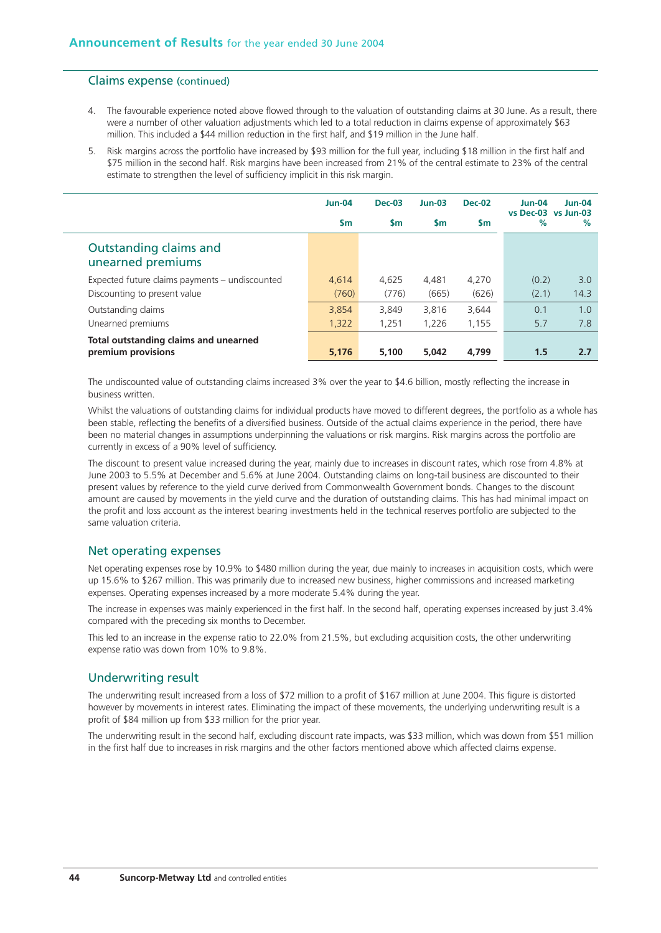### Claims expense (continued)

- 4. The favourable experience noted above flowed through to the valuation of outstanding claims at 30 June. As a result, there were a number of other valuation adjustments which led to a total reduction in claims expense of approximately \$63 million. This included a \$44 million reduction in the first half, and \$19 million in the June half.
- 5. Risk margins across the portfolio have increased by \$93 million for the full year, including \$18 million in the first half and \$75 million in the second half. Risk margins have been increased from 21% of the central estimate to 23% of the central estimate to strengthen the level of sufficiency implicit in this risk margin.

|                                                                                | <b>Jun-04</b>  | <b>Dec-03</b>  | $Jun-03$       | <b>Dec-02</b>  | $Jun-04$<br>vs Dec-03 vs Jun-03 | <b>Jun-04</b> |
|--------------------------------------------------------------------------------|----------------|----------------|----------------|----------------|---------------------------------|---------------|
|                                                                                | <b>Sm</b>      | <b>Sm</b>      | <b>Sm</b>      | <b>Sm</b>      | %                               | %             |
| Outstanding claims and<br>unearned premiums                                    |                |                |                |                |                                 |               |
| Expected future claims payments – undiscounted<br>Discounting to present value | 4.614<br>(760) | 4.625<br>(776) | 4.481<br>(665) | 4.270<br>(626) | (0.2)<br>(2.1)                  | 3.0<br>14.3   |
| Outstanding claims                                                             | 3,854          | 3,849          | 3,816          | 3,644          | 0.1                             | 1.0           |
| Unearned premiums                                                              | 1,322          | 1,251          | 1,226          | 1,155          | 5.7                             | 7.8           |
| Total outstanding claims and unearned<br>premium provisions                    | 5.176          | 5,100          | 5,042          | 4,799          | 1.5                             | 2.7           |

The undiscounted value of outstanding claims increased 3% over the year to \$4.6 billion, mostly reflecting the increase in business written.

Whilst the valuations of outstanding claims for individual products have moved to different degrees, the portfolio as a whole has been stable, reflecting the benefits of a diversified business. Outside of the actual claims experience in the period, there have been no material changes in assumptions underpinning the valuations or risk margins. Risk margins across the portfolio are currently in excess of a 90% level of sufficiency.

The discount to present value increased during the year, mainly due to increases in discount rates, which rose from 4.8% at June 2003 to 5.5% at December and 5.6% at June 2004. Outstanding claims on long-tail business are discounted to their present values by reference to the yield curve derived from Commonwealth Government bonds. Changes to the discount amount are caused by movements in the yield curve and the duration of outstanding claims. This has had minimal impact on the profit and loss account as the interest bearing investments held in the technical reserves portfolio are subjected to the same valuation criteria.

### Net operating expenses

Net operating expenses rose by 10.9% to \$480 million during the year, due mainly to increases in acquisition costs, which were up 15.6% to \$267 million. This was primarily due to increased new business, higher commissions and increased marketing expenses. Operating expenses increased by a more moderate 5.4% during the year.

The increase in expenses was mainly experienced in the first half. In the second half, operating expenses increased by just 3.4% compared with the preceding six months to December.

This led to an increase in the expense ratio to 22.0% from 21.5%, but excluding acquisition costs, the other underwriting expense ratio was down from 10% to 9.8%.

### Underwriting result

The underwriting result increased from a loss of \$72 million to a profit of \$167 million at June 2004. This figure is distorted however by movements in interest rates. Eliminating the impact of these movements, the underlying underwriting result is a profit of \$84 million up from \$33 million for the prior year.

The underwriting result in the second half, excluding discount rate impacts, was \$33 million, which was down from \$51 million in the first half due to increases in risk margins and the other factors mentioned above which affected claims expense.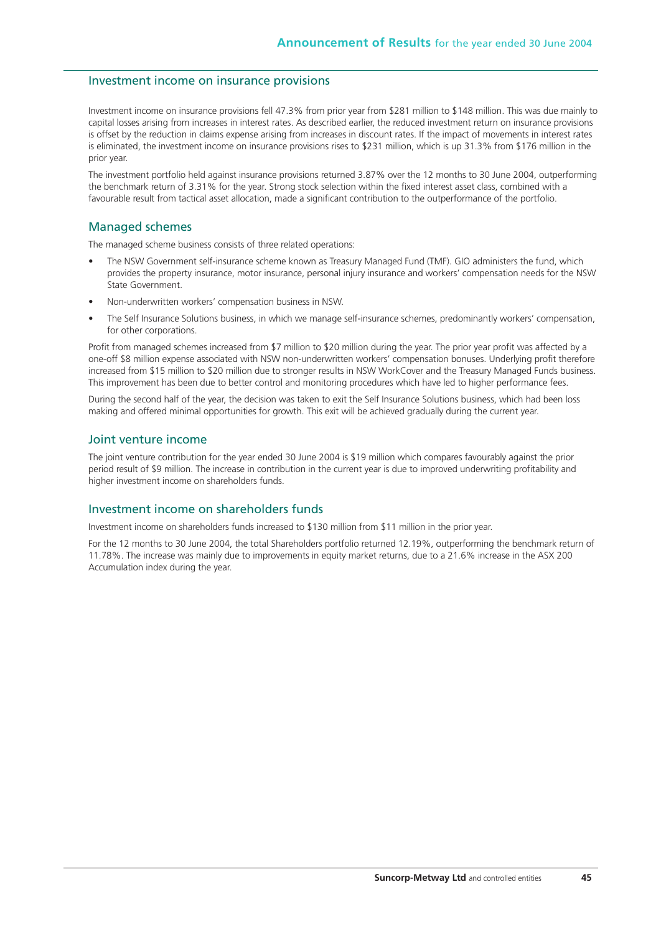### Investment income on insurance provisions

Investment income on insurance provisions fell 47.3% from prior year from \$281 million to \$148 million. This was due mainly to capital losses arising from increases in interest rates. As described earlier, the reduced investment return on insurance provisions is offset by the reduction in claims expense arising from increases in discount rates. If the impact of movements in interest rates is eliminated, the investment income on insurance provisions rises to \$231 million, which is up 31.3% from \$176 million in the prior year.

The investment portfolio held against insurance provisions returned 3.87% over the 12 months to 30 June 2004, outperforming the benchmark return of 3.31% for the year. Strong stock selection within the fixed interest asset class, combined with a favourable result from tactical asset allocation, made a significant contribution to the outperformance of the portfolio.

### Managed schemes

The managed scheme business consists of three related operations:

- The NSW Government self-insurance scheme known as Treasury Managed Fund (TMF). GIO administers the fund, which provides the property insurance, motor insurance, personal injury insurance and workers' compensation needs for the NSW State Government.
- Non-underwritten workers' compensation business in NSW.
- The Self Insurance Solutions business, in which we manage self-insurance schemes, predominantly workers' compensation, for other corporations.

Profit from managed schemes increased from \$7 million to \$20 million during the year. The prior year profit was affected by a one-off \$8 million expense associated with NSW non-underwritten workers' compensation bonuses. Underlying profit therefore increased from \$15 million to \$20 million due to stronger results in NSW WorkCover and the Treasury Managed Funds business. This improvement has been due to better control and monitoring procedures which have led to higher performance fees.

During the second half of the year, the decision was taken to exit the Self Insurance Solutions business, which had been loss making and offered minimal opportunities for growth. This exit will be achieved gradually during the current year.

### Joint venture income

The joint venture contribution for the year ended 30 June 2004 is \$19 million which compares favourably against the prior period result of \$9 million. The increase in contribution in the current year is due to improved underwriting profitability and higher investment income on shareholders funds.

### Investment income on shareholders funds

Investment income on shareholders funds increased to \$130 million from \$11 million in the prior year.

For the 12 months to 30 June 2004, the total Shareholders portfolio returned 12.19%, outperforming the benchmark return of 11.78%. The increase was mainly due to improvements in equity market returns, due to a 21.6% increase in the ASX 200 Accumulation index during the year.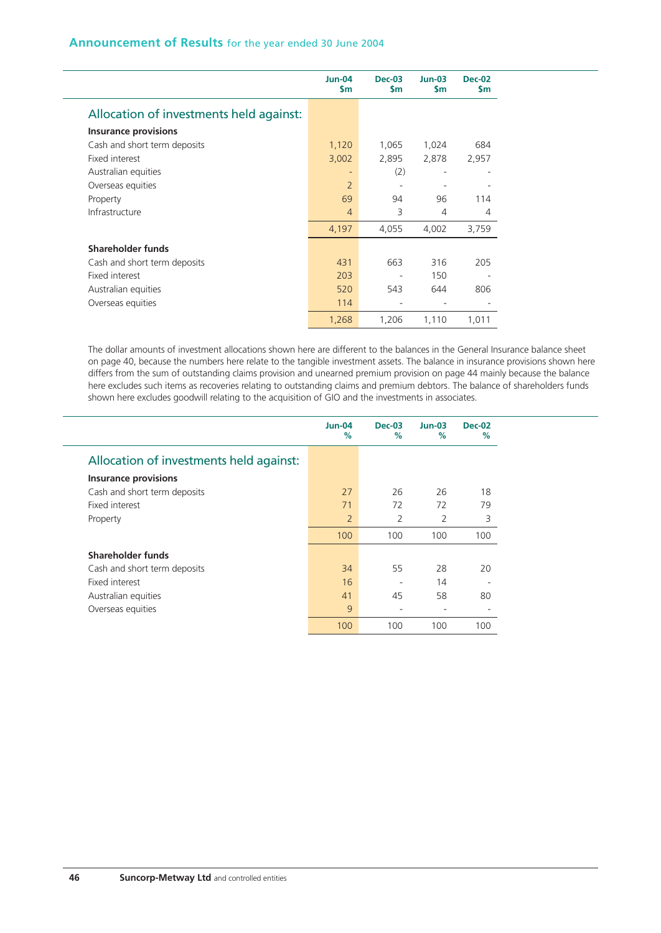|                                         | $Jun-04$<br><b>Sm</b> | $Dec-03$<br>$\mathsf{Sm}$ | $Jun-03$<br>\$m | <b>Dec-02</b><br><b>Sm</b> |
|-----------------------------------------|-----------------------|---------------------------|-----------------|----------------------------|
| Allocation of investments held against: |                       |                           |                 |                            |
| <b>Insurance provisions</b>             |                       |                           |                 |                            |
| Cash and short term deposits            | 1,120                 | 1,065                     | 1,024           | 684                        |
| <b>Fixed interest</b>                   | 3,002                 | 2,895                     | 2,878           | 2,957                      |
| Australian equities                     | $\qquad \qquad -$     | (2)                       |                 |                            |
| Overseas equities                       | $\overline{2}$        |                           |                 |                            |
| Property                                | 69                    | 94                        | 96              | 114                        |
| Infrastructure                          | $\overline{4}$        | 3                         | 4               | 4                          |
|                                         | 4,197                 | 4,055                     | 4,002           | 3,759                      |
| <b>Shareholder funds</b>                |                       |                           |                 |                            |
| Cash and short term deposits            | 431                   | 663                       | 316             | 205                        |
| Fixed interest                          | 203                   |                           | 150             |                            |
| Australian equities                     | 520                   | 543                       | 644             | 806                        |
| Overseas equities                       | 114                   |                           | ٠               |                            |
|                                         | 1,268                 | 1,206                     | 1,110           | 1,011                      |

The dollar amounts of investment allocations shown here are different to the balances in the General Insurance balance sheet on page 40, because the numbers here relate to the tangible investment assets. The balance in insurance provisions shown here differs from the sum of outstanding claims provision and unearned premium provision on page 44 mainly because the balance here excludes such items as recoveries relating to outstanding claims and premium debtors. The balance of shareholders funds shown here excludes goodwill relating to the acquisition of GIO and the investments in associates.

|                                         | <b>Jun-04</b><br>$\%$ | <b>Dec-03</b><br>$\%$ | $Jun-03$<br>$\frac{9}{6}$ | <b>Dec-02</b><br>$\%$ |
|-----------------------------------------|-----------------------|-----------------------|---------------------------|-----------------------|
| Allocation of investments held against: |                       |                       |                           |                       |
| <b>Insurance provisions</b>             |                       |                       |                           |                       |
| Cash and short term deposits            | 27                    | 26                    | 26                        | 18                    |
| Fixed interest                          | 71                    | 72                    | 72                        | 79                    |
| Property                                | $\overline{2}$        | $\overline{2}$        | 2                         | 3                     |
|                                         | 100                   | 100                   | 100                       | 100                   |
| Shareholder funds                       |                       |                       |                           |                       |
| Cash and short term deposits            | 34                    | 55                    | 28                        | 20                    |
| Fixed interest                          | 16                    | ٠                     | 14                        |                       |
| Australian equities                     | 41                    | 45                    | 58                        | 80                    |
| Overseas equities                       | 9                     | ٠                     | $\overline{\phantom{0}}$  |                       |
|                                         | 100                   | 100                   | 100                       | 100                   |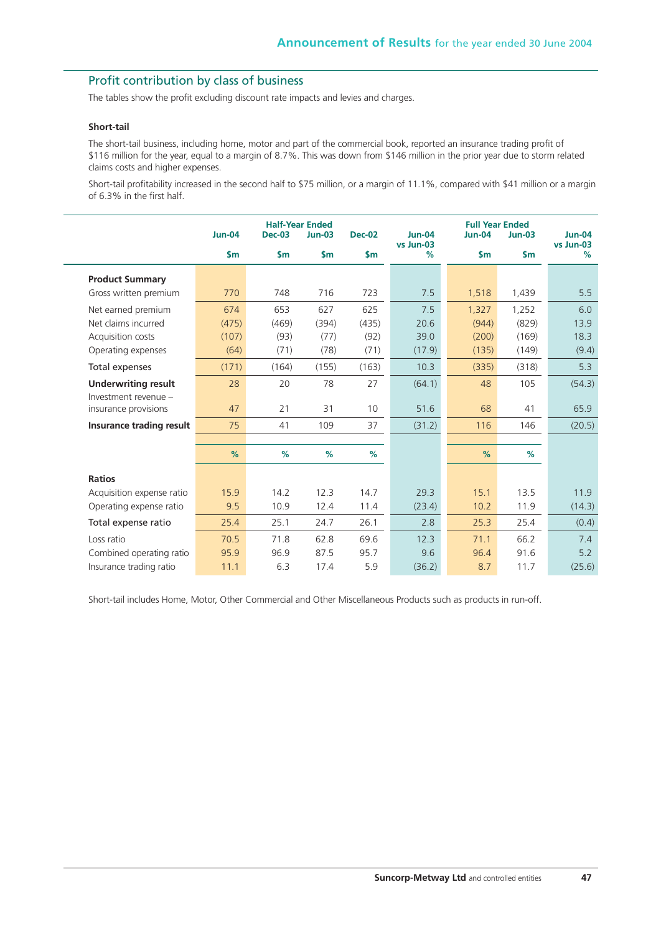# Profit contribution by class of business

The tables show the profit excluding discount rate impacts and levies and charges.

#### **Short-tail**

The short-tail business, including home, motor and part of the commercial book, reported an insurance trading profit of \$116 million for the year, equal to a margin of 8.7%. This was down from \$146 million in the prior year due to storm related claims costs and higher expenses.

Short-tail profitability increased in the second half to \$75 million, or a margin of 11.1%, compared with \$41 million or a margin of 6.3% in the first half.

|                                              | <b>Jun-04</b> | <b>Dec-03</b> | <b>Half-Year Ended</b><br>$Jun-03$ | <b>Dec-02</b> | <b>Jun-04</b><br>vs Jun-03 | <b>Full Year Ended</b><br><b>Jun-04</b> | $Jun-03$      | <b>Jun-04</b><br>vs Jun-03 |
|----------------------------------------------|---------------|---------------|------------------------------------|---------------|----------------------------|-----------------------------------------|---------------|----------------------------|
|                                              | \$m\$         | $\mathsf{sm}$ | $\mathsf{Sm}$                      | $\mathsf{sm}$ | %                          | $\mathsf{Sm}$                           | $\mathsf{Sm}$ | %                          |
| <b>Product Summary</b>                       |               |               |                                    |               |                            |                                         |               |                            |
| Gross written premium                        | 770           | 748           | 716                                | 723           | 7.5                        | 1,518                                   | 1,439         | 5.5                        |
| Net earned premium                           | 674           | 653           | 627                                | 625           | 7.5                        | 1,327                                   | 1,252         | 6.0                        |
| Net claims incurred                          | (475)         | (469)         | (394)                              | (435)         | 20.6                       | (944)                                   | (829)         | 13.9                       |
| Acquisition costs                            | (107)         | (93)          | (77)                               | (92)          | 39.0                       | (200)                                   | (169)         | 18.3                       |
| Operating expenses                           | (64)          | (71)          | (78)                               | (71)          | (17.9)                     | (135)                                   | (149)         | (9.4)                      |
| Total expenses                               | (171)         | (164)         | (155)                              | (163)         | 10.3                       | (335)                                   | (318)         | 5.3                        |
| <b>Underwriting result</b>                   | 28            | 20            | 78                                 | 27            | (64.1)                     | 48                                      | 105           | (54.3)                     |
| Investment revenue -<br>insurance provisions | 47            | 21            | 31                                 | 10            | 51.6                       | 68                                      | 41            | 65.9                       |
| Insurance trading result                     | 75            | 41            | 109                                | 37            | (31.2)                     | 116                                     | 146           | (20.5)                     |
|                                              |               |               |                                    |               |                            |                                         |               |                            |
|                                              | %             | %             | %                                  | %             |                            | $\frac{9}{6}$                           | %             |                            |
| <b>Ratios</b>                                |               |               |                                    |               |                            |                                         |               |                            |
| Acquisition expense ratio                    | 15.9          | 14.2          | 12.3                               | 14.7          | 29.3                       | 15.1                                    | 13.5          | 11.9                       |
| Operating expense ratio                      | 9.5           | 10.9          | 12.4                               | 11.4          | (23.4)                     | 10.2                                    | 11.9          | (14.3)                     |
| Total expense ratio                          | 25.4          | 25.1          | 24.7                               | 26.1          | 2.8                        | 25.3                                    | 25.4          | (0.4)                      |
| Loss ratio                                   | 70.5          | 71.8          | 62.8                               | 69.6          | 12.3                       | 71.1                                    | 66.2          | 7.4                        |
| Combined operating ratio                     | 95.9          | 96.9          | 87.5                               | 95.7          | 9.6                        | 96.4                                    | 91.6          | 5.2                        |
| Insurance trading ratio                      | 11.1          | 6.3           | 17.4                               | 5.9           | (36.2)                     | 8.7                                     | 11.7          | (25.6)                     |

Short-tail includes Home, Motor, Other Commercial and Other Miscellaneous Products such as products in run-off.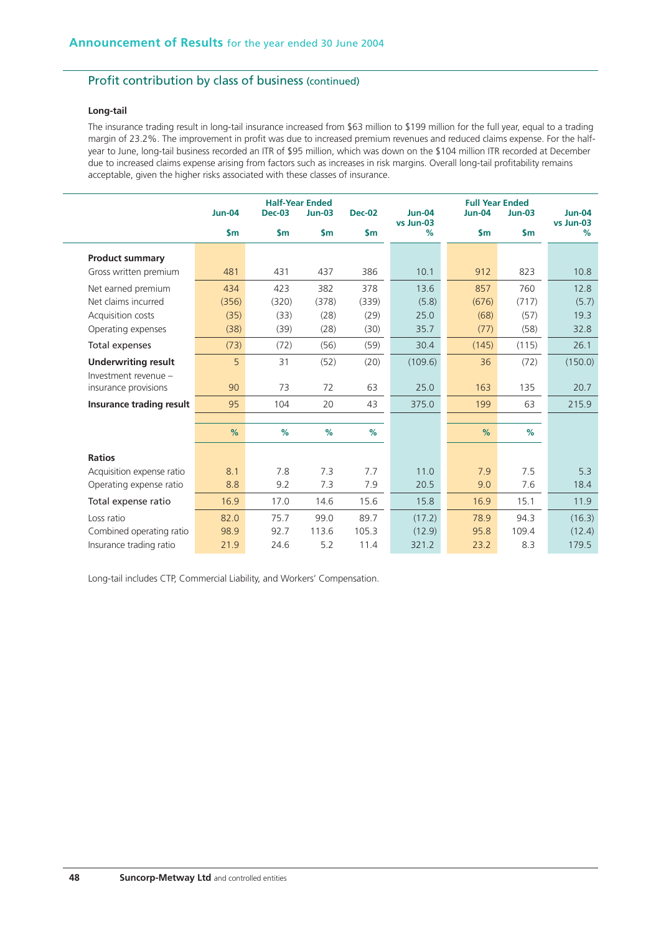# Profit contribution by class of business (continued)

### **Long-tail**

The insurance trading result in long-tail insurance increased from \$63 million to \$199 million for the full year, equal to a trading margin of 23.2%. The improvement in profit was due to increased premium revenues and reduced claims expense. For the halfyear to June, long-tail business recorded an ITR of \$95 million, which was down on the \$104 million ITR recorded at December due to increased claims expense arising from factors such as increases in risk margins. Overall long-tail profitability remains acceptable, given the higher risks associated with these classes of insurance.

|                            | <b>Jun-04</b> | <b>Dec-03</b> | <b>Half-Year Ended</b><br>$Jun-03$ | <b>Dec-02</b> | <b>Jun-04</b><br>vs Jun-03 | <b>Full Year Ended</b><br><b>Jun-04</b> | $Jun-03$      | <b>Jun-04</b><br>vs Jun-03 |
|----------------------------|---------------|---------------|------------------------------------|---------------|----------------------------|-----------------------------------------|---------------|----------------------------|
|                            | $\mathsf{Sm}$ | $\mathsf{Sm}$ | $\mathsf{Sm}$                      | $\mathsf{Sm}$ | %                          | $\mathsf{Sm}$                           | $\mathsf{sm}$ | %                          |
| <b>Product summary</b>     |               |               |                                    |               |                            |                                         |               |                            |
| Gross written premium      | 481           | 431           | 437                                | 386           | 10.1                       | 912                                     | 823           | 10.8                       |
| Net earned premium         | 434           | 423           | 382                                | 378           | 13.6                       | 857                                     | 760           | 12.8                       |
| Net claims incurred        | (356)         | (320)         | (378)                              | (339)         | (5.8)                      | (676)                                   | (717)         | (5.7)                      |
| Acquisition costs          | (35)          | (33)          | (28)                               | (29)          | 25.0                       | (68)                                    | (57)          | 19.3                       |
| Operating expenses         | (38)          | (39)          | (28)                               | (30)          | 35.7                       | (77)                                    | (58)          | 32.8                       |
| Total expenses             | (73)          | (72)          | (56)                               | (59)          | 30.4                       | (145)                                   | (115)         | 26.1                       |
| <b>Underwriting result</b> | 5             | 31            | (52)                               | (20)          | (109.6)                    | 36                                      | (72)          | (150.0)                    |
| Investment revenue -       |               |               |                                    |               |                            |                                         |               |                            |
| insurance provisions       | 90            | 73            | 72                                 | 63            | 25.0                       | 163                                     | 135           | 20.7                       |
| Insurance trading result   | 95            | 104           | 20                                 | 43            | 375.0                      | 199                                     | 63            | 215.9                      |
|                            |               |               |                                    |               |                            |                                         |               |                            |
|                            | %             | %             | %                                  | %             |                            | %                                       | %             |                            |
| <b>Ratios</b>              |               |               |                                    |               |                            |                                         |               |                            |
| Acquisition expense ratio  | 8.1           | 7.8           | 7.3                                | 7.7           | 11.0                       | 7.9                                     | 7.5           | 5.3                        |
| Operating expense ratio    | 8.8           | 9.2           | 7.3                                | 7.9           | 20.5                       | 9.0                                     | 7.6           | 18.4                       |
| Total expense ratio        | 16.9          | 17.0          | 14.6                               | 15.6          | 15.8                       | 16.9                                    | 15.1          | 11.9                       |
| Loss ratio                 | 82.0          | 75.7          | 99.0                               | 89.7          | (17.2)                     | 78.9                                    | 94.3          | (16.3)                     |
| Combined operating ratio   | 98.9          | 92.7          | 113.6                              | 105.3         | (12.9)                     | 95.8                                    | 109.4         | (12.4)                     |
| Insurance trading ratio    | 21.9          | 24.6          | 5.2                                | 11.4          | 321.2                      | 23.2                                    | 8.3           | 179.5                      |

Long-tail includes CTP, Commercial Liability, and Workers' Compensation.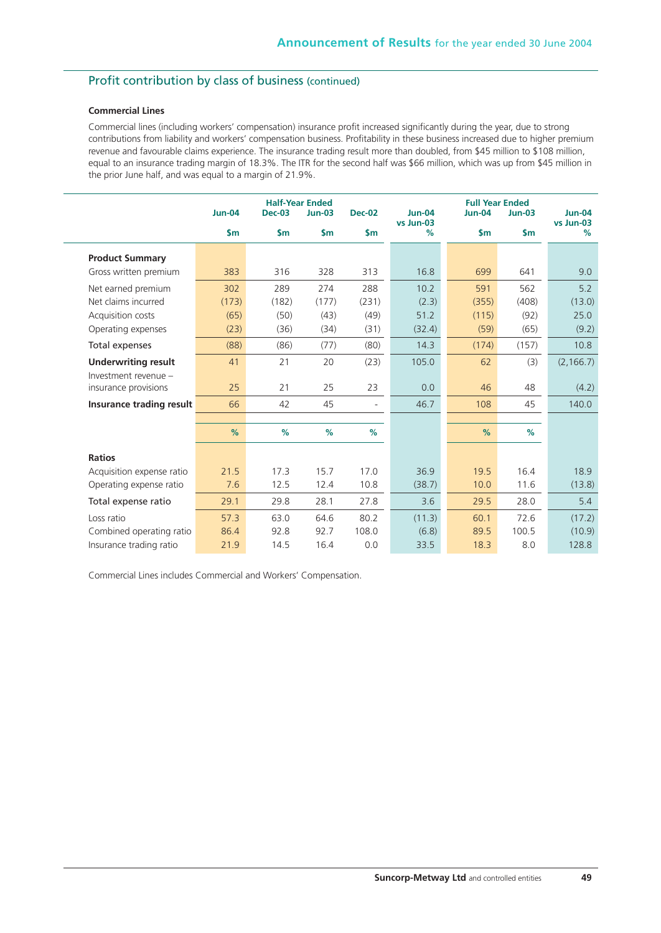# Profit contribution by class of business (continued)

### **Commercial Lines**

Commercial lines (including workers' compensation) insurance profit increased significantly during the year, due to strong contributions from liability and workers' compensation business. Profitability in these business increased due to higher premium revenue and favourable claims experience. The insurance trading result more than doubled, from \$45 million to \$108 million, equal to an insurance trading margin of 18.3%. The ITR for the second half was \$66 million, which was up from \$45 million in the prior June half, and was equal to a margin of 21.9%.

|                            | <b>Jun-04</b> | <b>Dec-03</b> | <b>Half-Year Ended</b><br><b>Jun-03</b> | <b>Dec-02</b>               | $Jun-04$       | <b>Full Year Ended</b><br><b>Jun-04</b> | $Jun-03$      | $Jun-04$<br>vs Jun-03 |
|----------------------------|---------------|---------------|-----------------------------------------|-----------------------------|----------------|-----------------------------------------|---------------|-----------------------|
|                            | $\mathsf{sm}$ | $\mathsf{sm}$ | $\mathsf{Sm}$                           | $\mathsf{sm}$               | vs Jun-03<br>% | $\mathsf{sm}$                           | $\mathsf{sm}$ | %                     |
| <b>Product Summary</b>     |               |               |                                         |                             |                |                                         |               |                       |
| Gross written premium      | 383           | 316           | 328                                     | 313                         | 16.8           | 699                                     | 641           | 9.0                   |
| Net earned premium         | 302           | 289           | 274                                     | 288                         | 10.2           | 591                                     | 562           | 5.2                   |
| Net claims incurred        | (173)         | (182)         | (177)                                   | (231)                       | (2.3)          | (355)                                   | (408)         | (13.0)                |
| Acquisition costs          | (65)          | (50)          | (43)                                    | (49)                        | 51.2           | (115)                                   | (92)          | 25.0                  |
| Operating expenses         | (23)          | (36)          | (34)                                    | (31)                        | (32.4)         | (59)                                    | (65)          | (9.2)                 |
| Total expenses             | (88)          | (86)          | (77)                                    | (80)                        | 14.3           | (174)                                   | (157)         | 10.8                  |
| <b>Underwriting result</b> | 41            | 21            | 20                                      | (23)                        | 105.0          | 62                                      | (3)           | (2, 166.7)            |
| Investment revenue -       |               |               |                                         |                             |                |                                         |               |                       |
| insurance provisions       | 25            | 21            | 25                                      | 23                          | 0.0            | 46                                      | 48            | (4.2)                 |
| Insurance trading result   | 66            | 42            | 45                                      | $\mathcal{L}_{\mathcal{A}}$ | 46.7           | 108                                     | 45            | 140.0                 |
|                            |               |               |                                         |                             |                |                                         |               |                       |
|                            | %             | %             | %                                       | %                           |                | %                                       | %             |                       |
| <b>Ratios</b>              |               |               |                                         |                             |                |                                         |               |                       |
| Acquisition expense ratio  | 21.5          | 17.3          | 15.7                                    | 17.0                        | 36.9           | 19.5                                    | 16.4          | 18.9                  |
| Operating expense ratio    | 7.6           | 12.5          | 12.4                                    | 10.8                        | (38.7)         | 10.0                                    | 11.6          | (13.8)                |
| Total expense ratio        | 29.1          | 29.8          | 28.1                                    | 27.8                        | 3.6            | 29.5                                    | 28.0          | 5.4                   |
| Loss ratio                 | 57.3          | 63.0          | 64.6                                    | 80.2                        | (11.3)         | 60.1                                    | 72.6          | (17.2)                |
| Combined operating ratio   | 86.4          | 92.8          | 92.7                                    | 108.0                       | (6.8)          | 89.5                                    | 100.5         | (10.9)                |
| Insurance trading ratio    | 21.9          | 14.5          | 16.4                                    | 0.0                         | 33.5           | 18.3                                    | 8.0           | 128.8                 |

Commercial Lines includes Commercial and Workers' Compensation.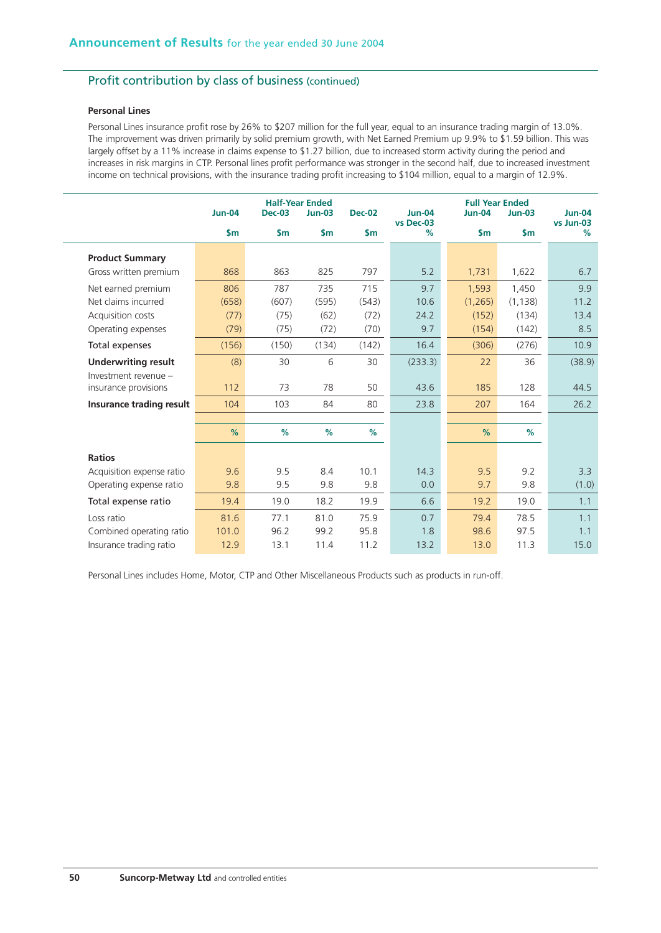# Profit contribution by class of business (continued)

### **Personal Lines**

Personal Lines insurance profit rose by 26% to \$207 million for the full year, equal to an insurance trading margin of 13.0%. The improvement was driven primarily by solid premium growth, with Net Earned Premium up 9.9% to \$1.59 billion. This was largely offset by a 11% increase in claims expense to \$1.27 billion, due to increased storm activity during the period and increases in risk margins in CTP. Personal lines profit performance was stronger in the second half, due to increased investment income on technical provisions, with the insurance trading profit increasing to \$104 million, equal to a margin of 12.9%.

|                            | <b>Jun-04</b> | <b>Dec-03</b> | <b>Half-Year Ended</b><br>$Jun-03$ | <b>Dec-02</b> | <b>Jun-04</b><br>vs Dec-03 | <b>Full Year Ended</b><br><b>Jun-04</b> | $Jun-03$      | <b>Jun-04</b><br>vs Jun-03 |
|----------------------------|---------------|---------------|------------------------------------|---------------|----------------------------|-----------------------------------------|---------------|----------------------------|
|                            | $\mathsf{Sm}$ | $\mathsf{Sm}$ | $\mathsf{S}$ m                     | $\mathsf{Sm}$ | %                          | $\mathsf{sm}$                           | $\mathsf{sm}$ | %                          |
| <b>Product Summary</b>     |               |               |                                    |               |                            |                                         |               |                            |
| Gross written premium      | 868           | 863           | 825                                | 797           | 5.2                        | 1,731                                   | 1,622         | 6.7                        |
| Net earned premium         | 806           | 787           | 735                                | 715           | 9.7                        | 1,593                                   | 1.450         | 9.9                        |
| Net claims incurred        | (658)         | (607)         | (595)                              | (543)         | 10.6                       | (1,265)                                 | (1, 138)      | 11.2                       |
| Acquisition costs          | (77)          | (75)          | (62)                               | (72)          | 24.2                       | (152)                                   | (134)         | 13.4                       |
| Operating expenses         | (79)          | (75)          | (72)                               | (70)          | 9.7                        | (154)                                   | (142)         | 8.5                        |
| Total expenses             | (156)         | (150)         | (134)                              | (142)         | 16.4                       | (306)                                   | (276)         | 10.9                       |
| <b>Underwriting result</b> | (8)           | 30            | 6                                  | 30            | (233.3)                    | 22                                      | 36            | (38.9)                     |
| Investment revenue -       |               |               |                                    |               |                            |                                         |               |                            |
| insurance provisions       | 112           | 73            | 78                                 | 50            | 43.6                       | 185                                     | 128           | 44.5                       |
| Insurance trading result   | 104           | 103           | 84                                 | 80            | 23.8                       | 207                                     | 164           | 26.2                       |
|                            |               |               |                                    |               |                            |                                         |               |                            |
|                            | %             | %             | %                                  | %             |                            | %                                       | %             |                            |
| <b>Ratios</b>              |               |               |                                    |               |                            |                                         |               |                            |
| Acquisition expense ratio  | 9.6           | 9.5           | 8.4                                | 10.1          | 14.3                       | 9.5                                     | 9.2           | 3.3                        |
| Operating expense ratio    | 9.8           | 9.5           | 9.8                                | 9.8           | 0.0                        | 9.7                                     | 9.8           | (1.0)                      |
| Total expense ratio        | 19.4          | 19.0          | 18.2                               | 19.9          | 6.6                        | 19.2                                    | 19.0          | 1.1                        |
| Loss ratio                 | 81.6          | 77.1          | 81.0                               | 75.9          | 0.7                        | 79.4                                    | 78.5          | 1.1                        |
| Combined operating ratio   | 101.0         | 96.2          | 99.2                               | 95.8          | 1.8                        | 98.6                                    | 97.5          | 1.1                        |
| Insurance trading ratio    | 12.9          | 13.1          | 11.4                               | 11.2          | 13.2                       | 13.0                                    | 11.3          | 15.0                       |

Personal Lines includes Home, Motor, CTP and Other Miscellaneous Products such as products in run-off.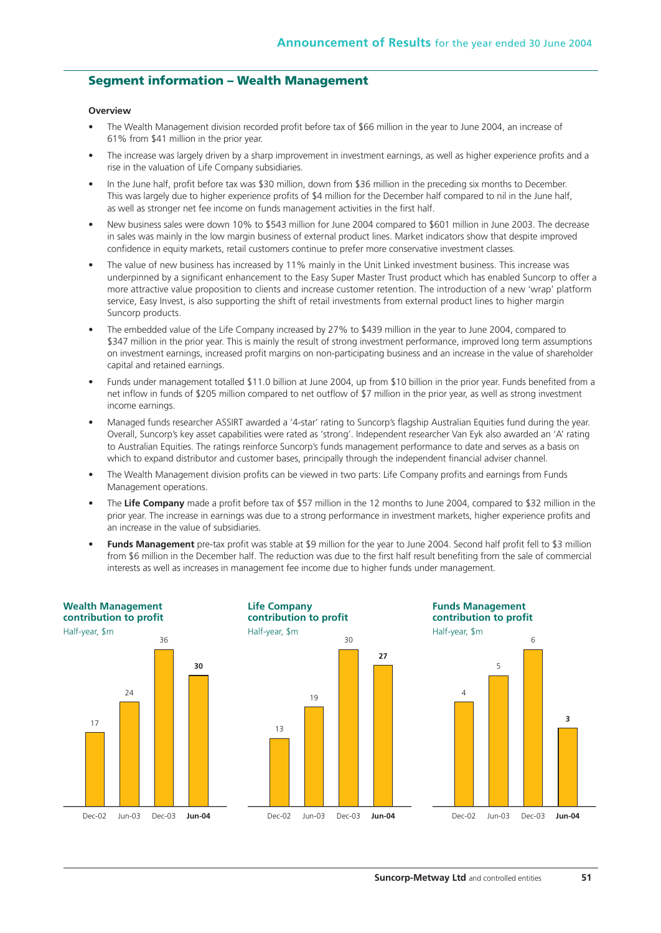### **Segment information – Wealth Management**

#### **Overview**

- The Wealth Management division recorded profit before tax of \$66 million in the year to June 2004, an increase of 61% from \$41 million in the prior year.
- The increase was largely driven by a sharp improvement in investment earnings, as well as higher experience profits and a rise in the valuation of Life Company subsidiaries.
- In the June half, profit before tax was \$30 million, down from \$36 million in the preceding six months to December. This was largely due to higher experience profits of \$4 million for the December half compared to nil in the June half, as well as stronger net fee income on funds management activities in the first half.
- New business sales were down 10% to \$543 million for June 2004 compared to \$601 million in June 2003. The decrease in sales was mainly in the low margin business of external product lines. Market indicators show that despite improved confidence in equity markets, retail customers continue to prefer more conservative investment classes.
- The value of new business has increased by 11% mainly in the Unit Linked investment business. This increase was underpinned by a significant enhancement to the Easy Super Master Trust product which has enabled Suncorp to offer a more attractive value proposition to clients and increase customer retention. The introduction of a new 'wrap' platform service, Easy Invest, is also supporting the shift of retail investments from external product lines to higher margin Suncorp products.
- The embedded value of the Life Company increased by 27% to \$439 million in the year to June 2004, compared to \$347 million in the prior year. This is mainly the result of strong investment performance, improved long term assumptions on investment earnings, increased profit margins on non-participating business and an increase in the value of shareholder capital and retained earnings.
- Funds under management totalled \$11.0 billion at June 2004, up from \$10 billion in the prior year. Funds benefited from a net inflow in funds of \$205 million compared to net outflow of \$7 million in the prior year, as well as strong investment income earnings.
- Managed funds researcher ASSIRT awarded a '4-star' rating to Suncorp's flagship Australian Equities fund during the year. Overall, Suncorp's key asset capabilities were rated as 'strong'. Independent researcher Van Eyk also awarded an 'A' rating to Australian Equities. The ratings reinforce Suncorp's funds management performance to date and serves as a basis on which to expand distributor and customer bases, principally through the independent financial adviser channel.
- The Wealth Management division profits can be viewed in two parts: Life Company profits and earnings from Funds Management operations.
- The **Life Company** made a profit before tax of \$57 million in the 12 months to June 2004, compared to \$32 million in the prior year. The increase in earnings was due to a strong performance in investment markets, higher experience profits and an increase in the value of subsidiaries.
- **Funds Management** pre-tax profit was stable at \$9 million for the year to June 2004. Second half profit fell to \$3 million from \$6 million in the December half. The reduction was due to the first half result benefiting from the sale of commercial interests as well as increases in management fee income due to higher funds under management.

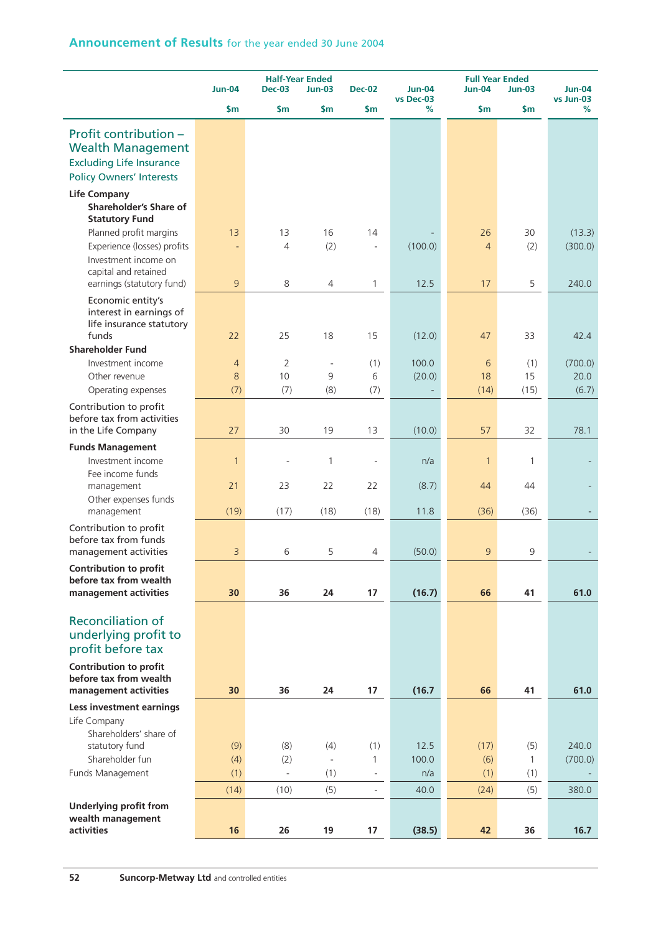|                                                   | <b>Jun-04</b>  | <b>Half-Year Ended</b><br><b>Dec-03</b> | <b>Jun-03</b>            | <b>Dec-02</b>            | <b>Jun-04</b>  |                | <b>Full Year Ended</b><br><b>Jun-04</b><br>$Jun-03$ |                                 |
|---------------------------------------------------|----------------|-----------------------------------------|--------------------------|--------------------------|----------------|----------------|-----------------------------------------------------|---------------------------------|
|                                                   | $\mathsf{sm}$  | \$m                                     | $\mathsf{Sm}$            | \$m                      | vs Dec-03<br>% | \$m            | \$m                                                 | <b>Jun-04</b><br>vs Jun-03<br>% |
|                                                   |                |                                         |                          |                          |                |                |                                                     |                                 |
| Profit contribution -<br><b>Wealth Management</b> |                |                                         |                          |                          |                |                |                                                     |                                 |
| <b>Excluding Life Insurance</b>                   |                |                                         |                          |                          |                |                |                                                     |                                 |
| <b>Policy Owners' Interests</b>                   |                |                                         |                          |                          |                |                |                                                     |                                 |
| <b>Life Company</b>                               |                |                                         |                          |                          |                |                |                                                     |                                 |
| Shareholder's Share of                            |                |                                         |                          |                          |                |                |                                                     |                                 |
| <b>Statutory Fund</b>                             |                |                                         |                          |                          |                |                |                                                     |                                 |
| Planned profit margins                            | 13             | 13                                      | 16                       | 14                       |                | 26             | 30                                                  | (13.3)                          |
| Experience (losses) profits                       |                | $\overline{4}$                          | (2)                      |                          | (100.0)        | $\overline{4}$ | (2)                                                 | (300.0)                         |
| Investment income on<br>capital and retained      |                |                                         |                          |                          |                |                |                                                     |                                 |
| earnings (statutory fund)                         | 9              | 8                                       | 4                        | $\mathbf{1}$             | 12.5           | 17             | 5                                                   | 240.0                           |
| Economic entity's                                 |                |                                         |                          |                          |                |                |                                                     |                                 |
| interest in earnings of                           |                |                                         |                          |                          |                |                |                                                     |                                 |
| life insurance statutory<br>funds                 | 22             | 25                                      | 18                       | 15                       | (12.0)         | 47             | 33                                                  | 42.4                            |
| <b>Shareholder Fund</b>                           |                |                                         |                          |                          |                |                |                                                     |                                 |
| Investment income                                 | $\overline{4}$ | $\overline{2}$                          | $\overline{\phantom{a}}$ | (1)                      | 100.0          | 6              | (1)                                                 | (700.0)                         |
| Other revenue                                     | 8              | 10                                      | 9                        | 6                        | (20.0)         | 18             | 15                                                  | 20.0                            |
| Operating expenses                                | (7)            | (7)                                     | (8)                      | (7)                      |                | (14)           | (15)                                                | (6.7)                           |
| Contribution to profit                            |                |                                         |                          |                          |                |                |                                                     |                                 |
| before tax from activities<br>in the Life Company | 27             | 30                                      | 19                       | 13                       | (10.0)         | 57             | 32                                                  | 78.1                            |
|                                                   |                |                                         |                          |                          |                |                |                                                     |                                 |
| <b>Funds Management</b><br>Investment income      | $\mathbf{1}$   |                                         | $\mathbf{1}$             |                          | n/a            | $\mathbf{1}$   | 1                                                   |                                 |
| Fee income funds                                  |                |                                         |                          |                          |                |                |                                                     |                                 |
| management                                        | 21             | 23                                      | 22                       | 22                       | (8.7)          | 44             | 44                                                  |                                 |
| Other expenses funds                              |                |                                         |                          |                          |                |                |                                                     |                                 |
| management                                        | (19)           | (17)                                    | (18)                     | (18)                     | 11.8           | (36)           | (36)                                                |                                 |
| Contribution to profit<br>before tax from funds   |                |                                         |                          |                          |                |                |                                                     |                                 |
| management activities                             | 3              | 6                                       | 5                        | $\overline{4}$           | (50.0)         | 9              | 9                                                   |                                 |
| Contribution to profit                            |                |                                         |                          |                          |                |                |                                                     |                                 |
| before tax from wealth                            |                |                                         |                          |                          |                |                |                                                     |                                 |
| management activities                             | 30             | 36                                      | 24                       | 17                       | (16.7)         | 66             | 41                                                  | 61.0                            |
| <b>Reconciliation of</b>                          |                |                                         |                          |                          |                |                |                                                     |                                 |
| underlying profit to                              |                |                                         |                          |                          |                |                |                                                     |                                 |
| profit before tax                                 |                |                                         |                          |                          |                |                |                                                     |                                 |
| <b>Contribution to profit</b>                     |                |                                         |                          |                          |                |                |                                                     |                                 |
| before tax from wealth                            |                |                                         |                          |                          |                |                |                                                     |                                 |
| management activities                             | 30             | 36                                      | 24                       | 17                       | (16.7)         | 66             | 41                                                  | 61.0                            |
| Less investment earnings                          |                |                                         |                          |                          |                |                |                                                     |                                 |
| Life Company                                      |                |                                         |                          |                          |                |                |                                                     |                                 |
| Shareholders' share of<br>statutory fund          | (9)            | (8)                                     | (4)                      | (1)                      | 12.5           | (17)           | (5)                                                 | 240.0                           |
| Shareholder fun                                   | (4)            | (2)                                     | $\overline{\phantom{a}}$ | $\mathbf{1}$             | 100.0          | (6)            | 1                                                   | (700.0)                         |
| Funds Management                                  | (1)            | $\bar{\phantom{a}}$                     | (1)                      | $\overline{\phantom{a}}$ | n/a            | (1)            | (1)                                                 |                                 |
|                                                   | (14)           | (10)                                    | (5)                      | $\overline{\phantom{a}}$ | 40.0           | (24)           | (5)                                                 | 380.0                           |
| <b>Underlying profit from</b>                     |                |                                         |                          |                          |                |                |                                                     |                                 |
| wealth management                                 |                |                                         |                          |                          |                |                |                                                     |                                 |
| activities                                        | 16             | 26                                      | 19                       | 17                       | (38.5)         | 42             | 36                                                  | 16.7                            |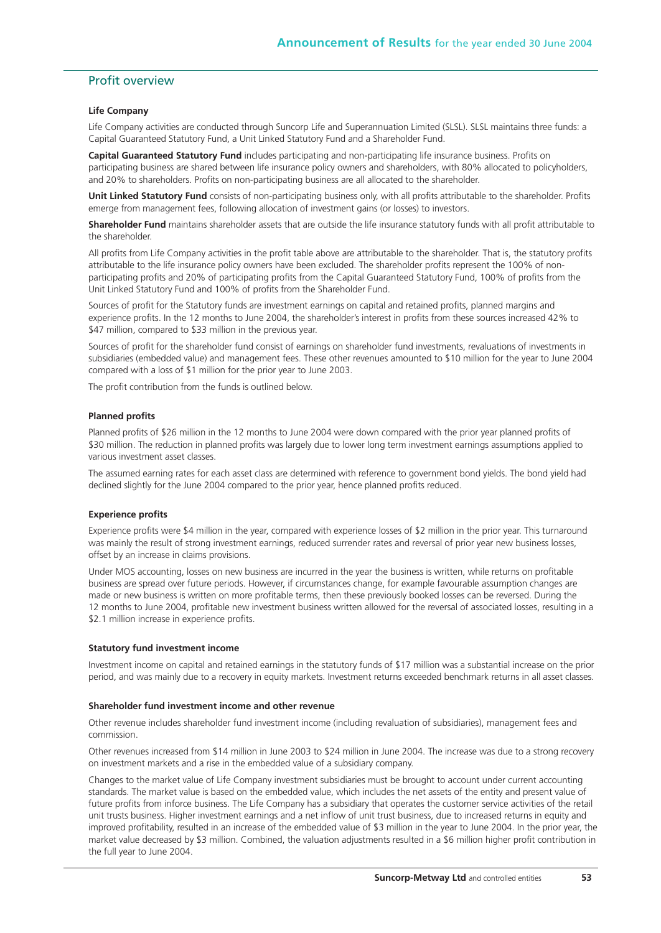# Profit overview

#### **Life Company**

Life Company activities are conducted through Suncorp Life and Superannuation Limited (SLSL). SLSL maintains three funds: a Capital Guaranteed Statutory Fund, a Unit Linked Statutory Fund and a Shareholder Fund.

**Capital Guaranteed Statutory Fund** includes participating and non-participating life insurance business. Profits on participating business are shared between life insurance policy owners and shareholders, with 80% allocated to policyholders, and 20% to shareholders. Profits on non-participating business are all allocated to the shareholder.

**Unit Linked Statutory Fund** consists of non-participating business only, with all profits attributable to the shareholder. Profits emerge from management fees, following allocation of investment gains (or losses) to investors.

**Shareholder Fund** maintains shareholder assets that are outside the life insurance statutory funds with all profit attributable to the shareholder.

All profits from Life Company activities in the profit table above are attributable to the shareholder. That is, the statutory profits attributable to the life insurance policy owners have been excluded. The shareholder profits represent the 100% of nonparticipating profits and 20% of participating profits from the Capital Guaranteed Statutory Fund, 100% of profits from the Unit Linked Statutory Fund and 100% of profits from the Shareholder Fund.

Sources of profit for the Statutory funds are investment earnings on capital and retained profits, planned margins and experience profits. In the 12 months to June 2004, the shareholder's interest in profits from these sources increased 42% to \$47 million, compared to \$33 million in the previous year.

Sources of profit for the shareholder fund consist of earnings on shareholder fund investments, revaluations of investments in subsidiaries (embedded value) and management fees. These other revenues amounted to \$10 million for the year to June 2004 compared with a loss of \$1 million for the prior year to June 2003.

The profit contribution from the funds is outlined below.

#### **Planned profits**

Planned profits of \$26 million in the 12 months to June 2004 were down compared with the prior year planned profits of \$30 million. The reduction in planned profits was largely due to lower long term investment earnings assumptions applied to various investment asset classes.

The assumed earning rates for each asset class are determined with reference to government bond yields. The bond yield had declined slightly for the June 2004 compared to the prior year, hence planned profits reduced.

#### **Experience profits**

Experience profits were \$4 million in the year, compared with experience losses of \$2 million in the prior year. This turnaround was mainly the result of strong investment earnings, reduced surrender rates and reversal of prior year new business losses, offset by an increase in claims provisions.

Under MOS accounting, losses on new business are incurred in the year the business is written, while returns on profitable business are spread over future periods. However, if circumstances change, for example favourable assumption changes are made or new business is written on more profitable terms, then these previously booked losses can be reversed. During the 12 months to June 2004, profitable new investment business written allowed for the reversal of associated losses, resulting in a \$2.1 million increase in experience profits.

#### **Statutory fund investment income**

Investment income on capital and retained earnings in the statutory funds of \$17 million was a substantial increase on the prior period, and was mainly due to a recovery in equity markets. Investment returns exceeded benchmark returns in all asset classes.

#### **Shareholder fund investment income and other revenue**

Other revenue includes shareholder fund investment income (including revaluation of subsidiaries), management fees and commission.

Other revenues increased from \$14 million in June 2003 to \$24 million in June 2004. The increase was due to a strong recovery on investment markets and a rise in the embedded value of a subsidiary company.

Changes to the market value of Life Company investment subsidiaries must be brought to account under current accounting standards. The market value is based on the embedded value, which includes the net assets of the entity and present value of future profits from inforce business. The Life Company has a subsidiary that operates the customer service activities of the retail unit trusts business. Higher investment earnings and a net inflow of unit trust business, due to increased returns in equity and improved profitability, resulted in an increase of the embedded value of \$3 million in the year to June 2004. In the prior year, the market value decreased by \$3 million. Combined, the valuation adjustments resulted in a \$6 million higher profit contribution in the full year to June 2004.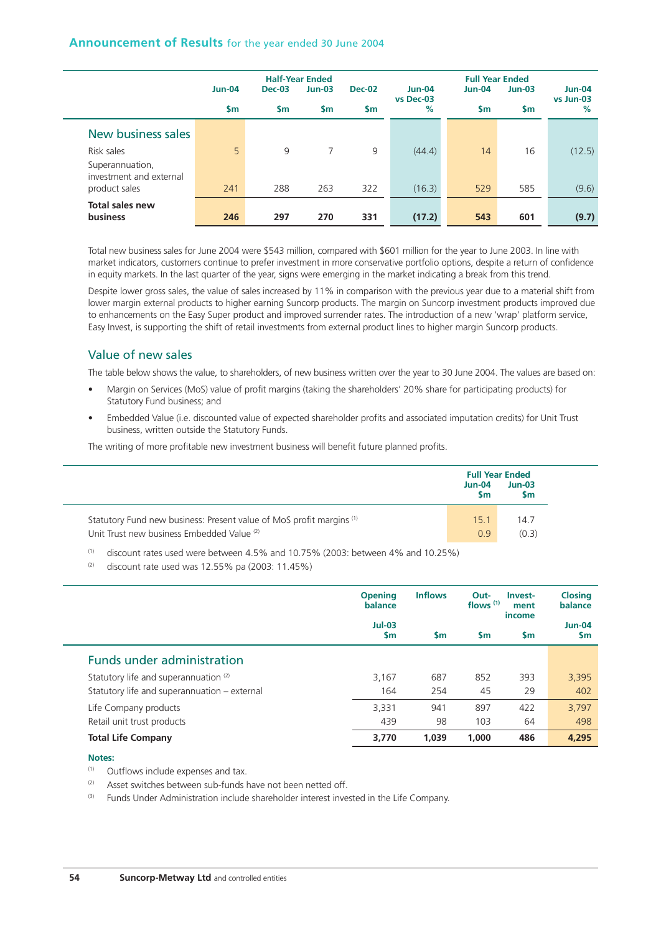|                                            |                |               | <b>Half-Year Ended</b> |               |                            | <b>Full Year Ended</b> |               |                            |
|--------------------------------------------|----------------|---------------|------------------------|---------------|----------------------------|------------------------|---------------|----------------------------|
|                                            | <b>Jun-04</b>  | <b>Dec-03</b> | $Jun-03$               | <b>Dec-02</b> | <b>Jun-04</b><br>vs Dec-03 | <b>Jun-04</b>          | $Jun-03$      | <b>Jun-04</b><br>vs Jun-03 |
|                                            | $\mathsf{S}$ m | \$m           | <b>Sm</b>              | \$m           | %                          | <b>Sm</b>              | $\mathsf{sm}$ | $\%$                       |
| New business sales                         |                |               |                        |               |                            |                        |               |                            |
| Risk sales                                 | 5              | 9             | 7                      | 9             | (44.4)                     | 14                     | 16            | (12.5)                     |
| Superannuation,<br>investment and external |                |               |                        |               |                            |                        |               |                            |
| product sales                              | 241            | 288           | 263                    | 322           | (16.3)                     | 529                    | 585           | (9.6)                      |
| <b>Total sales new</b>                     |                |               |                        |               |                            |                        |               |                            |
| <b>business</b>                            | 246            | 297           | 270                    | 331           | (17.2)                     | 543                    | 601           | (9.7)                      |

Total new business sales for June 2004 were \$543 million, compared with \$601 million for the year to June 2003. In line with market indicators, customers continue to prefer investment in more conservative portfolio options, despite a return of confidence in equity markets. In the last quarter of the year, signs were emerging in the market indicating a break from this trend.

Despite lower gross sales, the value of sales increased by 11% in comparison with the previous year due to a material shift from lower margin external products to higher earning Suncorp products. The margin on Suncorp investment products improved due to enhancements on the Easy Super product and improved surrender rates. The introduction of a new 'wrap' platform service, Easy Invest, is supporting the shift of retail investments from external product lines to higher margin Suncorp products.

# Value of new sales

The table below shows the value, to shareholders, of new business written over the year to 30 June 2004. The values are based on:

- Margin on Services (MoS) value of profit margins (taking the shareholders' 20% share for participating products) for Statutory Fund business; and
- Embedded Value (i.e. discounted value of expected shareholder profits and associated imputation credits) for Unit Trust business, written outside the Statutory Funds.

The writing of more profitable new investment business will benefit future planned profits.

|                                                                      | $Jun-04$<br>Sm | <b>Full Year Ended</b><br>$Jun-03$<br>Sm |
|----------------------------------------------------------------------|----------------|------------------------------------------|
| Statutory Fund new business: Present value of MoS profit margins (1) | 15.1           | 14.7                                     |
| Unit Trust new business Embedded Value (2)                           | 09             | (0.3)                                    |

 $(1)$  discount rates used were between 4.5% and 10.75% (2003: between 4% and 10.25%)

 $(2)$  discount rate used was 12.55% pa (2003: 11.45%)

|                                              | <b>Opening</b><br>balance | <b>Inflows</b> | Out-<br>Invest-<br>flows $(1)$<br>ment<br>income |               | <b>Closing</b><br>balance  |
|----------------------------------------------|---------------------------|----------------|--------------------------------------------------|---------------|----------------------------|
|                                              | $Jul-03$<br><b>Sm</b>     | <b>Sm</b>      | <b>Sm</b>                                        | $\mathsf{sm}$ | <b>Jun-04</b><br><b>Sm</b> |
| <b>Funds under administration</b>            |                           |                |                                                  |               |                            |
| Statutory life and superannuation (2)        | 3.167                     | 687            | 852                                              | 393           | 3,395                      |
| Statutory life and superannuation - external | 164                       | 254            | 45                                               | 29            | 402                        |
| Life Company products                        | 3,331                     | 941            | 897                                              | 422           | 3,797                      |
| Retail unit trust products                   | 439                       | 98             | 103                                              | 64            | 498                        |
| <b>Total Life Company</b>                    | 3,770                     | 1.039          | 1,000                                            | 486           | 4,295                      |

#### **Notes:**

(1) Outflows include expenses and tax.

- (2) Asset switches between sub-funds have not been netted off.
- (3) Funds Under Administration include shareholder interest invested in the Life Company.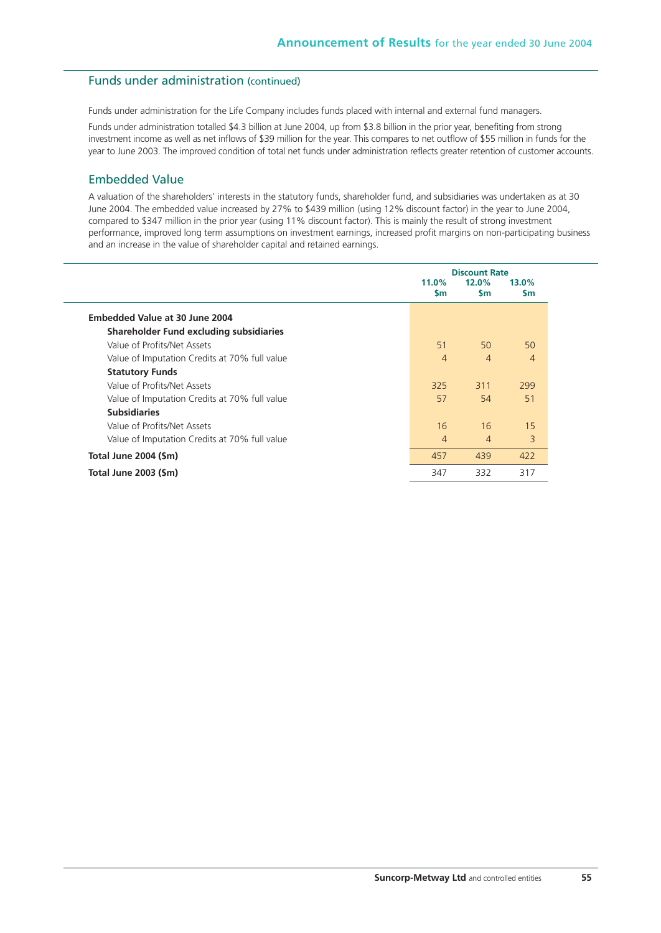## Funds under administration (continued)

Funds under administration for the Life Company includes funds placed with internal and external fund managers.

Funds under administration totalled \$4.3 billion at June 2004, up from \$3.8 billion in the prior year, benefiting from strong investment income as well as net inflows of \$39 million for the year. This compares to net outflow of \$55 million in funds for the year to June 2003. The improved condition of total net funds under administration reflects greater retention of customer accounts.

## Embedded Value

A valuation of the shareholders' interests in the statutory funds, shareholder fund, and subsidiaries was undertaken as at 30 June 2004. The embedded value increased by 27% to \$439 million (using 12% discount factor) in the year to June 2004, compared to \$347 million in the prior year (using 11% discount factor). This is mainly the result of strong investment performance, improved long term assumptions on investment earnings, increased profit margins on non-participating business and an increase in the value of shareholder capital and retained earnings.

|                                                |                       | <b>Discount Rate</b>  |                        |
|------------------------------------------------|-----------------------|-----------------------|------------------------|
|                                                | $11.0\%$<br><b>Sm</b> | $12.0\%$<br><b>Sm</b> | 13.0%<br>$\mathsf{sm}$ |
| Embedded Value at 30 June 2004                 |                       |                       |                        |
| <b>Shareholder Fund excluding subsidiaries</b> |                       |                       |                        |
| Value of Profits/Net Assets                    | 51                    | 50                    | 50                     |
| Value of Imputation Credits at 70% full value  | $\overline{4}$        | $\overline{4}$        | $\overline{4}$         |
| <b>Statutory Funds</b>                         |                       |                       |                        |
| Value of Profits/Net Assets                    | 325                   | 311                   | 299                    |
| Value of Imputation Credits at 70% full value  | 57                    | 54                    | 51                     |
| <b>Subsidiaries</b>                            |                       |                       |                        |
| Value of Profits/Net Assets                    | 16                    | 16                    | 15                     |
| Value of Imputation Credits at 70% full value  | $\overline{4}$        | $\overline{4}$        | 3                      |
| Total June 2004 (\$m)                          | 457                   | 439                   | 422                    |
| Total June 2003 (\$m)                          | 347                   | 332                   | 317                    |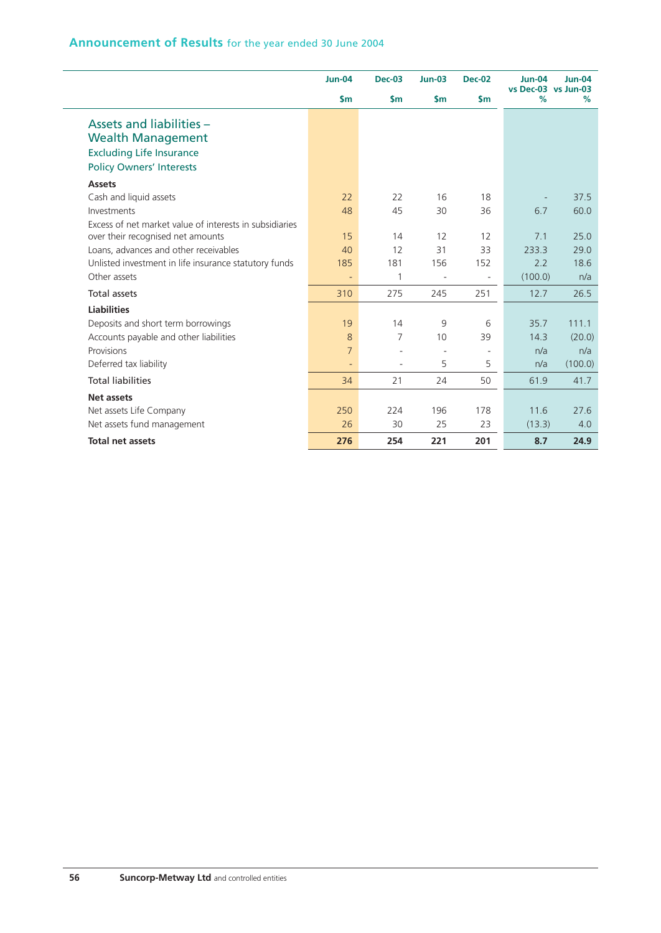|                                                         | $Jun-04$                 | <b>Dec-03</b> | $Jun-03$                 | <b>Dec-02</b>            | <b>Jun-04</b>            | $Jun-04$ |
|---------------------------------------------------------|--------------------------|---------------|--------------------------|--------------------------|--------------------------|----------|
|                                                         | $\mathsf{sm}$            | $\mathsf{sm}$ | $\mathsf{Sm}$            | $\mathsf{sm}$            | vs Dec-03 vs Jun-03<br>% | %        |
| Assets and liabilities -                                |                          |               |                          |                          |                          |          |
| <b>Wealth Management</b>                                |                          |               |                          |                          |                          |          |
| <b>Excluding Life Insurance</b>                         |                          |               |                          |                          |                          |          |
| <b>Policy Owners' Interests</b>                         |                          |               |                          |                          |                          |          |
| <b>Assets</b>                                           |                          |               |                          |                          |                          |          |
| Cash and liquid assets                                  | 22                       | 22            | 16                       | 18                       |                          | 37.5     |
| Investments                                             | 48                       | 45            | 30                       | 36                       | 6.7                      | 60.0     |
| Excess of net market value of interests in subsidiaries |                          |               |                          |                          |                          |          |
| over their recognised net amounts                       | 15                       | 14            | 12                       | 12                       | 7.1                      | 25.0     |
| Loans, advances and other receivables                   | 40                       | 12            | 31                       | 33                       | 233.3                    | 29.0     |
| Unlisted investment in life insurance statutory funds   | 185                      | 181           | 156                      | 152                      | 2.2                      | 18.6     |
| Other assets                                            | $\overline{\phantom{a}}$ | 1             | $\overline{\phantom{a}}$ | $\overline{\phantom{a}}$ | (100.0)                  | n/a      |
| <b>Total assets</b>                                     | 310                      | 275           | 245                      | 251                      | 12.7                     | 26.5     |
| <b>Liabilities</b>                                      |                          |               |                          |                          |                          |          |
| Deposits and short term borrowings                      | 19                       | 14            | 9                        | 6                        | 35.7                     | 111.1    |
| Accounts payable and other liabilities                  | 8                        | 7             | 10 <sup>1</sup>          | 39                       | 14.3                     | (20.0)   |
| Provisions                                              | $\overline{7}$           |               | ÷.                       | $\sim$                   | n/a                      | n/a      |
| Deferred tax liability                                  | $\equiv$                 |               | 5                        | 5                        | n/a                      | (100.0)  |
| <b>Total liabilities</b>                                | 34                       | 21            | 24                       | 50                       | 61.9                     | 41.7     |
| <b>Net assets</b>                                       |                          |               |                          |                          |                          |          |
| Net assets Life Company                                 | 250                      | 224           | 196                      | 178                      | 11.6                     | 27.6     |
| Net assets fund management                              | 26                       | 30            | 25                       | 23                       | (13.3)                   | 4.0      |
| <b>Total net assets</b>                                 | 276                      | 254           | 221                      | 201                      | 8.7                      | 24.9     |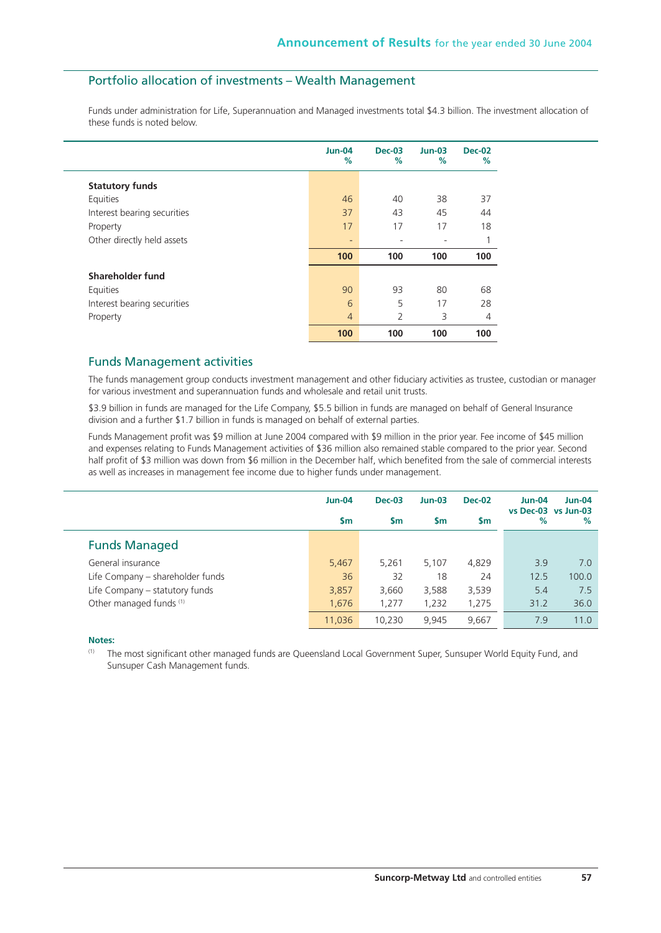## Portfolio allocation of investments – Wealth Management

Funds under administration for Life, Superannuation and Managed investments total \$4.3 billion. The investment allocation of these funds is noted below.

|                             | <b>Jun-04</b><br>%           | $Dec-03$<br>$\%$ | $Jun-03$<br>% | <b>Dec-02</b><br>% |
|-----------------------------|------------------------------|------------------|---------------|--------------------|
| <b>Statutory funds</b>      |                              |                  |               |                    |
| Equities                    | 46                           | 40               | 38            | 37                 |
| Interest bearing securities | 37                           | 43               | 45            | 44                 |
| Property                    | 17                           | 17               | 17            | 18                 |
| Other directly held assets  | $\qquad \qquad \blacksquare$ |                  |               | 1                  |
|                             | 100                          | 100              | 100           | 100                |
| Shareholder fund            |                              |                  |               |                    |
| Equities                    | 90                           | 93               | 80            | 68                 |
| Interest bearing securities | 6                            | 5                | 17            | 28                 |
| Property                    | $\overline{4}$               | 2                | 3             | 4                  |
|                             | 100                          | 100              | 100           | 100                |

### Funds Management activities

The funds management group conducts investment management and other fiduciary activities as trustee, custodian or manager for various investment and superannuation funds and wholesale and retail unit trusts.

\$3.9 billion in funds are managed for the Life Company, \$5.5 billion in funds are managed on behalf of General Insurance division and a further \$1.7 billion in funds is managed on behalf of external parties.

Funds Management profit was \$9 million at June 2004 compared with \$9 million in the prior year. Fee income of \$45 million and expenses relating to Funds Management activities of \$36 million also remained stable compared to the prior year. Second half profit of \$3 million was down from \$6 million in the December half, which benefited from the sale of commercial interests as well as increases in management fee income due to higher funds under management.

|                                  | <b>Jun-04</b> | <b>Dec-03</b> | $Jun-03$  | <b>Dec-02</b> | $Jun-04$<br>vs Dec-03 vs Jun-03 | <b>Jun-04</b> |
|----------------------------------|---------------|---------------|-----------|---------------|---------------------------------|---------------|
|                                  | $\mathsf{Sm}$ | <b>Sm</b>     | <b>Sm</b> | <b>Sm</b>     | %                               | %             |
| <b>Funds Managed</b>             |               |               |           |               |                                 |               |
| General insurance                | 5,467         | 5,261         | 5.107     | 4,829         | 3.9                             | 7.0           |
| Life Company – shareholder funds | 36            | 32            | 18        | 24            | 12.5                            | 100.0         |
| Life Company - statutory funds   | 3,857         | 3,660         | 3,588     | 3,539         | 5.4                             | 7.5           |
| Other managed funds (1)          | 1,676         | 1,277         | 1,232     | 1,275         | 31.2                            | 36.0          |
|                                  | 11,036        | 10.230        | 9.945     | 9.667         | 7.9                             | 11.0          |

**Notes:**

(1) The most significant other managed funds are Queensland Local Government Super, Sunsuper World Equity Fund, and Sunsuper Cash Management funds.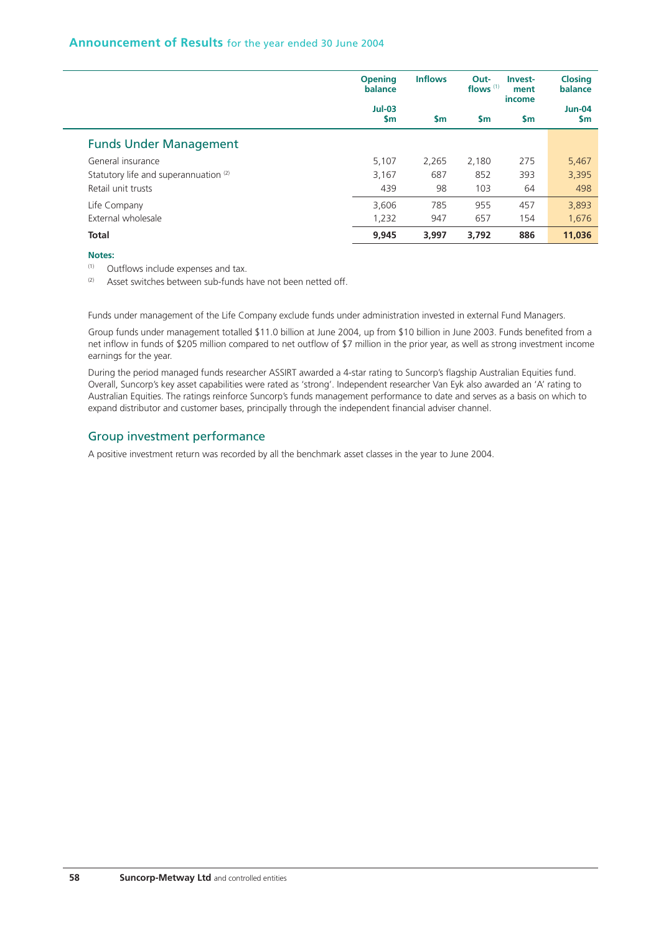|                                       | <b>Opening</b><br>balance | <b>Inflows</b> | Out-<br>flows $(1)$ | Invest-<br>ment<br>income | <b>Closing</b><br>balance  |
|---------------------------------------|---------------------------|----------------|---------------------|---------------------------|----------------------------|
|                                       | $Jul-03$<br><b>Sm</b>     | <b>Sm</b>      | <b>Sm</b>           | $\mathsf{sm}$             | <b>Jun-04</b><br><b>Sm</b> |
| <b>Funds Under Management</b>         |                           |                |                     |                           |                            |
| General insurance                     | 5,107                     | 2.265          | 2.180               | 275                       | 5,467                      |
| Statutory life and superannuation (2) | 3,167                     | 687            | 852                 | 393                       | 3,395                      |
| Retail unit trusts                    | 439                       | 98             | 103                 | 64                        | 498                        |
| Life Company                          | 3,606                     | 785            | 955                 | 457                       | 3,893                      |
| External wholesale                    | 1,232                     | 947            | 657                 | 154                       | 1,676                      |
| <b>Total</b>                          | 9,945                     | 3.997          | 3.792               | 886                       | 11,036                     |

#### **Notes:**

(1) Outflows include expenses and tax.

 $(2)$  Asset switches between sub-funds have not been netted off.

Funds under management of the Life Company exclude funds under administration invested in external Fund Managers.

Group funds under management totalled \$11.0 billion at June 2004, up from \$10 billion in June 2003. Funds benefited from a net inflow in funds of \$205 million compared to net outflow of \$7 million in the prior year, as well as strong investment income earnings for the year.

During the period managed funds researcher ASSIRT awarded a 4-star rating to Suncorp's flagship Australian Equities fund. Overall, Suncorp's key asset capabilities were rated as 'strong'. Independent researcher Van Eyk also awarded an 'A' rating to Australian Equities. The ratings reinforce Suncorp's funds management performance to date and serves as a basis on which to expand distributor and customer bases, principally through the independent financial adviser channel.

## Group investment performance

A positive investment return was recorded by all the benchmark asset classes in the year to June 2004.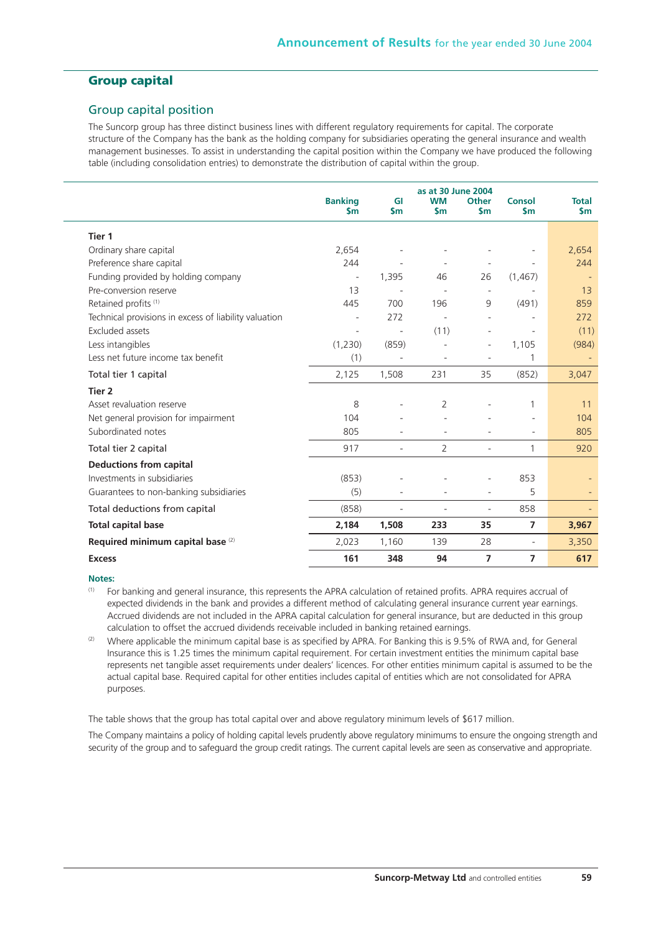# **Group capital**

## Group capital position

The Suncorp group has three distinct business lines with different regulatory requirements for capital. The corporate structure of the Company has the bank as the holding company for subsidiaries operating the general insurance and wealth management businesses. To assist in understanding the capital position within the Company we have produced the following table (including consolidation entries) to demonstrate the distribution of capital within the group.

|                                                       | <b>Banking</b><br><b>Sm</b> | GI<br>\$m                | as at 30 June 2004<br><b>WM</b><br>$\mathsf{sm}$ | <b>Other</b><br>\$m            | <b>Consol</b><br>$\mathsf{sm}$ | <b>Total</b><br>$\mathsf{Sm}$ |
|-------------------------------------------------------|-----------------------------|--------------------------|--------------------------------------------------|--------------------------------|--------------------------------|-------------------------------|
| Tier 1                                                |                             |                          |                                                  |                                |                                |                               |
| Ordinary share capital                                | 2,654                       |                          |                                                  | $\overline{\phantom{a}}$       |                                | 2,654                         |
| Preference share capital                              | 244                         |                          |                                                  |                                |                                | 244                           |
| Funding provided by holding company                   | $\overline{\phantom{a}}$    | 1,395                    | 46                                               | $\overline{\phantom{a}}$<br>26 | (1, 467)                       |                               |
| Pre-conversion reserve                                | 13                          |                          |                                                  |                                |                                | 13                            |
| Retained profits <sup>(1)</sup>                       | 445                         | 700                      | 196                                              | 9                              | (491)                          | 859                           |
| Technical provisions in excess of liability valuation |                             | 272                      | $\blacksquare$                                   | $\overline{\phantom{a}}$       |                                | 272                           |
| <b>Excluded assets</b>                                | $\sim$                      | $\overline{\phantom{m}}$ | (11)                                             | $\overline{\phantom{a}}$       | ÷,                             | (11)                          |
| Less intangibles                                      | (1,230)                     | (859)                    |                                                  | $\overline{\phantom{a}}$       | 1,105                          | (984)                         |
| Less net future income tax benefit                    | (1)                         |                          |                                                  |                                | 1                              |                               |
|                                                       |                             |                          |                                                  |                                |                                |                               |
| Total tier 1 capital                                  | 2,125                       | 1,508                    | 231                                              | 35                             | (852)                          | 3,047                         |
| Tier 2                                                |                             |                          |                                                  |                                |                                |                               |
| Asset revaluation reserve                             | 8                           |                          | 2                                                |                                | 1                              | 11                            |
| Net general provision for impairment                  | 104                         |                          |                                                  |                                | ÷,                             | 104                           |
| Subordinated notes                                    | 805                         |                          |                                                  |                                | ۳                              | 805                           |
| Total tier 2 capital                                  | 917                         | $\overline{a}$           | $\overline{2}$                                   | ٠                              | 1                              | 920                           |
| <b>Deductions from capital</b>                        |                             |                          |                                                  |                                |                                |                               |
| Investments in subsidiaries                           | (853)                       |                          |                                                  |                                | 853                            |                               |
| Guarantees to non-banking subsidiaries                | (5)                         |                          |                                                  |                                | 5                              |                               |
| Total deductions from capital                         | (858)                       | ÷,                       |                                                  | $\overline{\phantom{a}}$       | 858                            |                               |
| <b>Total capital base</b>                             | 2,184                       | 1,508                    | 233                                              | 35                             | 7                              | 3,967                         |
| Required minimum capital base (2)                     | 2,023                       | 1,160                    | 139                                              | 28                             | $\overline{\phantom{a}}$       | 3,350                         |
| <b>Excess</b>                                         | 161                         | 348                      | 94                                               | $\overline{7}$                 | 7                              | 617                           |

#### **Notes:**

(1) For banking and general insurance, this represents the APRA calculation of retained profits. APRA requires accrual of expected dividends in the bank and provides a different method of calculating general insurance current year earnings. Accrued dividends are not included in the APRA capital calculation for general insurance, but are deducted in this group calculation to offset the accrued dividends receivable included in banking retained earnings.

(2) Where applicable the minimum capital base is as specified by APRA. For Banking this is 9.5% of RWA and, for General Insurance this is 1.25 times the minimum capital requirement. For certain investment entities the minimum capital base represents net tangible asset requirements under dealers' licences. For other entities minimum capital is assumed to be the actual capital base. Required capital for other entities includes capital of entities which are not consolidated for APRA purposes.

The table shows that the group has total capital over and above regulatory minimum levels of \$617 million.

The Company maintains a policy of holding capital levels prudently above regulatory minimums to ensure the ongoing strength and security of the group and to safeguard the group credit ratings. The current capital levels are seen as conservative and appropriate.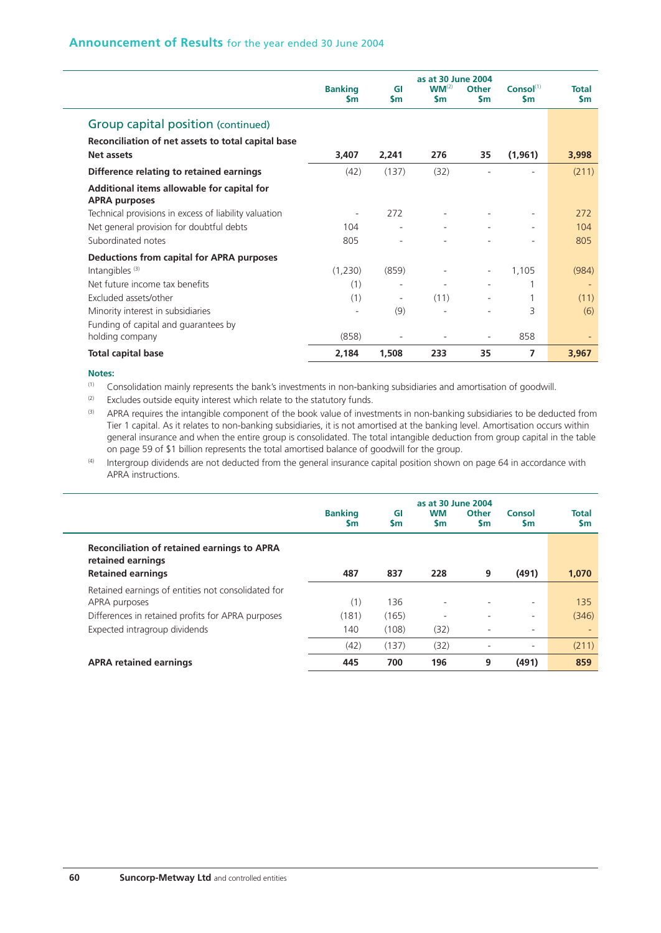|                                                                    |                             |                          | as at 30 June 2004      |                           |                                        |                     |
|--------------------------------------------------------------------|-----------------------------|--------------------------|-------------------------|---------------------------|----------------------------------------|---------------------|
|                                                                    | <b>Banking</b><br><b>Sm</b> | GI<br><b>Sm</b>          | $WM^{(2)}$<br><b>Sm</b> | <b>Other</b><br><b>Sm</b> | Consol <sup>(1)</sup><br>$\mathsf{sm}$ | <b>Total</b><br>\$m |
| Group capital position (continued)                                 |                             |                          |                         |                           |                                        |                     |
| Reconciliation of net assets to total capital base                 |                             |                          |                         |                           |                                        |                     |
| <b>Net assets</b>                                                  | 3,407                       | 2,241                    | 276                     | 35                        | (1,961)                                | 3,998               |
| Difference relating to retained earnings                           | (42)                        | (137)                    | (32)                    |                           |                                        | (211)               |
| Additional items allowable for capital for<br><b>APRA purposes</b> |                             |                          |                         |                           |                                        |                     |
| Technical provisions in excess of liability valuation              |                             | 272                      |                         |                           |                                        | 272                 |
| Net general provision for doubtful debts                           | 104                         |                          |                         |                           |                                        | 104                 |
| Subordinated notes                                                 | 805                         |                          |                         |                           |                                        | 805                 |
| Deductions from capital for APRA purposes                          |                             |                          |                         |                           |                                        |                     |
| Intangibles <sup>(3)</sup>                                         | (1,230)                     | (859)                    |                         |                           | 1,105                                  | (984)               |
| Net future income tax benefits                                     | (1)                         | $\overline{\phantom{a}}$ |                         |                           |                                        |                     |
| Excluded assets/other                                              | (1)                         | $\overline{\phantom{a}}$ | (11)                    |                           |                                        | (11)                |
| Minority interest in subsidiaries                                  |                             | (9)                      |                         |                           | 3                                      | (6)                 |
| Funding of capital and guarantees by                               |                             |                          |                         |                           |                                        |                     |
| holding company                                                    | (858)                       |                          |                         |                           | 858                                    |                     |
| <b>Total capital base</b>                                          | 2,184                       | 1,508                    | 233                     | 35                        | 7                                      | 3,967               |

(1) Consolidation mainly represents the bank's investments in non-banking subsidiaries and amortisation of goodwill.

<sup>(2)</sup> Excludes outside equity interest which relate to the statutory funds.

(3) APRA requires the intangible component of the book value of investments in non-banking subsidiaries to be deducted from Tier 1 capital. As it relates to non-banking subsidiaries, it is not amortised at the banking level. Amortisation occurs within general insurance and when the entire group is consolidated. The total intangible deduction from group capital in the table on page 59 of \$1 billion represents the total amortised balance of goodwill for the group.

 $(4)$  Intergroup dividends are not deducted from the general insurance capital position shown on page 64 in accordance with APRA instructions.

|                                                                         | as at 30 June 2004   |                 |                        |                           |                          |                           |  |  |
|-------------------------------------------------------------------------|----------------------|-----------------|------------------------|---------------------------|--------------------------|---------------------------|--|--|
|                                                                         | <b>Banking</b><br>Sm | GI<br><b>Sm</b> | <b>WM</b><br><b>Sm</b> | <b>Other</b><br><b>Sm</b> | Consol<br><b>Sm</b>      | <b>Total</b><br><b>Sm</b> |  |  |
| <b>Reconciliation of retained earnings to APRA</b><br>retained earnings |                      |                 |                        |                           |                          |                           |  |  |
| <b>Retained earnings</b>                                                | 487                  | 837             | 228                    | 9                         | (491)                    | 1,070                     |  |  |
| Retained earnings of entities not consolidated for                      |                      |                 |                        |                           |                          |                           |  |  |
| APRA purposes                                                           | (1)                  | 136             | ۰.                     | $\overline{\phantom{a}}$  | $\overline{\phantom{a}}$ | 135                       |  |  |
| Differences in retained profits for APRA purposes                       | (181)                | (165)           |                        | ٠                         | $\overline{\phantom{a}}$ | (346)                     |  |  |
| Expected intragroup dividends                                           | 140                  | (108)           | (32)                   | -                         | $\overline{\phantom{a}}$ |                           |  |  |
|                                                                         | (42)                 | (137)           | (32)                   | ٠                         | $\overline{\phantom{a}}$ | (211)                     |  |  |
| <b>APRA retained earnings</b>                                           | 445                  | 700             | 196                    | 9                         | (491)                    | 859                       |  |  |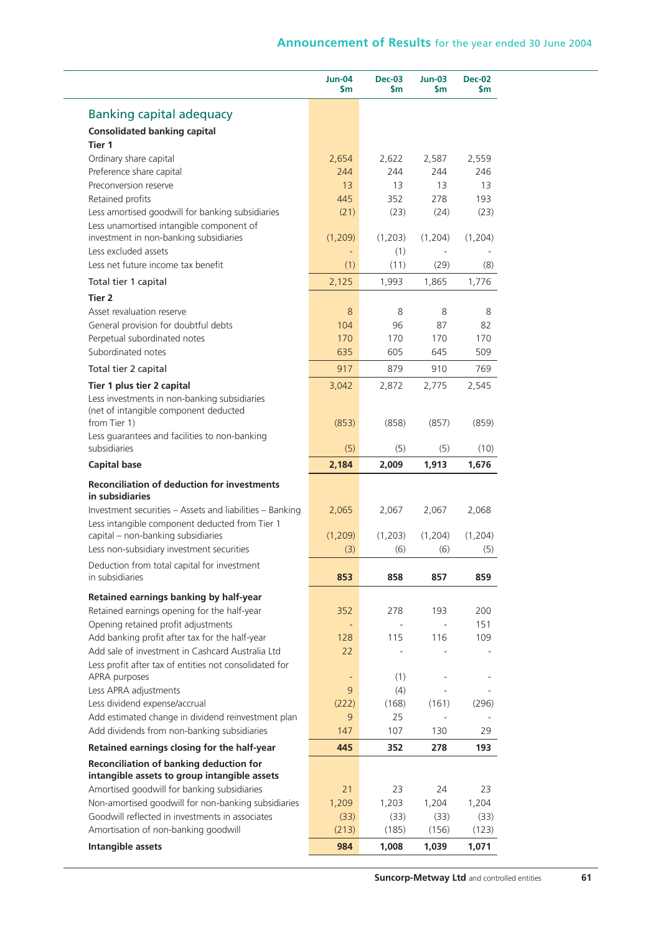|                                                                                                                                                                                                                                                                                                                                                                                                                                                                               | <b>Jun-04</b><br>\$m     | <b>Dec-03</b><br><b>Sm</b> | <b>Jun-03</b><br>\$m | <b>Dec-02</b><br>\$m                                             |
|-------------------------------------------------------------------------------------------------------------------------------------------------------------------------------------------------------------------------------------------------------------------------------------------------------------------------------------------------------------------------------------------------------------------------------------------------------------------------------|--------------------------|----------------------------|----------------------|------------------------------------------------------------------|
| <b>Banking capital adequacy</b>                                                                                                                                                                                                                                                                                                                                                                                                                                               |                          |                            |                      |                                                                  |
| <b>Consolidated banking capital</b>                                                                                                                                                                                                                                                                                                                                                                                                                                           |                          |                            |                      |                                                                  |
| Tier 1                                                                                                                                                                                                                                                                                                                                                                                                                                                                        |                          |                            |                      |                                                                  |
| Ordinary share capital                                                                                                                                                                                                                                                                                                                                                                                                                                                        | 2,654                    | 2,622                      | 2,587                | 2,559                                                            |
| Preference share capital                                                                                                                                                                                                                                                                                                                                                                                                                                                      | 244                      | 244                        | 244                  | 246                                                              |
| Preconversion reserve                                                                                                                                                                                                                                                                                                                                                                                                                                                         | 13                       | 13                         | 13                   | 13                                                               |
| Retained profits                                                                                                                                                                                                                                                                                                                                                                                                                                                              | 445                      | 352                        | 278                  | 193                                                              |
| Less amortised goodwill for banking subsidiaries                                                                                                                                                                                                                                                                                                                                                                                                                              | (21)                     | (23)                       | (24)                 | (23)                                                             |
| Less unamortised intangible component of<br>investment in non-banking subsidiaries                                                                                                                                                                                                                                                                                                                                                                                            | (1,209)                  | (1,203)                    | (1,204)              | (1,204)                                                          |
| Less excluded assets                                                                                                                                                                                                                                                                                                                                                                                                                                                          | $\overline{\phantom{a}}$ | (1)                        |                      |                                                                  |
| Less net future income tax benefit                                                                                                                                                                                                                                                                                                                                                                                                                                            | (1)                      | (11)                       | (29)                 | (8)                                                              |
| Total tier 1 capital                                                                                                                                                                                                                                                                                                                                                                                                                                                          | 2,125                    | 1,993                      | 1,865                | 1,776                                                            |
| Tier 2                                                                                                                                                                                                                                                                                                                                                                                                                                                                        |                          |                            |                      |                                                                  |
| Asset revaluation reserve                                                                                                                                                                                                                                                                                                                                                                                                                                                     | 8                        | 8                          | 8                    | 8                                                                |
| General provision for doubtful debts                                                                                                                                                                                                                                                                                                                                                                                                                                          | 104                      | 96                         | 87                   | 82                                                               |
| Perpetual subordinated notes                                                                                                                                                                                                                                                                                                                                                                                                                                                  | 170                      | 170                        | 170                  | 170                                                              |
| Subordinated notes                                                                                                                                                                                                                                                                                                                                                                                                                                                            | 635                      | 605                        | 645                  | 509                                                              |
| Total tier 2 capital                                                                                                                                                                                                                                                                                                                                                                                                                                                          | 917                      | 879                        | 910                  | 769                                                              |
| Tier 1 plus tier 2 capital                                                                                                                                                                                                                                                                                                                                                                                                                                                    | 3,042                    | 2,872                      | 2,775                | 2,545                                                            |
| Less investments in non-banking subsidiaries<br>(net of intangible component deducted                                                                                                                                                                                                                                                                                                                                                                                         |                          |                            |                      |                                                                  |
| from Tier 1)                                                                                                                                                                                                                                                                                                                                                                                                                                                                  | (853)                    | (858)                      | (857)                | (859)                                                            |
| Less guarantees and facilities to non-banking<br>subsidiaries                                                                                                                                                                                                                                                                                                                                                                                                                 | (5)                      | (5)                        | (5)                  | (10)                                                             |
| <b>Capital base</b>                                                                                                                                                                                                                                                                                                                                                                                                                                                           | 2,184                    | 2,009                      | 1,913                | 1,676                                                            |
| <b>Reconciliation of deduction for investments</b><br>in subsidiaries                                                                                                                                                                                                                                                                                                                                                                                                         |                          |                            |                      |                                                                  |
| Investment securities - Assets and liabilities - Banking                                                                                                                                                                                                                                                                                                                                                                                                                      | 2,065                    | 2,067                      | 2,067                | 2,068                                                            |
| Less intangible component deducted from Tier 1                                                                                                                                                                                                                                                                                                                                                                                                                                |                          |                            |                      |                                                                  |
| capital - non-banking subsidiaries                                                                                                                                                                                                                                                                                                                                                                                                                                            | (1,209)                  | (1,203)                    | (1,204)              | (1,204)                                                          |
| Less non-subsidiary investment securities                                                                                                                                                                                                                                                                                                                                                                                                                                     | (3)                      | (6)                        | (6)                  | (5)                                                              |
| Deduction from total capital for investment                                                                                                                                                                                                                                                                                                                                                                                                                                   |                          |                            |                      |                                                                  |
| in subsidiaries                                                                                                                                                                                                                                                                                                                                                                                                                                                               | 853                      | 858                        | 857                  | 859                                                              |
| Retained earnings banking by half-year                                                                                                                                                                                                                                                                                                                                                                                                                                        |                          |                            |                      |                                                                  |
| Retained earnings opening for the half-year                                                                                                                                                                                                                                                                                                                                                                                                                                   | 352                      | 278                        | 193                  | 200                                                              |
|                                                                                                                                                                                                                                                                                                                                                                                                                                                                               |                          |                            |                      |                                                                  |
|                                                                                                                                                                                                                                                                                                                                                                                                                                                                               |                          |                            |                      |                                                                  |
|                                                                                                                                                                                                                                                                                                                                                                                                                                                                               | 128                      | 115                        | 116                  |                                                                  |
|                                                                                                                                                                                                                                                                                                                                                                                                                                                                               | 22                       |                            |                      |                                                                  |
|                                                                                                                                                                                                                                                                                                                                                                                                                                                                               |                          |                            |                      |                                                                  |
|                                                                                                                                                                                                                                                                                                                                                                                                                                                                               | ÷                        | (1)                        |                      |                                                                  |
|                                                                                                                                                                                                                                                                                                                                                                                                                                                                               | 9                        | (4)                        |                      |                                                                  |
|                                                                                                                                                                                                                                                                                                                                                                                                                                                                               | (222)                    | (168)                      | (161)                |                                                                  |
|                                                                                                                                                                                                                                                                                                                                                                                                                                                                               | 9                        | 25                         |                      |                                                                  |
|                                                                                                                                                                                                                                                                                                                                                                                                                                                                               | 147                      | 107                        | 130                  |                                                                  |
|                                                                                                                                                                                                                                                                                                                                                                                                                                                                               | 445                      | 352                        | 278                  |                                                                  |
| Opening retained profit adjustments<br>Add banking profit after tax for the half-year<br>Add sale of investment in Cashcard Australia Ltd<br>Less profit after tax of entities not consolidated for<br>APRA purposes<br>Less APRA adjustments<br>Less dividend expense/accrual<br>Add estimated change in dividend reinvestment plan<br>Add dividends from non-banking subsidiaries<br>Retained earnings closing for the half-year<br>Reconciliation of banking deduction for |                          |                            |                      |                                                                  |
| intangible assets to group intangible assets                                                                                                                                                                                                                                                                                                                                                                                                                                  |                          |                            | 24                   |                                                                  |
|                                                                                                                                                                                                                                                                                                                                                                                                                                                                               | 21                       | 23                         |                      |                                                                  |
|                                                                                                                                                                                                                                                                                                                                                                                                                                                                               | 1,209                    | 1,203                      | 1,204<br>(33)        |                                                                  |
| Amortised goodwill for banking subsidiaries<br>Non-amortised goodwill for non-banking subsidiaries<br>Goodwill reflected in investments in associates<br>Amortisation of non-banking goodwill                                                                                                                                                                                                                                                                                 | (33)<br>(213)            | (33)<br>(185)              | (156)                | 151<br>109<br>(296)<br>29<br>193<br>23<br>1,204<br>(33)<br>(123) |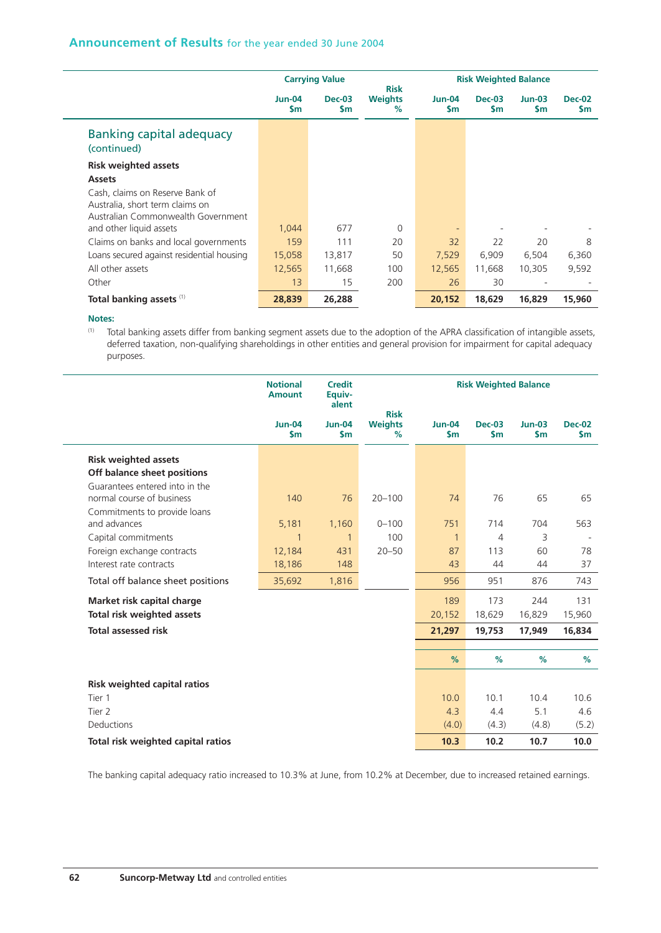|                                                                       |                            | <b>Carrying Value</b>      | <b>Risk</b>            | <b>Risk Weighted Balance</b> |                       |                       |                            |
|-----------------------------------------------------------------------|----------------------------|----------------------------|------------------------|------------------------------|-----------------------|-----------------------|----------------------------|
|                                                                       | <b>Jun-04</b><br><b>Sm</b> | <b>Dec-03</b><br><b>Sm</b> | <b>Weights</b><br>$\%$ | <b>Jun-04</b><br><b>S</b> m  | $Dec-03$<br><b>Sm</b> | $Jun-03$<br><b>Sm</b> | <b>Dec-02</b><br><b>Sm</b> |
| Banking capital adequacy<br>(continued)                               |                            |                            |                        |                              |                       |                       |                            |
| <b>Risk weighted assets</b>                                           |                            |                            |                        |                              |                       |                       |                            |
| <b>Assets</b>                                                         |                            |                            |                        |                              |                       |                       |                            |
| Cash, claims on Reserve Bank of                                       |                            |                            |                        |                              |                       |                       |                            |
| Australia, short term claims on<br>Australian Commonwealth Government |                            |                            |                        |                              |                       |                       |                            |
| and other liquid assets                                               | 1.044                      | 677                        | $\Omega$               |                              |                       |                       |                            |
| Claims on banks and local governments                                 | 159                        | 111                        | 20                     | 32                           | 22                    | 20                    | 8                          |
| Loans secured against residential housing                             | 15,058                     | 13,817                     | 50                     | 7,529                        | 6,909                 | 6,504                 | 6,360                      |
| All other assets                                                      | 12,565                     | 11,668                     | 100                    | 12,565                       | 11,668                | 10,305                | 9,592                      |
| Other                                                                 | 13                         | 15                         | 200                    | 26                           | 30                    |                       |                            |
| Total banking assets (1)                                              | 28,839                     | 26,288                     |                        | 20,152                       | 18.629                | 16,829                | 15,960                     |

(1) Total banking assets differ from banking segment assets due to the adoption of the APRA classification of intangible assets, deferred taxation, non-qualifying shareholdings in other entities and general provision for impairment for capital adequacy purposes.

|                                     | <b>Notional</b><br><b>Credit</b><br>Equiv-<br><b>Amount</b><br>alent |                      |                                    | <b>Risk Weighted Balance</b> |                                |                           |                      |
|-------------------------------------|----------------------------------------------------------------------|----------------------|------------------------------------|------------------------------|--------------------------------|---------------------------|----------------------|
|                                     | <b>Jun-04</b><br>$\mathsf{sm}$                                       | <b>Jun-04</b><br>\$m | <b>Risk</b><br><b>Weights</b><br>% | <b>Jun-04</b><br>\$m         | <b>Dec-03</b><br>$\mathsf{sm}$ | $Jun-03$<br>$\mathsf{sm}$ | <b>Dec-02</b><br>\$m |
| <b>Risk weighted assets</b>         |                                                                      |                      |                                    |                              |                                |                           |                      |
| Off balance sheet positions         |                                                                      |                      |                                    |                              |                                |                           |                      |
| Guarantees entered into in the      |                                                                      |                      |                                    |                              |                                |                           |                      |
| normal course of business           | 140                                                                  | 76                   | $20 - 100$                         | 74                           | 76                             | 65                        | 65                   |
| Commitments to provide loans        |                                                                      |                      |                                    |                              |                                |                           |                      |
| and advances                        | 5,181                                                                | 1,160                | $0 - 100$                          | 751                          | 714                            | 704                       | 563                  |
| Capital commitments                 | 1                                                                    | $\mathbf{1}$         | 100                                | $\mathbf{1}$                 | 4                              | 3                         |                      |
| Foreign exchange contracts          | 12,184                                                               | 431                  | $20 - 50$                          | 87                           | 113                            | 60                        | 78                   |
| Interest rate contracts             | 18,186                                                               | 148                  |                                    | 43                           | 44                             | 44                        | 37                   |
| Total off balance sheet positions   | 35,692                                                               | 1,816                |                                    | 956                          | 951                            | 876                       | 743                  |
| Market risk capital charge          |                                                                      |                      |                                    | 189                          | 173                            | 244                       | 131                  |
| <b>Total risk weighted assets</b>   |                                                                      |                      |                                    | 20,152                       | 18,629                         | 16,829                    | 15,960               |
| <b>Total assessed risk</b>          |                                                                      |                      |                                    | 21,297                       | 19,753                         | 17,949                    | 16,834               |
|                                     |                                                                      |                      |                                    |                              |                                |                           |                      |
|                                     |                                                                      |                      |                                    | %                            | %                              | %                         | $\%$                 |
| <b>Risk weighted capital ratios</b> |                                                                      |                      |                                    |                              |                                |                           |                      |
| Tier 1                              |                                                                      |                      |                                    | 10.0                         | 10.1                           | 10.4                      | 10.6                 |
| Tier 2                              |                                                                      |                      |                                    | 4.3                          | 4.4                            | 5.1                       | 4.6                  |
| Deductions                          |                                                                      |                      |                                    | (4.0)                        | (4.3)                          | (4.8)                     | (5.2)                |
| Total risk weighted capital ratios  |                                                                      |                      |                                    | 10.3                         | 10.2                           | 10.7                      | 10.0                 |

The banking capital adequacy ratio increased to 10.3% at June, from 10.2% at December, due to increased retained earnings.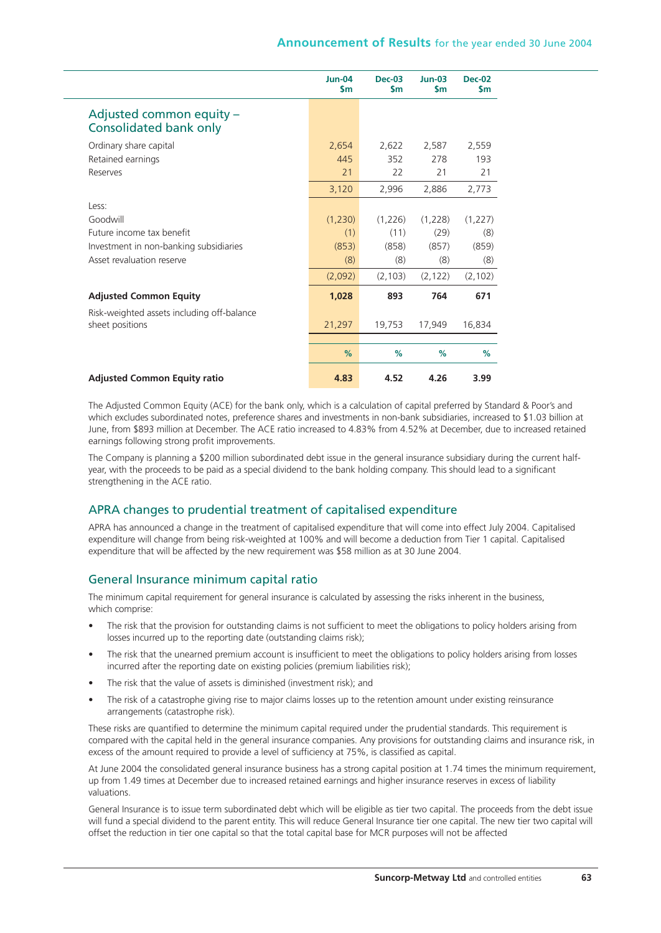|                                                           | <b>Jun-04</b><br>$\mathsf{sm}$ | $Dec-03$<br>\$m | $Jun-03$<br>\$m | <b>Dec-02</b><br>\$m |
|-----------------------------------------------------------|--------------------------------|-----------------|-----------------|----------------------|
| Adjusted common equity -<br><b>Consolidated bank only</b> |                                |                 |                 |                      |
| Ordinary share capital                                    | 2,654                          | 2,622           | 2,587           | 2,559                |
| Retained earnings                                         | 445                            | 352             | 278             | 193                  |
| Reserves                                                  | 21                             | 22              | 21              | 21                   |
|                                                           | 3,120                          | 2,996           | 2,886           | 2,773                |
| Less:                                                     |                                |                 |                 |                      |
| Goodwill                                                  | (1,230)                        | (1,226)         | (1,228)         | (1,227)              |
| Future income tax benefit                                 | (1)                            | (11)            | (29)            | (8)                  |
| Investment in non-banking subsidiaries                    | (853)                          | (858)           | (857)           | (859)                |
| Asset revaluation reserve                                 | (8)                            | (8)             | (8)             | (8)                  |
|                                                           | (2,092)                        | (2, 103)        | (2, 122)        | (2, 102)             |
| <b>Adjusted Common Equity</b>                             | 1,028                          | 893             | 764             | 671                  |
| Risk-weighted assets including off-balance                |                                |                 |                 |                      |
| sheet positions                                           | 21,297                         | 19,753          | 17,949          | 16.834               |
|                                                           |                                |                 |                 |                      |
|                                                           | %                              | %               | %               | %                    |
| <b>Adjusted Common Equity ratio</b>                       | 4.83                           | 4.52            | 4.26            | 3.99                 |

The Adjusted Common Equity (ACE) for the bank only, which is a calculation of capital preferred by Standard & Poor's and which excludes subordinated notes, preference shares and investments in non-bank subsidiaries, increased to \$1.03 billion at June, from \$893 million at December. The ACE ratio increased to 4.83% from 4.52% at December, due to increased retained earnings following strong profit improvements.

The Company is planning a \$200 million subordinated debt issue in the general insurance subsidiary during the current halfyear, with the proceeds to be paid as a special dividend to the bank holding company. This should lead to a significant strengthening in the ACE ratio.

## APRA changes to prudential treatment of capitalised expenditure

APRA has announced a change in the treatment of capitalised expenditure that will come into effect July 2004. Capitalised expenditure will change from being risk-weighted at 100% and will become a deduction from Tier 1 capital. Capitalised expenditure that will be affected by the new requirement was \$58 million as at 30 June 2004.

## General Insurance minimum capital ratio

The minimum capital requirement for general insurance is calculated by assessing the risks inherent in the business, which comprise:

- The risk that the provision for outstanding claims is not sufficient to meet the obligations to policy holders arising from losses incurred up to the reporting date (outstanding claims risk);
- The risk that the unearned premium account is insufficient to meet the obligations to policy holders arising from losses incurred after the reporting date on existing policies (premium liabilities risk);
- The risk that the value of assets is diminished (investment risk); and
- The risk of a catastrophe giving rise to major claims losses up to the retention amount under existing reinsurance arrangements (catastrophe risk).

These risks are quantified to determine the minimum capital required under the prudential standards. This requirement is compared with the capital held in the general insurance companies. Any provisions for outstanding claims and insurance risk, in excess of the amount required to provide a level of sufficiency at 75%, is classified as capital.

At June 2004 the consolidated general insurance business has a strong capital position at 1.74 times the minimum requirement, up from 1.49 times at December due to increased retained earnings and higher insurance reserves in excess of liability valuations.

General Insurance is to issue term subordinated debt which will be eligible as tier two capital. The proceeds from the debt issue will fund a special dividend to the parent entity. This will reduce General Insurance tier one capital. The new tier two capital will offset the reduction in tier one capital so that the total capital base for MCR purposes will not be affected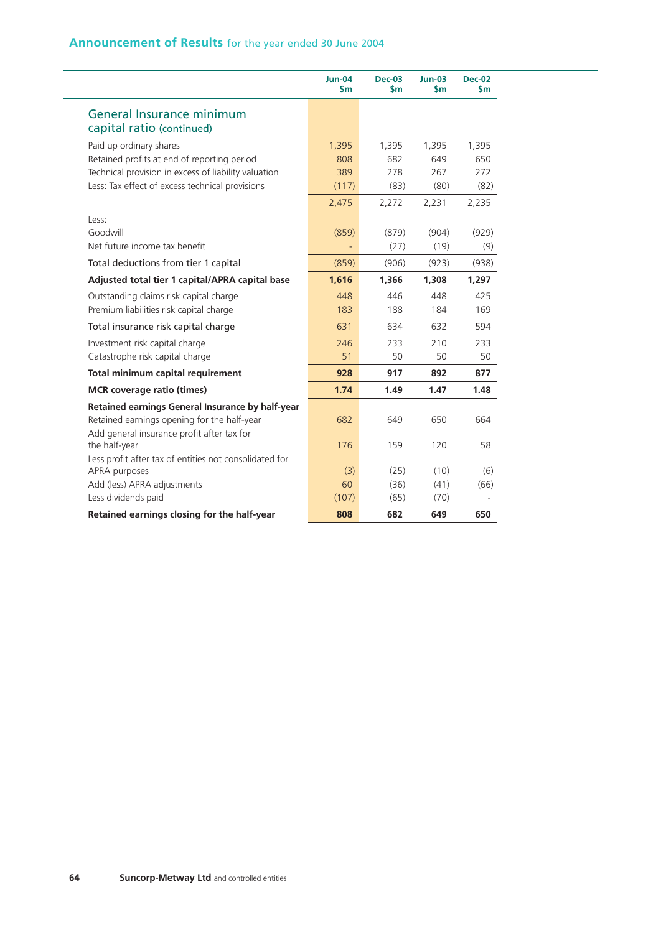|                                                        | <b>Jun-04</b><br>$\mathsf{sm}$ | <b>Dec-03</b><br>$\mathsf{sm}$ | $Jun-03$<br>$\mathsf{sm}$ | <b>Dec-02</b><br>\$m |
|--------------------------------------------------------|--------------------------------|--------------------------------|---------------------------|----------------------|
| General Insurance minimum                              |                                |                                |                           |                      |
| capital ratio (continued)                              |                                |                                |                           |                      |
| Paid up ordinary shares                                | 1,395                          | 1,395                          | 1,395                     | 1,395                |
| Retained profits at end of reporting period            | 808                            | 682                            | 649                       | 650                  |
| Technical provision in excess of liability valuation   | 389                            | 278                            | 267                       | 272                  |
| Less: Tax effect of excess technical provisions        | (117)                          | (83)                           | (80)                      | (82)                 |
|                                                        | 2,475                          | 2,272                          | 2,231                     | 2,235                |
| Less:                                                  |                                |                                |                           |                      |
| Goodwill                                               | (859)                          | (879)                          | (904)                     | (929)                |
| Net future income tax benefit                          |                                | (27)                           | (19)                      | (9)                  |
| Total deductions from tier 1 capital                   | (859)                          | (906)                          | (923)                     | (938)                |
| Adjusted total tier 1 capital/APRA capital base        | 1,616                          | 1,366                          | 1,308                     | 1,297                |
| Outstanding claims risk capital charge                 | 448                            | 446                            | 448                       | 425                  |
| Premium liabilities risk capital charge                | 183                            | 188                            | 184                       | 169                  |
| Total insurance risk capital charge                    | 631                            | 634                            | 632                       | 594                  |
| Investment risk capital charge                         | 246                            | 233                            | 210                       | 233                  |
| Catastrophe risk capital charge                        | 51                             | 50                             | 50                        | 50                   |
| Total minimum capital requirement                      | 928                            | 917                            | 892                       | 877                  |
| <b>MCR</b> coverage ratio (times)                      | 1.74                           | 1.49                           | 1.47                      | 1.48                 |
| Retained earnings General Insurance by half-year       |                                |                                |                           |                      |
| Retained earnings opening for the half-year            | 682                            | 649                            | 650                       | 664                  |
| Add general insurance profit after tax for             |                                |                                |                           |                      |
| the half-year                                          | 176                            | 159                            | 120                       | 58                   |
| Less profit after tax of entities not consolidated for |                                |                                |                           |                      |
| APRA purposes<br>Add (less) APRA adjustments           | (3)<br>60                      | (25)<br>(36)                   | (10)<br>(41)              | (6)<br>(66)          |
| Less dividends paid                                    | (107)                          | (65)                           | (70)                      |                      |
| Retained earnings closing for the half-year            | 808                            | 682                            | 649                       | 650                  |
|                                                        |                                |                                |                           |                      |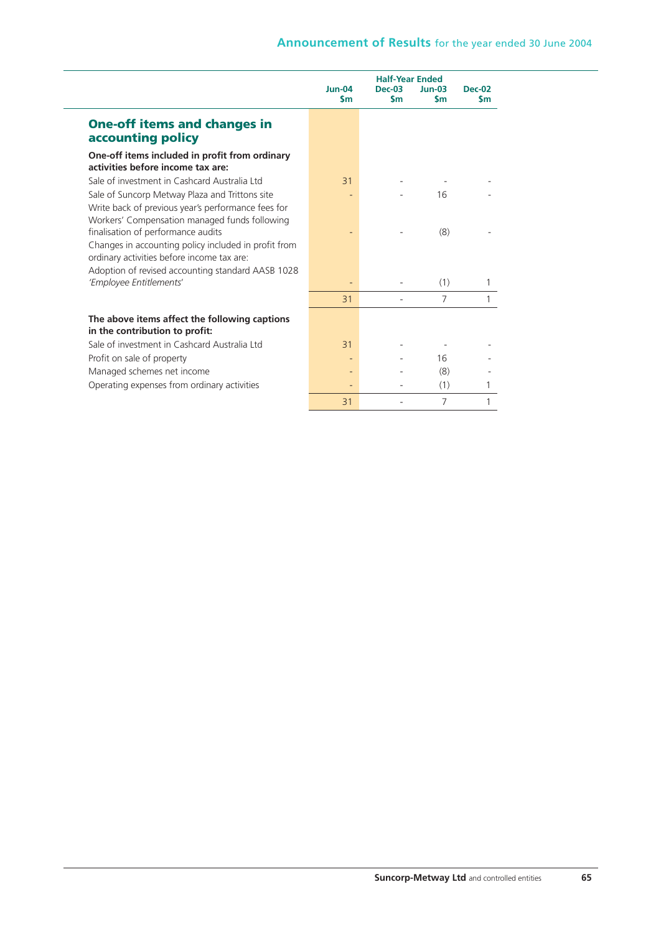|                                                                                                                                                                                               | $Jun-04$  | <b>Dec-02</b> |                |           |
|-----------------------------------------------------------------------------------------------------------------------------------------------------------------------------------------------|-----------|---------------|----------------|-----------|
|                                                                                                                                                                                               | <b>Sm</b> | \$m           | <b>Sm</b>      | <b>Sm</b> |
| <b>One-off items and changes in</b><br>accounting policy                                                                                                                                      |           |               |                |           |
| One-off items included in profit from ordinary<br>activities before income tax are:                                                                                                           |           |               |                |           |
| Sale of investment in Cashcard Australia Ltd                                                                                                                                                  | 31        |               |                |           |
| Sale of Suncorp Metway Plaza and Trittons site<br>Write back of previous year's performance fees for<br>Workers' Compensation managed funds following                                         |           |               | 16             |           |
| finalisation of performance audits<br>Changes in accounting policy included in profit from<br>ordinary activities before income tax are:<br>Adoption of revised accounting standard AASB 1028 |           |               | (8)            |           |
| 'Employee Entitlements'                                                                                                                                                                       |           |               | (1)            |           |
|                                                                                                                                                                                               | 31        |               | $\overline{7}$ |           |
| The above items affect the following captions<br>in the contribution to profit:                                                                                                               |           |               |                |           |
| Sale of investment in Cashcard Australia Ltd                                                                                                                                                  | 31        |               |                |           |
| Profit on sale of property                                                                                                                                                                    |           |               | 16             |           |
| Managed schemes net income                                                                                                                                                                    |           |               | (8)            |           |
| Operating expenses from ordinary activities                                                                                                                                                   |           |               | (1)            |           |
|                                                                                                                                                                                               | 31        |               | 7              |           |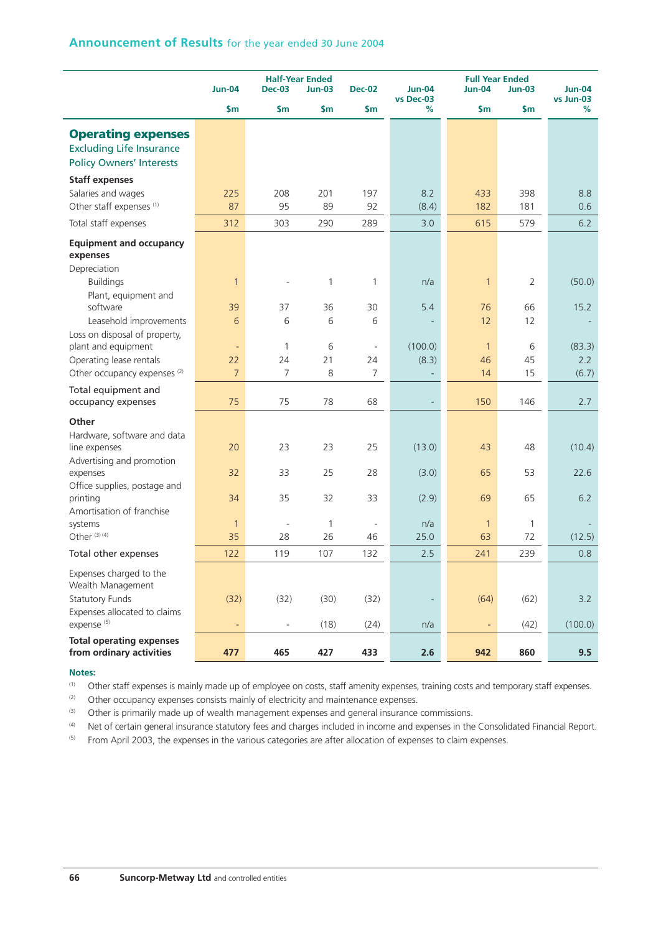|                                                                                                 | <b>Jun-04</b>   | <b>Dec-03</b>            | <b>Half-Year Ended</b><br><b>Jun-03</b> | <b>Dec-02</b> | <b>Jun-04</b>            | <b>Full Year Ended</b><br><b>Jun-04</b> | $Jun-03$       | <b>Jun-04</b>  |
|-------------------------------------------------------------------------------------------------|-----------------|--------------------------|-----------------------------------------|---------------|--------------------------|-----------------------------------------|----------------|----------------|
|                                                                                                 | $\mathsf{sm}$   | $\mathsf{Sm}$            | $\mathsf{Sm}$                           | $\mathsf{Sm}$ | vs Dec-03<br>%           | \$m                                     | \$m            | vs Jun-03<br>% |
| <b>Operating expenses</b><br><b>Excluding Life Insurance</b><br><b>Policy Owners' Interests</b> |                 |                          |                                         |               |                          |                                         |                |                |
| <b>Staff expenses</b>                                                                           |                 |                          |                                         |               |                          |                                         |                |                |
| Salaries and wages<br>Other staff expenses <sup>(1)</sup>                                       | 225<br>87       | 208<br>95                | 201<br>89                               | 197           | 8.2                      | 433<br>182                              | 398<br>181     | 8.8<br>0.6     |
| Total staff expenses                                                                            | 312             | 303                      | 290                                     | 92<br>289     | (8.4)<br>3.0             | 615                                     | 579            | 6.2            |
| <b>Equipment and occupancy</b><br>expenses                                                      |                 |                          |                                         |               |                          |                                         |                |                |
| Depreciation<br><b>Buildings</b>                                                                | $\mathbf{1}$    |                          | 1                                       | 1             | n/a                      | $\mathbf{1}$                            | $\overline{2}$ | (50.0)         |
| Plant, equipment and<br>software                                                                | 39              | 37                       | 36                                      | 30            | 5.4                      | 76                                      | 66             | 15.2           |
| Leasehold improvements                                                                          | 6               | 6                        | 6                                       | 6             |                          | 12                                      | 12             |                |
| Loss on disposal of property,<br>plant and equipment                                            | $\blacksquare$  | 1                        | 6                                       | ÷,            | (100.0)                  | $\mathbf{1}$                            | 6              | (83.3)         |
| Operating lease rentals                                                                         | 22              | 24                       | 21                                      | 24            | (8.3)                    | 46                                      | 45             | 2.2            |
| Other occupancy expenses <sup>(2)</sup>                                                         | $7\overline{ }$ | 7                        | 8                                       | 7             |                          | 14                                      | 15             | (6.7)          |
| Total equipment and<br>occupancy expenses                                                       | 75              | 75                       | 78                                      | 68            |                          | 150                                     | 146            | 2.7            |
| Other                                                                                           |                 |                          |                                         |               |                          |                                         |                |                |
| Hardware, software and data<br>line expenses                                                    | 20              | 23                       | 23                                      | 25            | (13.0)                   | 43                                      | 48             | (10.4)         |
| Advertising and promotion<br>expenses<br>Office supplies, postage and                           | 32              | 33                       | 25                                      | 28            | (3.0)                    | 65                                      | 53             | 22.6           |
| printing<br>Amortisation of franchise                                                           | 34              | 35                       | 32                                      | 33            | (2.9)                    | 69                                      | 65             | 6.2            |
| systems                                                                                         | $\mathbf{1}$    | $\overline{\phantom{a}}$ | 1                                       | ÷,            | n/a                      | $\mathbf{1}$                            | $\mathbf{1}$   |                |
| Other <sup>(3)(4)</sup>                                                                         | 35              | 28                       | 26                                      | 46            | 25.0                     | 63                                      | 72             | (12.5)         |
| Total other expenses                                                                            | 122             | 119                      | 107                                     | 132           | 2.5                      | 241                                     | 239            | 0.8            |
| Expenses charged to the<br>Wealth Management                                                    |                 |                          |                                         |               |                          |                                         |                |                |
| <b>Statutory Funds</b>                                                                          | (32)            | (32)                     | (30)                                    | (32)          | $\overline{\phantom{m}}$ | (64)                                    | (62)           | 3.2            |
| Expenses allocated to claims<br>expense <sup>(5)</sup>                                          | $\blacksquare$  | $\blacksquare$           | (18)                                    | (24)          | n/a                      | -                                       | (42)           | (100.0)        |
| <b>Total operating expenses</b><br>from ordinary activities                                     | 477             | 465                      | 427                                     | 433           | 2.6                      | 942                                     | 860            | 9.5            |

(1) Other staff expenses is mainly made up of employee on costs, staff amenity expenses, training costs and temporary staff expenses.

 $(2)$  Other occupancy expenses consists mainly of electricity and maintenance expenses.

(3) Other is primarily made up of wealth management expenses and general insurance commissions.

(4) Net of certain general insurance statutory fees and charges included in income and expenses in the Consolidated Financial Report.

<sup>(5)</sup> From April 2003, the expenses in the various categories are after allocation of expenses to claim expenses.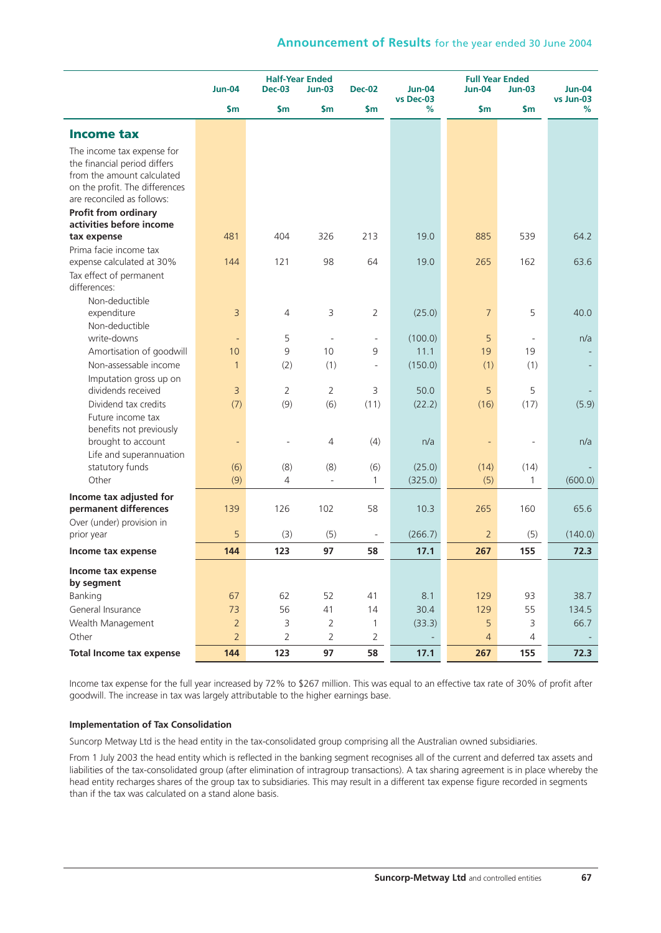|                                                            | <b>Jun-04</b>  | <b>Dec-03</b>  | <b>Half-Year Ended</b><br>$Jun-03$ | <b>Dec-02</b>            | <b>Jun-04</b>  | <b>Jun-04</b>  | <b>Full Year Ended</b><br>$Jun-03$<br>$Jun-04$ |                |
|------------------------------------------------------------|----------------|----------------|------------------------------------|--------------------------|----------------|----------------|------------------------------------------------|----------------|
|                                                            | $\mathsf{S}$ m | \$m            | \$m                                | \$m                      | vs Dec-03<br>% | \$m            | \$m                                            | vs Jun-03<br>% |
| <b>Income tax</b>                                          |                |                |                                    |                          |                |                |                                                |                |
| The income tax expense for<br>the financial period differs |                |                |                                    |                          |                |                |                                                |                |
| from the amount calculated                                 |                |                |                                    |                          |                |                |                                                |                |
| on the profit. The differences                             |                |                |                                    |                          |                |                |                                                |                |
| are reconciled as follows:                                 |                |                |                                    |                          |                |                |                                                |                |
| <b>Profit from ordinary</b>                                |                |                |                                    |                          |                |                |                                                |                |
| activities before income                                   |                |                |                                    |                          |                |                |                                                |                |
| tax expense                                                | 481            | 404            | 326                                | 213                      | 19.0           | 885            | 539                                            | 64.2           |
| Prima facie income tax                                     |                |                |                                    |                          |                |                |                                                |                |
| expense calculated at 30%                                  | 144            | 121            | 98                                 | 64                       | 19.0           | 265            | 162                                            | 63.6           |
| Tax effect of permanent                                    |                |                |                                    |                          |                |                |                                                |                |
| differences:                                               |                |                |                                    |                          |                |                |                                                |                |
| Non-deductible                                             |                |                |                                    |                          |                |                |                                                |                |
| expenditure                                                | 3              | 4              | 3                                  | $\overline{2}$           | (25.0)         | $\overline{7}$ | 5                                              | 40.0           |
| Non-deductible                                             |                |                |                                    |                          |                |                |                                                |                |
| write-downs                                                | $\blacksquare$ | 5              | $\sim$                             | $\sim$                   | (100.0)        | 5              |                                                | n/a            |
| Amortisation of goodwill                                   | 10             | 9              | 10                                 | 9                        | 11.1           | 19             | 19                                             |                |
| Non-assessable income                                      | $\mathbf{1}$   | (2)            | (1)                                | $\overline{\phantom{a}}$ | (150.0)        | (1)            | (1)                                            |                |
| Imputation gross up on                                     |                |                |                                    |                          |                |                |                                                |                |
| dividends received                                         | 3              | 2              | $\overline{2}$                     | 3                        | 50.0           | 5              | 5                                              |                |
| Dividend tax credits                                       | (7)            | (9)            | (6)                                | (11)                     | (22.2)         | (16)           | (17)                                           | (5.9)          |
| Future income tax                                          |                |                |                                    |                          |                |                |                                                |                |
| benefits not previously                                    |                |                |                                    |                          |                |                |                                                |                |
| brought to account                                         | $\blacksquare$ |                | 4                                  | (4)                      | n/a            |                |                                                | n/a            |
| Life and superannuation                                    |                |                |                                    |                          |                |                |                                                |                |
| statutory funds                                            | (6)            | (8)            | (8)                                | (6)                      | (25.0)         | (14)           | (14)                                           |                |
| Other                                                      | (9)            | 4              | $\Box$                             | 1                        | (325.0)        | (5)            | 1                                              | (600.0)        |
| Income tax adjusted for                                    |                |                |                                    |                          |                |                |                                                |                |
| permanent differences                                      | 139            | 126            | 102                                | 58                       | 10.3           | 265            | 160                                            | 65.6           |
| Over (under) provision in                                  |                |                |                                    |                          |                |                |                                                |                |
| prior year                                                 | 5              | (3)            | (5)                                | $\overline{\phantom{a}}$ | (266.7)        | $\overline{2}$ | (5)                                            | (140.0)        |
| Income tax expense                                         | 144            | 123            | 97                                 | 58                       | 17.1           | 267            | 155                                            | 72.3           |
| Income tax expense                                         |                |                |                                    |                          |                |                |                                                |                |
| by segment                                                 |                |                |                                    |                          |                |                |                                                |                |
| Banking                                                    | 67             | 62             | 52                                 | 41                       | 8.1            | 129            | 93                                             | 38.7           |
| General Insurance                                          | 73             | 56             | 41                                 | 14                       | 30.4           | 129            | 55                                             | 134.5          |
| Wealth Management                                          | $\overline{2}$ | 3              | $\overline{2}$                     | $\mathbf{1}$             | (33.3)         | 5              | 3                                              | 66.7           |
| Other                                                      | $\overline{2}$ | $\overline{2}$ | $\overline{2}$                     | $\overline{2}$           |                | $\overline{4}$ | $\overline{4}$                                 |                |
| <b>Total Income tax expense</b>                            | 144            | 123            | 97                                 | 58                       | 17.1           | 267            | 155                                            | 72.3           |

Income tax expense for the full year increased by 72% to \$267 million. This was equal to an effective tax rate of 30% of profit after goodwill. The increase in tax was largely attributable to the higher earnings base.

### **Implementation of Tax Consolidation**

Suncorp Metway Ltd is the head entity in the tax-consolidated group comprising all the Australian owned subsidiaries.

From 1 July 2003 the head entity which is reflected in the banking segment recognises all of the current and deferred tax assets and liabilities of the tax-consolidated group (after elimination of intragroup transactions). A tax sharing agreement is in place whereby the head entity recharges shares of the group tax to subsidiaries. This may result in a different tax expense figure recorded in segments than if the tax was calculated on a stand alone basis.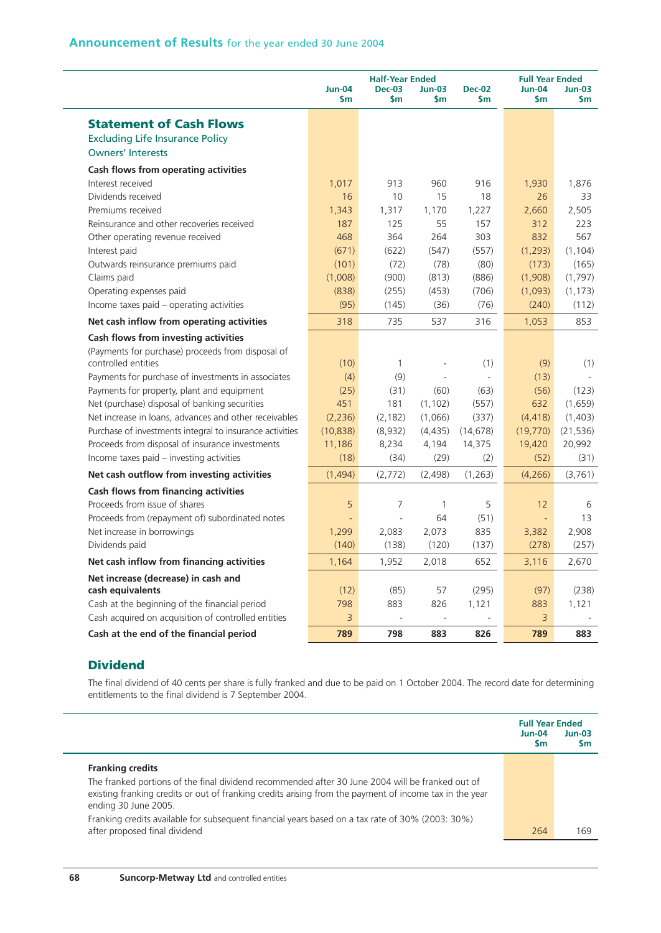|                                                                                                      | <b>Jun-04</b><br>$\mathsf{sm}$ | <b>Half-Year Ended</b><br><b>Dec-03</b><br>\$m | <b>Jun-03</b><br>\$m     | <b>Dec-02</b><br>\$m | <b>Full Year Ended</b><br><b>Jun-04</b><br>$\mathsf{sm}$ | $Jun-03$<br>\$m |
|------------------------------------------------------------------------------------------------------|--------------------------------|------------------------------------------------|--------------------------|----------------------|----------------------------------------------------------|-----------------|
| <b>Statement of Cash Flows</b>                                                                       |                                |                                                |                          |                      |                                                          |                 |
| <b>Excluding Life Insurance Policy</b>                                                               |                                |                                                |                          |                      |                                                          |                 |
| <b>Owners' Interests</b>                                                                             |                                |                                                |                          |                      |                                                          |                 |
| Cash flows from operating activities                                                                 |                                |                                                |                          |                      |                                                          |                 |
| Interest received                                                                                    | 1,017                          | 913                                            | 960                      | 916                  | 1,930                                                    | 1,876           |
| Dividends received                                                                                   | 16                             | 10                                             | 15                       | 18                   | 26                                                       | 33              |
| Premiums received                                                                                    | 1,343                          | 1,317                                          | 1,170                    | 1,227                | 2,660                                                    | 2,505           |
| Reinsurance and other recoveries received                                                            | 187                            | 125                                            | 55                       | 157                  | 312                                                      | 223             |
| Other operating revenue received                                                                     | 468                            | 364                                            | 264                      | 303                  | 832                                                      | 567             |
| Interest paid                                                                                        | (671)                          | (622)                                          | (547)                    | (557)                | (1, 293)                                                 | (1, 104)        |
| Outwards reinsurance premiums paid                                                                   | (101)                          | (72)                                           | (78)                     | (80)                 | (173)                                                    | (165)           |
| Claims paid                                                                                          | (1,008)                        | (900)                                          | (813)                    | (886)                | (1,908)                                                  | (1,797)         |
| Operating expenses paid                                                                              | (838)                          | (255)                                          | (453)                    | (706)                | (1,093)                                                  | (1, 173)        |
| Income taxes paid - operating activities                                                             | (95)                           | (145)                                          | (36)                     | (76)                 | (240)                                                    | (112)           |
| Net cash inflow from operating activities                                                            | 318                            | 735                                            | 537                      | 316                  | 1,053                                                    | 853             |
| Cash flows from investing activities                                                                 |                                |                                                |                          |                      |                                                          |                 |
| (Payments for purchase) proceeds from disposal of<br>controlled entities                             | (10)                           | $\mathbf{1}$                                   |                          | (1)                  | (9)                                                      | (1)             |
| Payments for purchase of investments in associates                                                   | (4)                            | (9)                                            | $\overline{a}$           | $\overline{a}$       | (13)                                                     |                 |
| Payments for property, plant and equipment                                                           | (25)                           | (31)                                           | (60)                     | (63)                 | (56)                                                     | (123)           |
| Net (purchase) disposal of banking securities                                                        | 451                            | 181                                            | (1, 102)                 | (557)                | 632                                                      | (1,659)         |
| Net increase in loans, advances and other receivables                                                | (2,236)                        | (2, 182)                                       | (1,066)                  | (337)                | (4, 418)                                                 | (1,403)         |
| Purchase of investments integral to insurance activities                                             | (10, 838)                      | (8,932)                                        | (4, 435)                 | (14, 678)            | (19, 770)                                                | (21, 536)       |
| Proceeds from disposal of insurance investments                                                      | 11,186                         | 8,234                                          | 4,194                    | 14,375               | 19,420                                                   | 20,992          |
| Income taxes paid - investing activities                                                             | (18)                           | (34)                                           | (29)                     | (2)                  | (52)                                                     | (31)            |
| Net cash outflow from investing activities                                                           | (1, 494)                       | (2,772)                                        | (2,498)                  | (1, 263)             | (4,266)                                                  | (3,761)         |
| Cash flows from financing activities                                                                 |                                |                                                |                          |                      |                                                          |                 |
| Proceeds from issue of shares                                                                        | 5                              | $\overline{7}$                                 | $\mathbf{1}$             | 5                    | 12                                                       | 6               |
| Proceeds from (repayment of) subordinated notes                                                      |                                | ÷,                                             | 64                       | (51)                 | $\Box$                                                   | 13              |
| Net increase in borrowings                                                                           | 1,299                          | 2,083                                          | 2,073                    | 835                  | 3,382                                                    | 2,908           |
| Dividends paid                                                                                       | (140)                          | (138)                                          | (120)                    | (137)                | (278)                                                    | (257)           |
| Net cash inflow from financing activities                                                            | 1,164                          | 1,952                                          | 2,018                    | 652                  | 3,116                                                    | 2,670           |
| Net increase (decrease) in cash and                                                                  |                                |                                                |                          |                      |                                                          |                 |
| cash equivalents                                                                                     | (12)<br>798                    | (85)<br>883                                    | 57<br>826                | (295)<br>1,121       | (97)                                                     | (238)<br>1,121  |
| Cash at the beginning of the financial period<br>Cash acquired on acquisition of controlled entities | 3                              | $\overline{\phantom{a}}$                       | $\overline{\phantom{a}}$ |                      | 883<br>$\overline{3}$                                    |                 |
|                                                                                                      |                                |                                                |                          |                      |                                                          |                 |
| Cash at the end of the financial period                                                              | 789                            | 798                                            | 883                      | 826                  | 789                                                      | 883             |

# **Dividend**

The final dividend of 40 cents per share is fully franked and due to be paid on 1 October 2004. The record date for determining entitlements to the final dividend is 7 September 2004.

|                                                                                                                                                                                                                                     | <b>Full Year Ended</b><br>$Jun-04$<br><b>Sm</b> | $Jun-03$<br>Sm |
|-------------------------------------------------------------------------------------------------------------------------------------------------------------------------------------------------------------------------------------|-------------------------------------------------|----------------|
| <b>Franking credits</b>                                                                                                                                                                                                             |                                                 |                |
| The franked portions of the final dividend recommended after 30 June 2004 will be franked out of<br>existing franking credits or out of franking credits arising from the payment of income tax in the year<br>ending 30 June 2005. |                                                 |                |
| Franking credits available for subsequent financial years based on a tax rate of 30% (2003: 30%)<br>after proposed final dividend                                                                                                   | 264                                             | 169            |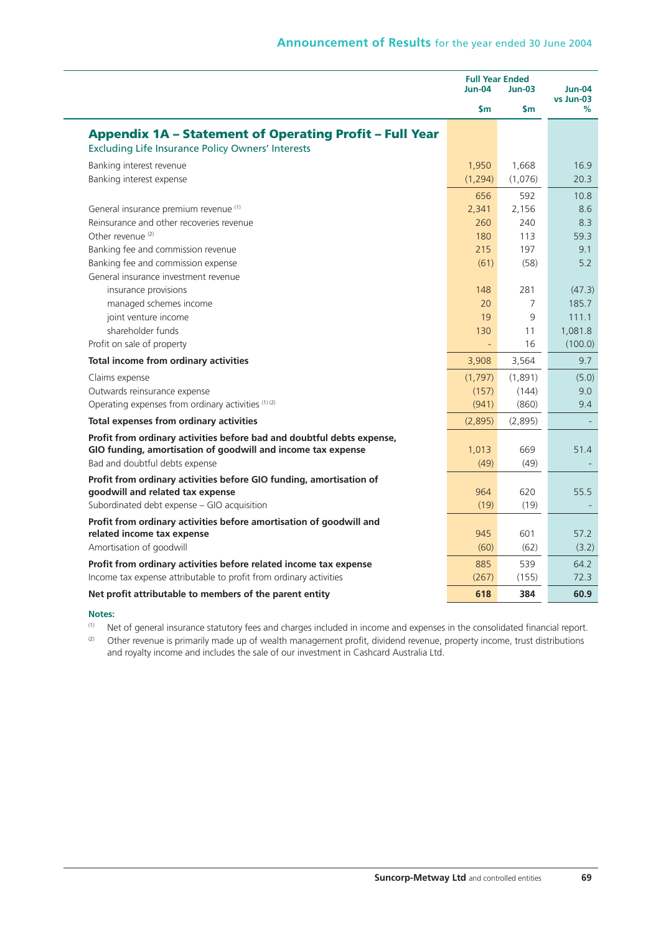|                                                                                                   | <b>Full Year Ended</b><br>$Jun-04$ | <b>Jun-04</b><br>vs Jun-03 |                 |
|---------------------------------------------------------------------------------------------------|------------------------------------|----------------------------|-----------------|
|                                                                                                   | \$m                                | \$m                        | ℅               |
| <b>Appendix 1A - Statement of Operating Profit - Full Year</b>                                    |                                    |                            |                 |
| <b>Excluding Life Insurance Policy Owners' Interests</b>                                          |                                    |                            |                 |
| Banking interest revenue                                                                          | 1,950                              | 1,668                      | 16.9            |
| Banking interest expense                                                                          | (1, 294)                           | (1,076)                    | 20.3            |
|                                                                                                   | 656                                | 592                        | 10.8            |
| General insurance premium revenue (1)                                                             | 2,341                              | 2,156                      | 8.6             |
| Reinsurance and other recoveries revenue                                                          | 260                                | 240                        | 8.3             |
| Other revenue <sup>(2)</sup>                                                                      | 180                                | 113                        | 59.3            |
| Banking fee and commission revenue                                                                | 215                                | 197                        | 9.1             |
| Banking fee and commission expense                                                                | (61)                               | (58)                       | 5.2             |
| General insurance investment revenue                                                              |                                    |                            |                 |
| insurance provisions                                                                              | 148<br>20                          | 281<br>7                   | (47.3)<br>185.7 |
| managed schemes income<br>joint venture income                                                    | 19                                 | 9                          | 111.1           |
| shareholder funds                                                                                 | 130                                | 11                         | 1,081.8         |
| Profit on sale of property                                                                        | ÷,                                 | 16                         | (100.0)         |
| Total income from ordinary activities                                                             | 3,908                              | 3,564                      | 9.7             |
| Claims expense                                                                                    | (1,797)                            | (1,891)                    | (5.0)           |
| Outwards reinsurance expense                                                                      | (157)                              | (144)                      | 9.0             |
| Operating expenses from ordinary activities (1) (2)                                               | (941)                              | (860)                      | 9.4             |
| Total expenses from ordinary activities                                                           | (2,895)                            | (2,895)                    |                 |
| Profit from ordinary activities before bad and doubtful debts expense,                            |                                    |                            |                 |
| GIO funding, amortisation of goodwill and income tax expense                                      | 1,013                              | 669                        | 51.4            |
| Bad and doubtful debts expense                                                                    | (49)                               | (49)                       |                 |
| Profit from ordinary activities before GIO funding, amortisation of                               |                                    |                            |                 |
| goodwill and related tax expense<br>Subordinated debt expense - GIO acquisition                   | 964                                | 620                        | 55.5            |
|                                                                                                   | (19)                               | (19)                       |                 |
| Profit from ordinary activities before amortisation of goodwill and<br>related income tax expense | 945                                | 601                        | 57.2            |
| Amortisation of goodwill                                                                          | (60)                               | (62)                       | (3.2)           |
| Profit from ordinary activities before related income tax expense                                 | 885                                | 539                        | 64.2            |
| Income tax expense attributable to profit from ordinary activities                                | (267)                              | (155)                      | 72.3            |
| Net profit attributable to members of the parent entity                                           | 618                                | 384                        | 60.9            |

(1) Net of general insurance statutory fees and charges included in income and expenses in the consolidated financial report.

(2) Other revenue is primarily made up of wealth management profit, dividend revenue, property income, trust distributions and royalty income and includes the sale of our investment in Cashcard Australia Ltd.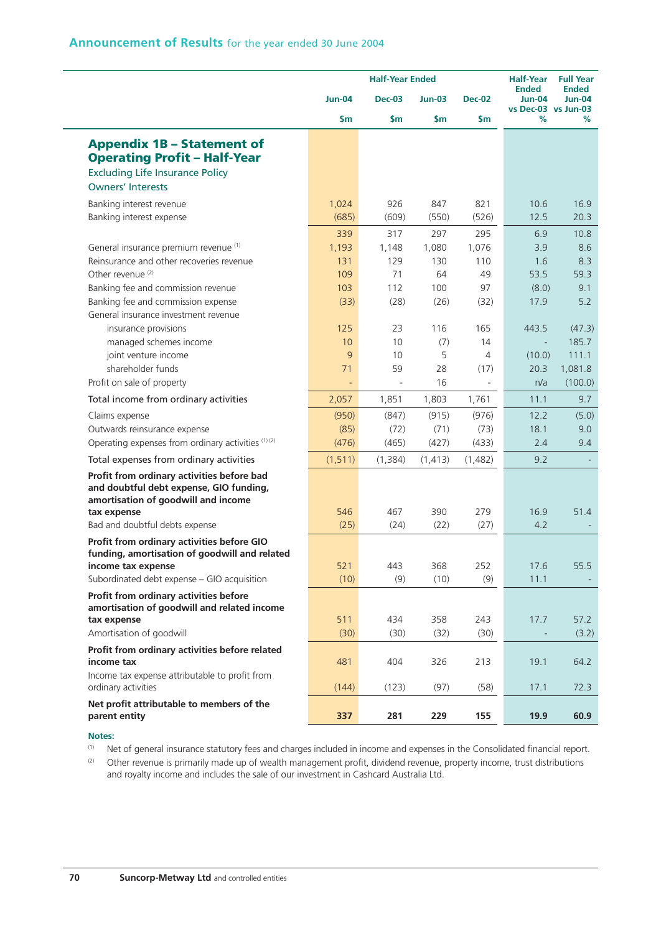|                                                                                                                                                                                                                                       | <b>Half-Year Ended</b>                    |                                          |                                          | <b>Half-Year</b>                        | <b>Full Year</b>                                           |                                                |
|---------------------------------------------------------------------------------------------------------------------------------------------------------------------------------------------------------------------------------------|-------------------------------------------|------------------------------------------|------------------------------------------|-----------------------------------------|------------------------------------------------------------|------------------------------------------------|
|                                                                                                                                                                                                                                       | <b>Jun-04</b>                             | <b>Dec-03</b>                            | <b>Jun-03</b>                            | <b>Dec-02</b>                           | <b>Ended</b><br>Jun-04<br>vs Dec-03 vs Jun-03              | <b>Ended</b><br><b>Jun-04</b>                  |
|                                                                                                                                                                                                                                       | \$m                                       | \$m                                      | \$m                                      | \$m                                     | %                                                          | %                                              |
| <b>Appendix 1B - Statement of</b><br><b>Operating Profit - Half-Year</b><br><b>Excluding Life Insurance Policy</b><br><b>Owners' Interests</b>                                                                                        |                                           |                                          |                                          |                                         |                                                            |                                                |
| Banking interest revenue<br>Banking interest expense                                                                                                                                                                                  | 1,024<br>(685)                            | 926<br>(609)                             | 847<br>(550)                             | 821<br>(526)                            | 10.6<br>12.5                                               | 16.9<br>20.3                                   |
| General insurance premium revenue (1)<br>Reinsurance and other recoveries revenue<br>Other revenue <sup>(2)</sup><br>Banking fee and commission revenue<br>Banking fee and commission expense<br>General insurance investment revenue | 339<br>1,193<br>131<br>109<br>103<br>(33) | 317<br>1,148<br>129<br>71<br>112<br>(28) | 297<br>1,080<br>130<br>64<br>100<br>(26) | 295<br>1,076<br>110<br>49<br>97<br>(32) | 6.9<br>3.9<br>1.6<br>53.5<br>(8.0)<br>17.9                 | 10.8<br>8.6<br>8.3<br>59.3<br>9.1<br>5.2       |
| insurance provisions<br>managed schemes income<br>joint venture income<br>shareholder funds<br>Profit on sale of property                                                                                                             | 125<br>10<br>9<br>71                      | 23<br>10<br>10<br>59<br>$\sim$           | 116<br>(7)<br>5<br>28<br>16              | 165<br>14<br>4<br>(17)                  | 443.5<br>$\overline{\phantom{a}}$<br>(10.0)<br>20.3<br>n/a | (47.3)<br>185.7<br>111.1<br>1,081.8<br>(100.0) |
| Total income from ordinary activities                                                                                                                                                                                                 | 2,057                                     | 1,851                                    | 1,803                                    | 1,761                                   | 11.1                                                       | 9.7                                            |
| Claims expense<br>Outwards reinsurance expense<br>Operating expenses from ordinary activities (1) (2)                                                                                                                                 | (950)<br>(85)<br>(476)                    | (847)<br>(72)<br>(465)                   | (915)<br>(71)<br>(427)                   | (976)<br>(73)<br>(433)                  | 12.2<br>18.1<br>2.4                                        | (5.0)<br>9.0<br>9.4                            |
| Total expenses from ordinary activities                                                                                                                                                                                               | (1, 511)                                  | (1, 384)                                 | (1, 413)                                 | (1,482)                                 | 9.2                                                        |                                                |
| Profit from ordinary activities before bad<br>and doubtful debt expense, GIO funding,<br>amortisation of goodwill and income<br>tax expense<br>Bad and doubtful debts expense                                                         | 546<br>(25)                               | 467<br>(24)                              | 390<br>(22)                              | 279<br>(27)                             | 16.9<br>4.2                                                | 51.4                                           |
| Profit from ordinary activities before GIO<br>funding, amortisation of goodwill and related<br>income tax expense<br>Subordinated debt expense - GIO acquisition                                                                      | 521<br>(10)                               | 443<br>(9)                               | 368<br>(10)                              | 252<br>(9)                              | 17.6<br>11.1                                               | 55.5                                           |
| Profit from ordinary activities before<br>amortisation of goodwill and related income<br>tax expense<br>Amortisation of goodwill                                                                                                      | 511<br>(30)                               | 434<br>(30)                              | 358<br>(32)                              | 243<br>(30)                             | 17.7                                                       | 57.2<br>(3.2)                                  |
| Profit from ordinary activities before related<br>income tax<br>Income tax expense attributable to profit from                                                                                                                        | 481                                       | 404                                      | 326                                      | 213                                     | 19.1                                                       | 64.2                                           |
| ordinary activities<br>Net profit attributable to members of the                                                                                                                                                                      | (144)                                     | (123)                                    | (97)                                     | (58)                                    | 17.1                                                       | 72.3                                           |
| parent entity                                                                                                                                                                                                                         | 337                                       | 281                                      | 229                                      | 155                                     | 19.9                                                       | 60.9                                           |

(1) Net of general insurance statutory fees and charges included in income and expenses in the Consolidated financial report.

(2) Other revenue is primarily made up of wealth management profit, dividend revenue, property income, trust distributions and royalty income and includes the sale of our investment in Cashcard Australia Ltd.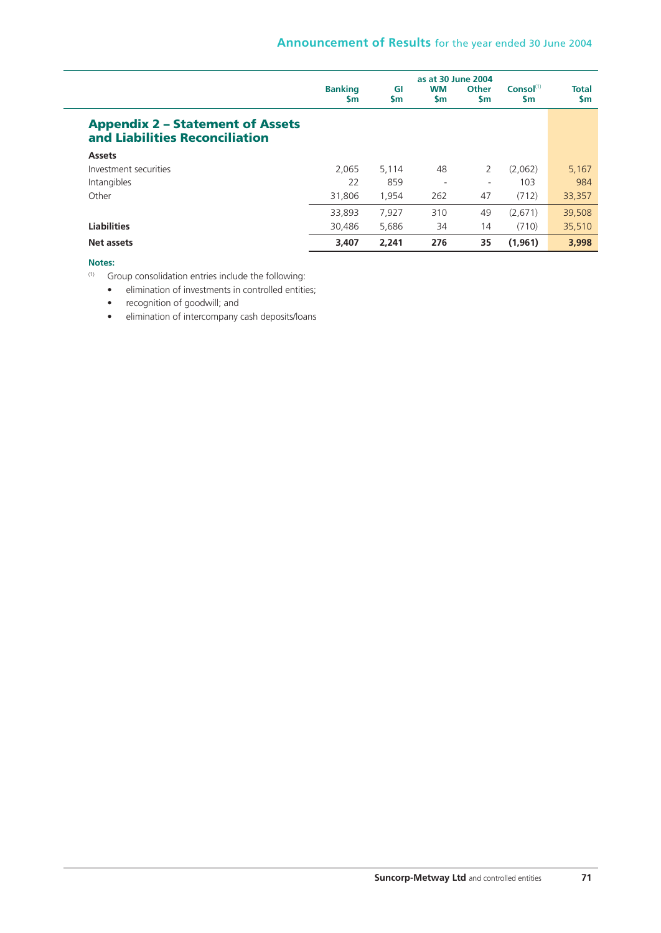|                                                                           | <b>Banking</b><br><b>Sm</b> | GI<br><b>Sm</b> | as at 30 June 2004<br><b>WM</b><br><b>Sm</b> | Other<br>\$m | Consol <sup>(1)</sup><br>$\mathsf{sm}$ | <b>Total</b><br>\$m |
|---------------------------------------------------------------------------|-----------------------------|-----------------|----------------------------------------------|--------------|----------------------------------------|---------------------|
| <b>Appendix 2 - Statement of Assets</b><br>and Liabilities Reconciliation |                             |                 |                                              |              |                                        |                     |
| <b>Assets</b>                                                             |                             |                 |                                              |              |                                        |                     |
| Investment securities                                                     | 2.065                       | 5.114           | 48                                           | 2            | (2,062)                                | 5,167               |
| Intangibles                                                               | 22                          | 859             | $\overline{\phantom{a}}$                     | ۰            | 103                                    | 984                 |
| Other                                                                     | 31,806                      | 1,954           | 262                                          | 47           | (712)                                  | 33,357              |
|                                                                           | 33,893                      | 7,927           | 310                                          | 49           | (2,671)                                | 39,508              |
| <b>Liabilities</b>                                                        | 30.486                      | 5.686           | 34                                           | 14           | (710)                                  | 35,510              |
| Net assets                                                                | 3,407                       | 2.241           | 276                                          | 35           | (1,961)                                | 3,998               |

(1) Group consolidation entries include the following:

• elimination of investments in controlled entities;

• recognition of goodwill; and

• elimination of intercompany cash deposits/loans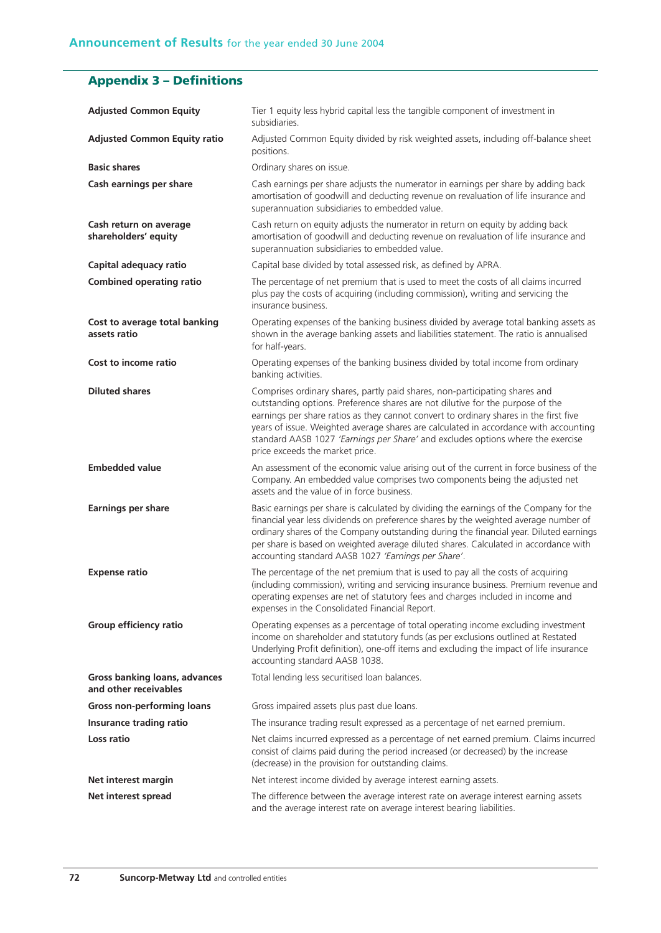# **Appendix 3 – Definitions**

| <b>Adjusted Common Equity</b>                          | Tier 1 equity less hybrid capital less the tangible component of investment in<br>subsidiaries.                                                                                                                                                                                                                                                                                                                                                                      |
|--------------------------------------------------------|----------------------------------------------------------------------------------------------------------------------------------------------------------------------------------------------------------------------------------------------------------------------------------------------------------------------------------------------------------------------------------------------------------------------------------------------------------------------|
| <b>Adjusted Common Equity ratio</b>                    | Adjusted Common Equity divided by risk weighted assets, including off-balance sheet<br>positions.                                                                                                                                                                                                                                                                                                                                                                    |
| <b>Basic shares</b>                                    | Ordinary shares on issue.                                                                                                                                                                                                                                                                                                                                                                                                                                            |
| Cash earnings per share                                | Cash earnings per share adjusts the numerator in earnings per share by adding back<br>amortisation of goodwill and deducting revenue on revaluation of life insurance and<br>superannuation subsidiaries to embedded value.                                                                                                                                                                                                                                          |
| Cash return on average<br>shareholders' equity         | Cash return on equity adjusts the numerator in return on equity by adding back<br>amortisation of goodwill and deducting revenue on revaluation of life insurance and<br>superannuation subsidiaries to embedded value.                                                                                                                                                                                                                                              |
| Capital adequacy ratio                                 | Capital base divided by total assessed risk, as defined by APRA.                                                                                                                                                                                                                                                                                                                                                                                                     |
| <b>Combined operating ratio</b>                        | The percentage of net premium that is used to meet the costs of all claims incurred<br>plus pay the costs of acquiring (including commission), writing and servicing the<br>insurance business.                                                                                                                                                                                                                                                                      |
| Cost to average total banking<br>assets ratio          | Operating expenses of the banking business divided by average total banking assets as<br>shown in the average banking assets and liabilities statement. The ratio is annualised<br>for half-years.                                                                                                                                                                                                                                                                   |
| Cost to income ratio                                   | Operating expenses of the banking business divided by total income from ordinary<br>banking activities.                                                                                                                                                                                                                                                                                                                                                              |
| <b>Diluted shares</b>                                  | Comprises ordinary shares, partly paid shares, non-participating shares and<br>outstanding options. Preference shares are not dilutive for the purpose of the<br>earnings per share ratios as they cannot convert to ordinary shares in the first five<br>years of issue. Weighted average shares are calculated in accordance with accounting<br>standard AASB 1027 'Earnings per Share' and excludes options where the exercise<br>price exceeds the market price. |
| <b>Embedded value</b>                                  | An assessment of the economic value arising out of the current in force business of the<br>Company. An embedded value comprises two components being the adjusted net<br>assets and the value of in force business.                                                                                                                                                                                                                                                  |
| <b>Earnings per share</b>                              | Basic earnings per share is calculated by dividing the earnings of the Company for the<br>financial year less dividends on preference shares by the weighted average number of<br>ordinary shares of the Company outstanding during the financial year. Diluted earnings<br>per share is based on weighted average diluted shares. Calculated in accordance with<br>accounting standard AASB 1027 'Earnings per Share'.                                              |
| <b>Expense ratio</b>                                   | The percentage of the net premium that is used to pay all the costs of acquiring<br>(including commission), writing and servicing insurance business. Premium revenue and<br>operating expenses are net of statutory fees and charges included in income and<br>expenses in the Consolidated Financial Report.                                                                                                                                                       |
| Group efficiency ratio                                 | Operating expenses as a percentage of total operating income excluding investment<br>income on shareholder and statutory funds (as per exclusions outlined at Restated<br>Underlying Profit definition), one-off items and excluding the impact of life insurance<br>accounting standard AASB 1038.                                                                                                                                                                  |
| Gross banking loans, advances<br>and other receivables | Total lending less securitised loan balances.                                                                                                                                                                                                                                                                                                                                                                                                                        |
| <b>Gross non-performing loans</b>                      | Gross impaired assets plus past due loans.                                                                                                                                                                                                                                                                                                                                                                                                                           |
| Insurance trading ratio                                | The insurance trading result expressed as a percentage of net earned premium.                                                                                                                                                                                                                                                                                                                                                                                        |
| Loss ratio                                             | Net claims incurred expressed as a percentage of net earned premium. Claims incurred<br>consist of claims paid during the period increased (or decreased) by the increase<br>(decrease) in the provision for outstanding claims.                                                                                                                                                                                                                                     |
| Net interest margin                                    | Net interest income divided by average interest earning assets.                                                                                                                                                                                                                                                                                                                                                                                                      |
| Net interest spread                                    | The difference between the average interest rate on average interest earning assets<br>and the average interest rate on average interest bearing liabilities.                                                                                                                                                                                                                                                                                                        |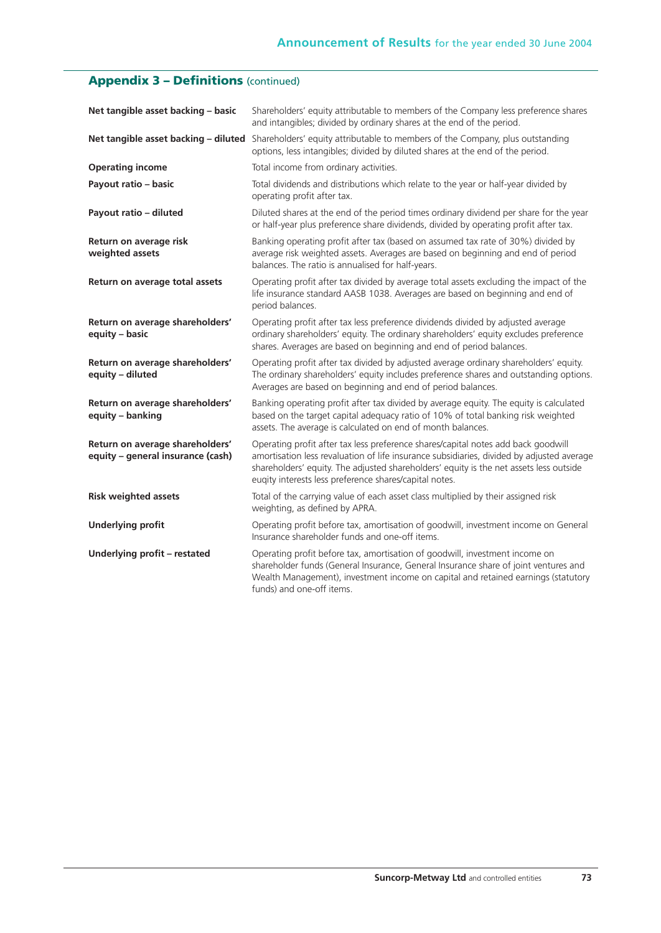# **Appendix 3 – Definitions** (continued)

| Net tangible asset backing - basic                                   | Shareholders' equity attributable to members of the Company less preference shares<br>and intangibles; divided by ordinary shares at the end of the period.                                                                                                                                                                        |
|----------------------------------------------------------------------|------------------------------------------------------------------------------------------------------------------------------------------------------------------------------------------------------------------------------------------------------------------------------------------------------------------------------------|
|                                                                      | Net tangible asset backing - diluted Shareholders' equity attributable to members of the Company, plus outstanding<br>options, less intangibles; divided by diluted shares at the end of the period.                                                                                                                               |
| <b>Operating income</b>                                              | Total income from ordinary activities.                                                                                                                                                                                                                                                                                             |
| Payout ratio - basic                                                 | Total dividends and distributions which relate to the year or half-year divided by<br>operating profit after tax.                                                                                                                                                                                                                  |
| Payout ratio - diluted                                               | Diluted shares at the end of the period times ordinary dividend per share for the year<br>or half-year plus preference share dividends, divided by operating profit after tax.                                                                                                                                                     |
| Return on average risk<br>weighted assets                            | Banking operating profit after tax (based on assumed tax rate of 30%) divided by<br>average risk weighted assets. Averages are based on beginning and end of period<br>balances. The ratio is annualised for half-years.                                                                                                           |
| Return on average total assets                                       | Operating profit after tax divided by average total assets excluding the impact of the<br>life insurance standard AASB 1038. Averages are based on beginning and end of<br>period balances.                                                                                                                                        |
| Return on average shareholders'<br>equity - basic                    | Operating profit after tax less preference dividends divided by adjusted average<br>ordinary shareholders' equity. The ordinary shareholders' equity excludes preference<br>shares. Averages are based on beginning and end of period balances.                                                                                    |
| Return on average shareholders'<br>equity - diluted                  | Operating profit after tax divided by adjusted average ordinary shareholders' equity.<br>The ordinary shareholders' equity includes preference shares and outstanding options.<br>Averages are based on beginning and end of period balances.                                                                                      |
| Return on average shareholders'<br>equity - banking                  | Banking operating profit after tax divided by average equity. The equity is calculated<br>based on the target capital adequacy ratio of 10% of total banking risk weighted<br>assets. The average is calculated on end of month balances.                                                                                          |
| Return on average shareholders'<br>equity - general insurance (cash) | Operating profit after tax less preference shares/capital notes add back goodwill<br>amortisation less revaluation of life insurance subsidiaries, divided by adjusted average<br>shareholders' equity. The adjusted shareholders' equity is the net assets less outside<br>eugity interests less preference shares/capital notes. |
| <b>Risk weighted assets</b>                                          | Total of the carrying value of each asset class multiplied by their assigned risk<br>weighting, as defined by APRA.                                                                                                                                                                                                                |
| <b>Underlying profit</b>                                             | Operating profit before tax, amortisation of goodwill, investment income on General<br>Insurance shareholder funds and one-off items.                                                                                                                                                                                              |
| Underlying profit - restated                                         | Operating profit before tax, amortisation of goodwill, investment income on<br>shareholder funds (General Insurance, General Insurance share of joint ventures and<br>Wealth Management), investment income on capital and retained earnings (statutory<br>funds) and one-off items.                                               |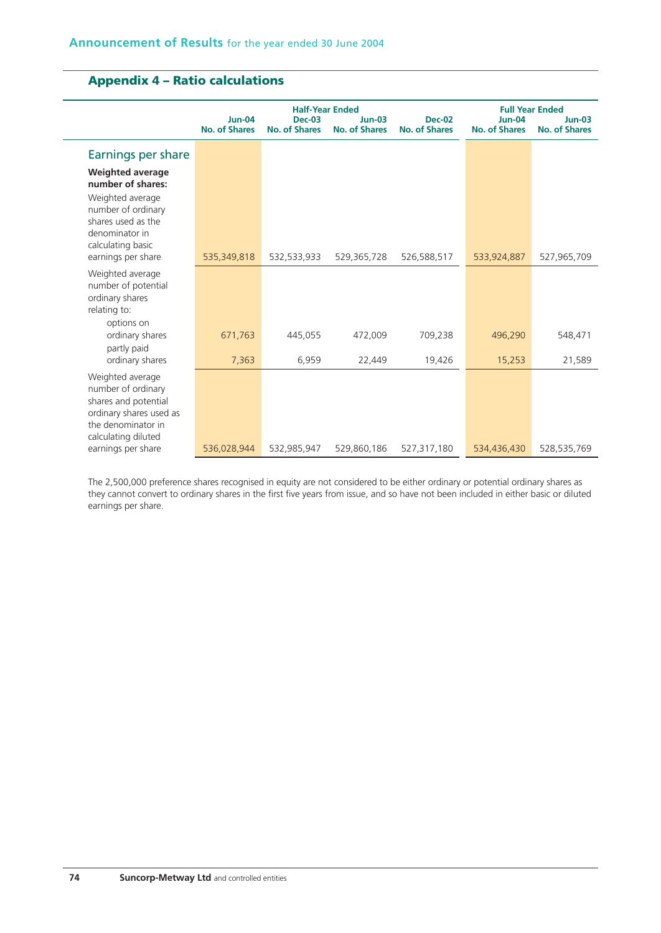# **Appendix 4 – Ratio calculations**

|                                                                                                                                        |                                       | <b>Half-Year Ended</b>                | <b>Full Year Ended</b>                |                                       |                                  |                                  |
|----------------------------------------------------------------------------------------------------------------------------------------|---------------------------------------|---------------------------------------|---------------------------------------|---------------------------------------|----------------------------------|----------------------------------|
|                                                                                                                                        | <b>Jun-04</b><br><b>No. of Shares</b> | <b>Dec-03</b><br><b>No. of Shares</b> | <b>Jun-03</b><br><b>No. of Shares</b> | <b>Dec-02</b><br><b>No. of Shares</b> | $Jun-04$<br><b>No. of Shares</b> | $Jun-03$<br><b>No. of Shares</b> |
| Earnings per share                                                                                                                     |                                       |                                       |                                       |                                       |                                  |                                  |
| <b>Weighted average</b><br>number of shares:                                                                                           |                                       |                                       |                                       |                                       |                                  |                                  |
| Weighted average<br>number of ordinary<br>shares used as the<br>denominator in<br>calculating basic                                    |                                       |                                       |                                       |                                       |                                  |                                  |
| earnings per share                                                                                                                     | 535,349,818                           | 532,533,933                           | 529,365,728                           | 526,588,517                           | 533,924,887                      | 527,965,709                      |
| Weighted average<br>number of potential<br>ordinary shares<br>relating to:                                                             |                                       |                                       |                                       |                                       |                                  |                                  |
| options on<br>ordinary shares                                                                                                          | 671,763                               | 445,055                               | 472,009                               | 709,238                               | 496,290                          | 548,471                          |
| partly paid<br>ordinary shares                                                                                                         | 7,363                                 | 6,959                                 | 22,449                                | 19,426                                | 15,253                           | 21,589                           |
| Weighted average<br>number of ordinary<br>shares and potential<br>ordinary shares used as<br>the denominator in<br>calculating diluted |                                       |                                       |                                       |                                       |                                  |                                  |
| earnings per share                                                                                                                     | 536,028,944                           | 532,985,947                           | 529,860,186                           | 527,317,180                           | 534,436,430                      | 528,535,769                      |

The 2,500,000 preference shares recognised in equity are not considered to be either ordinary or potential ordinary shares as they cannot convert to ordinary shares in the first five years from issue, and so have not been included in either basic or diluted earnings per share.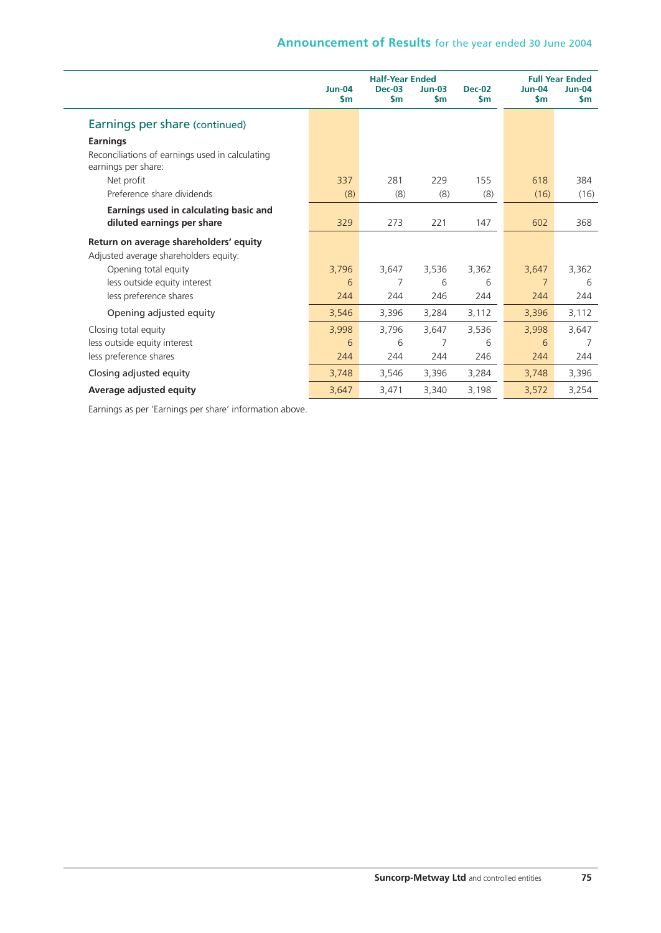## **Announcement of Results** for the year ended 30 June 2004

|                                                                        |                                | <b>Half-Year Ended</b> | <b>Full Year Ended</b>    |                                |                           |                                |
|------------------------------------------------------------------------|--------------------------------|------------------------|---------------------------|--------------------------------|---------------------------|--------------------------------|
|                                                                        | <b>Jun-04</b><br>$\mathsf{sm}$ | <b>Dec-03</b><br>\$m   | $Jun-03$<br>$\mathsf{sm}$ | <b>Dec-02</b><br>$\mathsf{sm}$ | $Jun-04$<br>$\mathsf{sm}$ | <b>Jun-04</b><br>$\mathsf{sm}$ |
| Earnings per share (continued)                                         |                                |                        |                           |                                |                           |                                |
| <b>Earnings</b>                                                        |                                |                        |                           |                                |                           |                                |
| Reconciliations of earnings used in calculating<br>earnings per share: |                                |                        |                           |                                |                           |                                |
| Net profit                                                             | 337                            | 281                    | 229                       | 155                            | 618                       | 384                            |
| Preference share dividends                                             | (8)                            | (8)                    | (8)                       | (8)                            | (16)                      | (16)                           |
| Earnings used in calculating basic and<br>diluted earnings per share   | 329                            | 273                    | 221                       | 147                            | 602                       | 368                            |
| Return on average shareholders' equity                                 |                                |                        |                           |                                |                           |                                |
| Adjusted average shareholders equity:                                  |                                |                        |                           |                                |                           |                                |
| Opening total equity                                                   | 3,796                          | 3.647                  | 3,536                     | 3,362                          | 3,647                     | 3,362                          |
| less outside equity interest                                           | 6                              | 7                      | 6                         | 6                              | $\overline{7}$            | 6                              |
| less preference shares                                                 | 244                            | 244                    | 246                       | 244                            | 244                       | 244                            |
| Opening adjusted equity                                                | 3,546                          | 3,396                  | 3,284                     | 3,112                          | 3,396                     | 3,112                          |
| Closing total equity                                                   | 3,998                          | 3,796                  | 3,647                     | 3,536                          | 3,998                     | 3,647                          |
| less outside equity interest                                           | 6                              | 6                      | 7                         | 6                              | 6                         | 7                              |
| less preference shares                                                 | 244                            | 244                    | 244                       | 246                            | 244                       | 244                            |
| Closing adjusted equity                                                | 3,748                          | 3,546                  | 3,396                     | 3,284                          | 3,748                     | 3,396                          |
| Average adjusted equity                                                | 3,647                          | 3,471                  | 3,340                     | 3,198                          | 3,572                     | 3,254                          |

Earnings as per 'Earnings per share' information above.